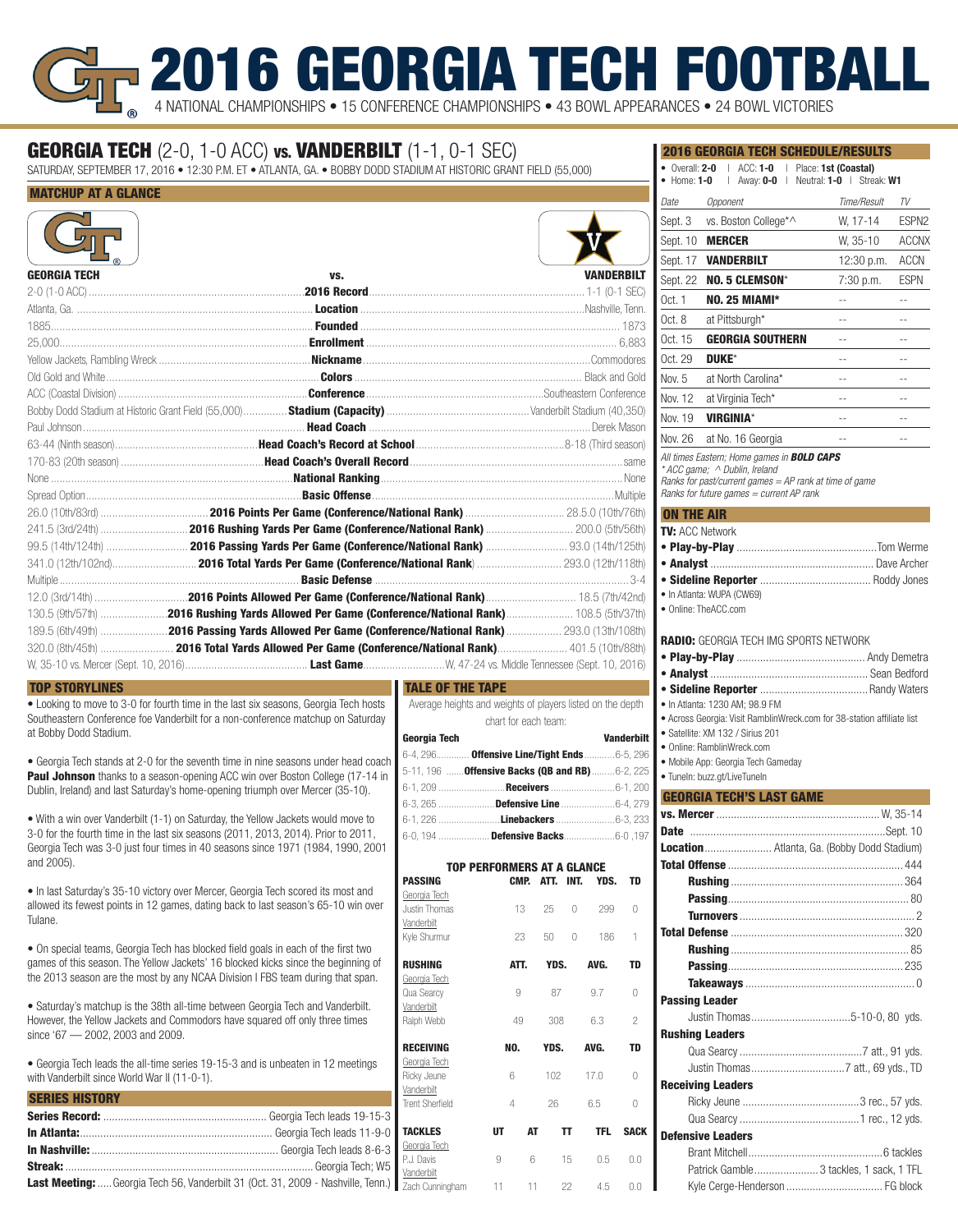# 2016 GEORGIA TECH FOOTBA 4 NATIONAL CHAMPIONSHIPS • 15 CONFERENCE CHAMPIONSHIPS • 43 BOWL APPEARANCES • 24 BOWL VICTORIES

## **GEORGIA TECH** (2-0, 1-0 ACC) vs. **VANDERBILT** (1-1, 0-1 SEC)

SATURDAY, SEPTEMBER 17, 2016 • 12:30 P.M. ET • ATLANTA, GA. • BOBBY DODD STADIUM AT HISTORIC GRANT FIELD (55,000)

### MATCHUP AT A GLANCE

| <b>GEORGIA TECH</b> | VS.                                                                                                 | <b><i>VANDERBILT</i></b> |
|---------------------|-----------------------------------------------------------------------------------------------------|--------------------------|
|                     |                                                                                                     |                          |
|                     |                                                                                                     |                          |
|                     |                                                                                                     |                          |
|                     |                                                                                                     |                          |
|                     |                                                                                                     |                          |
|                     |                                                                                                     |                          |
|                     |                                                                                                     |                          |
|                     |                                                                                                     |                          |
|                     |                                                                                                     |                          |
|                     |                                                                                                     |                          |
|                     |                                                                                                     |                          |
|                     |                                                                                                     |                          |
|                     |                                                                                                     |                          |
|                     |                                                                                                     |                          |
|                     |                                                                                                     |                          |
|                     |                                                                                                     |                          |
|                     |                                                                                                     |                          |
|                     |                                                                                                     |                          |
|                     |                                                                                                     |                          |
|                     | 130.5 (9th/57th) 2016 Rushing Yards Allowed Per Game (Conference/National Rank) 108.5 (5th/37th)    |                          |
|                     | 189.5 (6th/49th) 2016 Passing Yards Allowed Per Game (Conference/National Rank)  293.0 (13th/108th) |                          |
|                     |                                                                                                     |                          |
|                     |                                                                                                     |                          |

### TOP STORYLINES

• Looking to move to 3-0 for fourth time in the last six seasons, Georgia Tech hosts Southeastern Conference foe Vanderbilt for a non-conference matchup on Saturday at Bobby Dodd Stadium.

• Georgia Tech stands at 2-0 for the seventh time in nine seasons under head coach **Paul Johnson** thanks to a season-opening ACC win over Boston College (17-14 in Dublin, Ireland) and last Saturday's home-opening triumph over Mercer (35-10).

• With a win over Vanderbilt (1-1) on Saturday, the Yellow Jackets would move to 3-0 for the fourth time in the last six seasons (2011, 2013, 2014). Prior to 2011, Georgia Tech was 3-0 just four times in 40 seasons since 1971 (1984, 1990, 2001 and 2005).

• In last Saturday's 35-10 victory over Mercer, Georgia Tech scored its most and allowed its fewest points in 12 games, dating back to last season's 65-10 win over Tulane.

• On special teams, Georgia Tech has blocked field goals in each of the first two games of this season. The Yellow Jackets' 16 blocked kicks since the beginning of the 2013 season are the most by any NCAA Division I FBS team during that span.

• Saturday's matchup is the 38th all-time between Georgia Tech and Vanderbilt. However, the Yellow Jackets and Commodors have squared off only three times since '67 — 2002, 2003 and 2009.

• Georgia Tech leads the all-time series 19-15-3 and is unbeaten in 12 meetings with Vanderbilt since World War II (11-0-1).

| <b>In Nashville:</b><br><b>Streak:</b><br><b>Streak:</b><br><b>Streak:</b><br><b>Streak:</b><br><b>Streak:</b><br><b>Streak:</b><br><b>Streak:</b><br><b>Contracting:</b><br>Contracting: Contracting: Contracting: Contracting: Contracting: Contracting: Contracting: Contracting: 21.000, |  |
|----------------------------------------------------------------------------------------------------------------------------------------------------------------------------------------------------------------------------------------------------------------------------------------------|--|
|                                                                                                                                                                                                                                                                                              |  |

Last Meeting: ..... Georgia Tech 56, Vanderbilt 31 (Oct. 31, 2009 - Nashville, Tenn.)

#### TALE OF THE TAPE

| Average heights and weights of players listed on the depth |                   |
|------------------------------------------------------------|-------------------|
| chart for each team:                                       |                   |
| Georgia Tech                                               | <b>Vanderbilt</b> |
| 6-4, 296 <b>Offensive Line/Tight Ends</b> 6-5, 296         |                   |
| 5-11, 196 <b>Offensive Backs (QB and RB)</b> 6-2, 225      |                   |
|                                                            |                   |
|                                                            |                   |
|                                                            |                   |
| 6-0, 194 <b>Defensive Backs</b> 6-0, 197                   |                   |

| <b>TOP PERFORMERS AT A GLANCE</b> |     |      |      |      |            |                |
|-----------------------------------|-----|------|------|------|------------|----------------|
| <b>PASSING</b>                    |     | CMP. | ATT. | INT. | YDS.       | TD             |
| Georgia Tech                      |     |      |      |      |            |                |
| Justin Thomas                     |     | 13   | 25   | 0    | 299        | O              |
| Vanderbilt                        |     |      |      |      |            |                |
| Kyle Shurmur                      |     | 23   | 50   | 0    | 186        | 1              |
| <b>RUSHING</b>                    |     | ATT. | YDS. |      | AVG.       | TD             |
| Georgia Tech                      |     |      |      |      |            |                |
| Qua Searcy                        |     | 9    | 87   |      | 9.7        | O              |
| Vanderbilt                        |     |      |      |      |            |                |
| Ralph Webb                        |     | 49   | 308  |      | 6.3        | $\overline{c}$ |
| <b>RECEIVING</b>                  | NO. |      | YDS. |      | AVG.       | <b>TD</b>      |
| Georgia Tech                      |     |      |      |      |            |                |
| Ricky Jeune                       | 6   |      | 102  |      | 170        | O              |
| Vanderbilt                        |     |      |      |      |            |                |
| <b>Trent Sherfield</b>            | 4   |      | 26   |      | 6.5        | Λ              |
| <b>TACKLES</b>                    | UТ  | AT   |      | TT   | <b>TFL</b> | <b>SACK</b>    |
| Georgia Tech                      |     |      |      |      |            |                |
| P.J. Davis                        | 9   | 6    |      | 15   | 0.5        | 0.0            |
| Vanderbilt                        |     |      |      |      |            |                |
| Zach Cunningham                   | 11  | 11   |      | 22   | 4.5        | 0.0            |

| <b>2016 GEORGIA TECH SCHEDULE/RESULTS</b>                                                                                                                                                                        |                          |                |
|------------------------------------------------------------------------------------------------------------------------------------------------------------------------------------------------------------------|--------------------------|----------------|
| • Overall: 2-0   ACC: 1-0   Place: 1st (Coastal)                                                                                                                                                                 |                          |                |
| Away: 0-0   Neutral: 1-0   Streak: W1<br>$\bullet\,$ Home: 1-0 $\,$<br>$\overline{\phantom{a}}$                                                                                                                  |                          |                |
| Opponent<br>Date                                                                                                                                                                                                 | Time/Result              | TV             |
| vs. Boston College*^<br>Sept. 3                                                                                                                                                                                  | W, 17-14                 | ESPN2          |
| <b>MERCER</b><br>Sept. 10                                                                                                                                                                                        | W. 35-10                 | <b>ACCNX</b>   |
| Sept. 17<br><b><i>VANDERBILT</i></b>                                                                                                                                                                             | 12:30 p.m.               | ACCN           |
| Sept. 22<br><b>NO. 5 CLEMSON*</b>                                                                                                                                                                                | 7:30 p.m.                | ESPN           |
| <b>NO. 25 MIAMI*</b><br>Oct. 1                                                                                                                                                                                   | $\overline{\phantom{a}}$ | $-$            |
| at Pittsburgh*<br>Oct. 8                                                                                                                                                                                         | --                       | --             |
| <b>GEORGIA SOUTHERN</b><br>Oct. 15                                                                                                                                                                               | $\overline{a}$           | $\overline{a}$ |
| Oct. 29<br><b>DUKE*</b>                                                                                                                                                                                          | $-$                      | $-$            |
| Nov. 5<br>at North Carolina*                                                                                                                                                                                     | $-$                      | --             |
| Nov. 12<br>at Virginia Tech*                                                                                                                                                                                     | 4                        | $\overline{a}$ |
| <b>VIRGINIA*</b><br>Nov. 19                                                                                                                                                                                      | ۰-                       | ٠.             |
| Nov. 26<br>at No. 16 Georgia                                                                                                                                                                                     | $-$                      | --             |
| All times Eastern; Home games in <b>BOLD CAPS</b>                                                                                                                                                                |                          |                |
| * ACC game; ^ Dublin, Ireland<br>Ranks for past/current games = AP rank at time of game                                                                                                                          |                          |                |
| Ranks for future games = current AP rank                                                                                                                                                                         |                          |                |
| <b>ON THE AIR</b>                                                                                                                                                                                                |                          |                |
| TV: ACC Network                                                                                                                                                                                                  |                          |                |
|                                                                                                                                                                                                                  |                          |                |
|                                                                                                                                                                                                                  |                          |                |
|                                                                                                                                                                                                                  |                          |                |
| · In Atlanta: WUPA (CW69)<br>• Online: TheACC.com                                                                                                                                                                |                          |                |
| <b>RADIO:</b> GEORGIA TECH IMG SPORTS NETWORK                                                                                                                                                                    |                          |                |
| · In Atlanta: 1230 AM; 98.9 FM<br>• Across Georgia: Visit RamblinWreck.com for 38-station affiliate list<br>· Satellite: XM 132 / Sirius 201<br>• Online: RamblinWreck.com<br>· Mobile App: Georgia Tech Gameday |                          |                |
| · Tuneln: buzz.gt/LiveTuneln                                                                                                                                                                                     |                          |                |
| <b>GEORGIA TECH'S LAST GAME</b>                                                                                                                                                                                  |                          |                |
|                                                                                                                                                                                                                  |                          |                |
|                                                                                                                                                                                                                  |                          |                |
| Location Atlanta, Ga. (Bobby Dodd Stadium)                                                                                                                                                                       |                          |                |
|                                                                                                                                                                                                                  |                          |                |
|                                                                                                                                                                                                                  |                          |                |
|                                                                                                                                                                                                                  |                          |                |
|                                                                                                                                                                                                                  |                          |                |
|                                                                                                                                                                                                                  |                          |                |
|                                                                                                                                                                                                                  |                          |                |
|                                                                                                                                                                                                                  |                          |                |
| <b>Passing Leader</b>                                                                                                                                                                                            |                          |                |
|                                                                                                                                                                                                                  |                          |                |
| <b>Rushing Leaders</b>                                                                                                                                                                                           |                          |                |
|                                                                                                                                                                                                                  |                          |                |
| <b>Receiving Leaders</b>                                                                                                                                                                                         |                          |                |

| <b>Defensive Leaders</b> |                                         |
|--------------------------|-----------------------------------------|
|                          |                                         |
|                          | Patrick Gamble 3 tackles, 1 sack, 1 TFL |
|                          |                                         |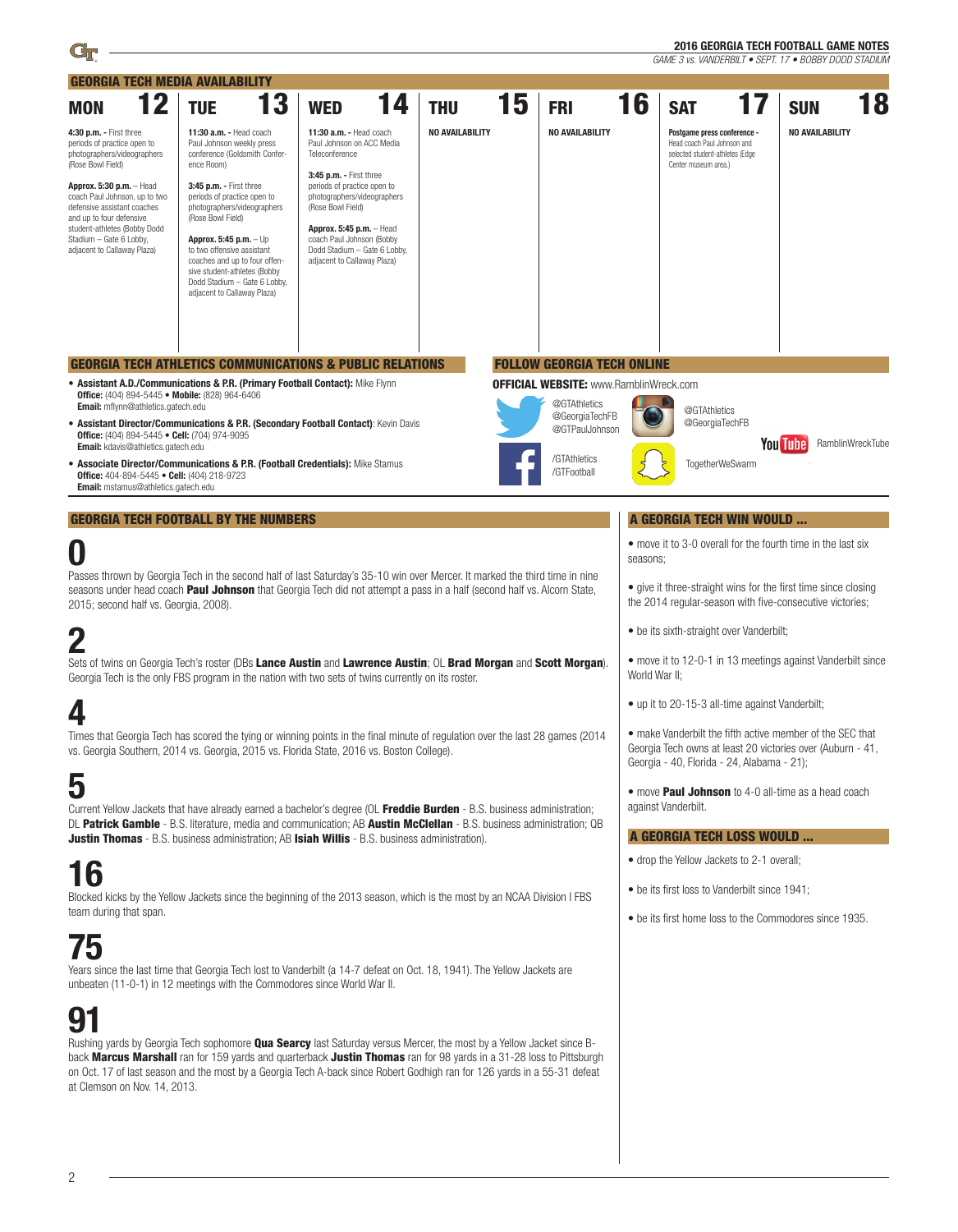| 12<br>3<br>16<br>18<br>15<br>14<br>17<br><b>TUE</b><br><b>THU</b><br><b>SAT</b><br><b>WED</b><br><b>FRI</b><br><b>SUN</b><br><b>MON</b><br><b>NO AVAILABILITY</b><br><b>NO AVAILABILITY</b><br>NO AVAILABILITY<br>4:30 p.m. - First three<br>11:30 a.m. - Head coach<br>11:30 a.m. - Head coach<br>Postgame press conference -<br>Head coach Paul Johnson and<br>periods of practice open to<br>Paul Johnson weekly press<br>Paul Johnson on ACC Media<br>Teleconference<br>photographers/videographers<br>conference (Goldsmith Confer-<br>selected student-athletes (Edge<br>(Rose Bowl Field)<br>ence Room)<br>Center museum area.)<br>3:45 p.m. - First three<br>3:45 p.m. - First three<br>periods of practice open to<br>Approx. 5:30 p.m. - Head<br>photographers/videographers<br>coach Paul Johnson, up to two<br>periods of practice open to<br>defensive assistant coaches<br>photographers/videographers<br>(Rose Bowl Field)<br>(Rose Bowl Field)<br>and up to four defensive<br>student-athletes (Bobby Dodd<br>Approx. 5:45 p.m. - Head<br>Stadium - Gate 6 Lobby,<br>Approx. 5:45 p.m. - Up<br>coach Paul Johnson (Bobby<br>Dodd Stadium - Gate 6 Lobby,<br>adjacent to Callaway Plaza)<br>to two offensive assistant<br>adjacent to Callaway Plaza)<br>coaches and up to four offen-<br>sive student-athletes (Bobby<br>Dodd Stadium - Gate 6 Lobby,<br>adjacent to Callaway Plaza)<br><b>FOLLOW GEORGIA TECH ONLINE</b><br><b>GEORGIA TECH ATHLETICS COMMUNICATIONS &amp; PUBLIC RELATIONS</b><br>• Assistant A.D./Communications & P.R. (Primary Football Contact): Mike Flynn<br><b>OFFICIAL WEBSITE: www.RamblinWreck.com</b><br>Office: (404) 894-5445 • Mobile: (828) 964-6406<br>@GTAthletics<br><b>Email:</b> mflynn@athletics.gatech.edu<br>@GTAthletics<br>@GeorgiaTechFB<br>@GeorgiaTechFB<br><b>• Assistant Director/Communications &amp; P.R. (Secondary Football Contact): Kevin Davis</b><br>@GTPaulJohnson<br>Office: (404) 894-5445 • Cell: (704) 974-9095<br><b>You Tube</b><br>RamblinWreckTube<br><b>Email:</b> kdavis@athletics.gatech.edu<br>/GTAthletics<br>• Associate Director/Communications & P.R. (Football Credentials): Mike Stamus<br>TogetherWeSwarm<br>/GTFootball<br>Office: 404-894-5445 • Cell: (404) 218-9723<br>Email: mstamus@athletics.gatech.edu<br><b>GEORGIA TECH FOOTBALL BY THE NUMBERS</b><br>A GEORGIA TECH WIN WOULD<br>• move it to 3-0 overall for the fourth time in the last six<br>U<br>seasons;<br>Passes thrown by Georgia Tech in the second half of last Saturday's 35-10 win over Mercer. It marked the third time in nine<br>• give it three-straight wins for the first time since closing<br>seasons under head coach <b>Paul Johnson</b> that Georgia Tech did not attempt a pass in a half (second half vs. Alcorn State,<br>the 2014 regular-season with five-consecutive victories;<br>2015; second half vs. Georgia, 2008).<br>• be its sixth-straight over Vanderbilt;<br>• move it to 12-0-1 in 13 meetings against Vanderbilt since<br>Sets of twins on Georgia Tech's roster (DBs Lance Austin and Lawrence Austin; OL Brad Morgan and Scott Morgan).<br>World War II;<br>Georgia Tech is the only FBS program in the nation with two sets of twins currently on its roster.<br>• up it to 20-15-3 all-time against Vanderbilt;<br>4<br>• make Vanderbilt the fifth active member of the SEC that<br>Times that Georgia Tech has scored the tying or winning points in the final minute of regulation over the last 28 games (2014<br>Georgia Tech owns at least 20 victories over (Auburn - 41,<br>vs. Georgia Southern, 2014 vs. Georgia, 2015 vs. Florida State, 2016 vs. Boston College).<br>Georgia - 40, Florida - 24, Alabama - 21);<br>5<br>• move <b>Paul Johnson</b> to 4-0 all-time as a head coach<br>against Vanderbilt.<br>Current Yellow Jackets that have already earned a bachelor's degree (OL Freddie Burden - B.S. business administration;<br>DL Patrick Gamble - B.S. literature, media and communication; AB Austin McClellan - B.S. business administration; QB<br>A GEORGIA TECH LOSS WOULD<br><b>Justin Thomas</b> - B.S. business administration; AB Isiah Willis - B.S. business administration).<br>• drop the Yellow Jackets to 2-1 overall;<br>16<br>• be its first loss to Vanderbilt since 1941;<br>Blocked kicks by the Yellow Jackets since the beginning of the 2013 season, which is the most by an NCAA Division I FBS<br>team during that span.<br>• be its first home loss to the Commodores since 1935.<br>75<br>Years since the last time that Georgia Tech lost to Vanderbilt (a 14-7 defeat on Oct. 18, 1941). The Yellow Jackets are<br>unbeaten (11-0-1) in 12 meetings with the Commodores since World War II.<br>91<br>Rushing yards by Georgia Tech sophomore <b>Qua Searcy</b> last Saturday versus Mercer, the most by a Yellow Jacket since B-<br>back Marcus Marshall ran for 159 yards and quarterback Justin Thomas ran for 98 yards in a 31-28 loss to Pittsburgh<br>on Oct. 17 of last season and the most by a Georgia Tech A-back since Robert Godhigh ran for 126 yards in a 55-31 defeat<br>at Clemson on Nov. 14, 2013. | <b>GEORGIA TECH MEDIA AVAILABILITY</b> |  |  |  |  |  |  |
|------------------------------------------------------------------------------------------------------------------------------------------------------------------------------------------------------------------------------------------------------------------------------------------------------------------------------------------------------------------------------------------------------------------------------------------------------------------------------------------------------------------------------------------------------------------------------------------------------------------------------------------------------------------------------------------------------------------------------------------------------------------------------------------------------------------------------------------------------------------------------------------------------------------------------------------------------------------------------------------------------------------------------------------------------------------------------------------------------------------------------------------------------------------------------------------------------------------------------------------------------------------------------------------------------------------------------------------------------------------------------------------------------------------------------------------------------------------------------------------------------------------------------------------------------------------------------------------------------------------------------------------------------------------------------------------------------------------------------------------------------------------------------------------------------------------------------------------------------------------------------------------------------------------------------------------------------------------------------------------------------------------------------------------------------------------------------------------------------------------------------------------------------------------------------------------------------------------------------------------------------------------------------------------------------------------------------------------------------------------------------------------------------------------------------------------------------------------------------------------------------------------------------------------------------------------------------------------------------------------------------------------------------------------------------------------------------------------------------------------------------------------------------------------------------------------------------------------------------------------------------------------------------------------------------------------------------------------------------------------------------------------------------------------------------------------------------------------------------------------------------------------------------------------------------------------------------------------------------------------------------------------------------------------------------------------------------------------------------------------------------------------------------------------------------------------------------------------------------------------------------------------------------------------------------------------------------------------------------------------------------------------------------------------------------------------------------------------------------------------------------------------------------------------------------------------------------------------------------------------------------------------------------------------------------------------------------------------------------------------------------------------------------------------------------------------------------------------------------------------------------------------------------------------------------------------------------------------------------------------------------------------------------------------------------------------------------------------------------------------------------------------------------------------------------------------------------------------------------------------------------------------------------------------------------------------------------------------------------------------------------------------------------------------------------------------------------------------------------------------------------------------------------------------------------------------------------------------------------------------------------------------------------------------------------------------------------------------------------------------------------------------------------------------------------------------------------------------------------------------------------------------------------------------------------|----------------------------------------|--|--|--|--|--|--|
|                                                                                                                                                                                                                                                                                                                                                                                                                                                                                                                                                                                                                                                                                                                                                                                                                                                                                                                                                                                                                                                                                                                                                                                                                                                                                                                                                                                                                                                                                                                                                                                                                                                                                                                                                                                                                                                                                                                                                                                                                                                                                                                                                                                                                                                                                                                                                                                                                                                                                                                                                                                                                                                                                                                                                                                                                                                                                                                                                                                                                                                                                                                                                                                                                                                                                                                                                                                                                                                                                                                                                                                                                                                                                                                                                                                                                                                                                                                                                                                                                                                                                                                                                                                                                                                                                                                                                                                                                                                                                                                                                                                                                                                                                                                                                                                                                                                                                                                                                                                                                                                                                                                                                                              |                                        |  |  |  |  |  |  |
|                                                                                                                                                                                                                                                                                                                                                                                                                                                                                                                                                                                                                                                                                                                                                                                                                                                                                                                                                                                                                                                                                                                                                                                                                                                                                                                                                                                                                                                                                                                                                                                                                                                                                                                                                                                                                                                                                                                                                                                                                                                                                                                                                                                                                                                                                                                                                                                                                                                                                                                                                                                                                                                                                                                                                                                                                                                                                                                                                                                                                                                                                                                                                                                                                                                                                                                                                                                                                                                                                                                                                                                                                                                                                                                                                                                                                                                                                                                                                                                                                                                                                                                                                                                                                                                                                                                                                                                                                                                                                                                                                                                                                                                                                                                                                                                                                                                                                                                                                                                                                                                                                                                                                                              |                                        |  |  |  |  |  |  |
|                                                                                                                                                                                                                                                                                                                                                                                                                                                                                                                                                                                                                                                                                                                                                                                                                                                                                                                                                                                                                                                                                                                                                                                                                                                                                                                                                                                                                                                                                                                                                                                                                                                                                                                                                                                                                                                                                                                                                                                                                                                                                                                                                                                                                                                                                                                                                                                                                                                                                                                                                                                                                                                                                                                                                                                                                                                                                                                                                                                                                                                                                                                                                                                                                                                                                                                                                                                                                                                                                                                                                                                                                                                                                                                                                                                                                                                                                                                                                                                                                                                                                                                                                                                                                                                                                                                                                                                                                                                                                                                                                                                                                                                                                                                                                                                                                                                                                                                                                                                                                                                                                                                                                                              |                                        |  |  |  |  |  |  |
|                                                                                                                                                                                                                                                                                                                                                                                                                                                                                                                                                                                                                                                                                                                                                                                                                                                                                                                                                                                                                                                                                                                                                                                                                                                                                                                                                                                                                                                                                                                                                                                                                                                                                                                                                                                                                                                                                                                                                                                                                                                                                                                                                                                                                                                                                                                                                                                                                                                                                                                                                                                                                                                                                                                                                                                                                                                                                                                                                                                                                                                                                                                                                                                                                                                                                                                                                                                                                                                                                                                                                                                                                                                                                                                                                                                                                                                                                                                                                                                                                                                                                                                                                                                                                                                                                                                                                                                                                                                                                                                                                                                                                                                                                                                                                                                                                                                                                                                                                                                                                                                                                                                                                                              |                                        |  |  |  |  |  |  |
|                                                                                                                                                                                                                                                                                                                                                                                                                                                                                                                                                                                                                                                                                                                                                                                                                                                                                                                                                                                                                                                                                                                                                                                                                                                                                                                                                                                                                                                                                                                                                                                                                                                                                                                                                                                                                                                                                                                                                                                                                                                                                                                                                                                                                                                                                                                                                                                                                                                                                                                                                                                                                                                                                                                                                                                                                                                                                                                                                                                                                                                                                                                                                                                                                                                                                                                                                                                                                                                                                                                                                                                                                                                                                                                                                                                                                                                                                                                                                                                                                                                                                                                                                                                                                                                                                                                                                                                                                                                                                                                                                                                                                                                                                                                                                                                                                                                                                                                                                                                                                                                                                                                                                                              |                                        |  |  |  |  |  |  |
|                                                                                                                                                                                                                                                                                                                                                                                                                                                                                                                                                                                                                                                                                                                                                                                                                                                                                                                                                                                                                                                                                                                                                                                                                                                                                                                                                                                                                                                                                                                                                                                                                                                                                                                                                                                                                                                                                                                                                                                                                                                                                                                                                                                                                                                                                                                                                                                                                                                                                                                                                                                                                                                                                                                                                                                                                                                                                                                                                                                                                                                                                                                                                                                                                                                                                                                                                                                                                                                                                                                                                                                                                                                                                                                                                                                                                                                                                                                                                                                                                                                                                                                                                                                                                                                                                                                                                                                                                                                                                                                                                                                                                                                                                                                                                                                                                                                                                                                                                                                                                                                                                                                                                                              |                                        |  |  |  |  |  |  |
|                                                                                                                                                                                                                                                                                                                                                                                                                                                                                                                                                                                                                                                                                                                                                                                                                                                                                                                                                                                                                                                                                                                                                                                                                                                                                                                                                                                                                                                                                                                                                                                                                                                                                                                                                                                                                                                                                                                                                                                                                                                                                                                                                                                                                                                                                                                                                                                                                                                                                                                                                                                                                                                                                                                                                                                                                                                                                                                                                                                                                                                                                                                                                                                                                                                                                                                                                                                                                                                                                                                                                                                                                                                                                                                                                                                                                                                                                                                                                                                                                                                                                                                                                                                                                                                                                                                                                                                                                                                                                                                                                                                                                                                                                                                                                                                                                                                                                                                                                                                                                                                                                                                                                                              |                                        |  |  |  |  |  |  |
|                                                                                                                                                                                                                                                                                                                                                                                                                                                                                                                                                                                                                                                                                                                                                                                                                                                                                                                                                                                                                                                                                                                                                                                                                                                                                                                                                                                                                                                                                                                                                                                                                                                                                                                                                                                                                                                                                                                                                                                                                                                                                                                                                                                                                                                                                                                                                                                                                                                                                                                                                                                                                                                                                                                                                                                                                                                                                                                                                                                                                                                                                                                                                                                                                                                                                                                                                                                                                                                                                                                                                                                                                                                                                                                                                                                                                                                                                                                                                                                                                                                                                                                                                                                                                                                                                                                                                                                                                                                                                                                                                                                                                                                                                                                                                                                                                                                                                                                                                                                                                                                                                                                                                                              |                                        |  |  |  |  |  |  |
|                                                                                                                                                                                                                                                                                                                                                                                                                                                                                                                                                                                                                                                                                                                                                                                                                                                                                                                                                                                                                                                                                                                                                                                                                                                                                                                                                                                                                                                                                                                                                                                                                                                                                                                                                                                                                                                                                                                                                                                                                                                                                                                                                                                                                                                                                                                                                                                                                                                                                                                                                                                                                                                                                                                                                                                                                                                                                                                                                                                                                                                                                                                                                                                                                                                                                                                                                                                                                                                                                                                                                                                                                                                                                                                                                                                                                                                                                                                                                                                                                                                                                                                                                                                                                                                                                                                                                                                                                                                                                                                                                                                                                                                                                                                                                                                                                                                                                                                                                                                                                                                                                                                                                                              |                                        |  |  |  |  |  |  |
|                                                                                                                                                                                                                                                                                                                                                                                                                                                                                                                                                                                                                                                                                                                                                                                                                                                                                                                                                                                                                                                                                                                                                                                                                                                                                                                                                                                                                                                                                                                                                                                                                                                                                                                                                                                                                                                                                                                                                                                                                                                                                                                                                                                                                                                                                                                                                                                                                                                                                                                                                                                                                                                                                                                                                                                                                                                                                                                                                                                                                                                                                                                                                                                                                                                                                                                                                                                                                                                                                                                                                                                                                                                                                                                                                                                                                                                                                                                                                                                                                                                                                                                                                                                                                                                                                                                                                                                                                                                                                                                                                                                                                                                                                                                                                                                                                                                                                                                                                                                                                                                                                                                                                                              |                                        |  |  |  |  |  |  |
|                                                                                                                                                                                                                                                                                                                                                                                                                                                                                                                                                                                                                                                                                                                                                                                                                                                                                                                                                                                                                                                                                                                                                                                                                                                                                                                                                                                                                                                                                                                                                                                                                                                                                                                                                                                                                                                                                                                                                                                                                                                                                                                                                                                                                                                                                                                                                                                                                                                                                                                                                                                                                                                                                                                                                                                                                                                                                                                                                                                                                                                                                                                                                                                                                                                                                                                                                                                                                                                                                                                                                                                                                                                                                                                                                                                                                                                                                                                                                                                                                                                                                                                                                                                                                                                                                                                                                                                                                                                                                                                                                                                                                                                                                                                                                                                                                                                                                                                                                                                                                                                                                                                                                                              |                                        |  |  |  |  |  |  |
|                                                                                                                                                                                                                                                                                                                                                                                                                                                                                                                                                                                                                                                                                                                                                                                                                                                                                                                                                                                                                                                                                                                                                                                                                                                                                                                                                                                                                                                                                                                                                                                                                                                                                                                                                                                                                                                                                                                                                                                                                                                                                                                                                                                                                                                                                                                                                                                                                                                                                                                                                                                                                                                                                                                                                                                                                                                                                                                                                                                                                                                                                                                                                                                                                                                                                                                                                                                                                                                                                                                                                                                                                                                                                                                                                                                                                                                                                                                                                                                                                                                                                                                                                                                                                                                                                                                                                                                                                                                                                                                                                                                                                                                                                                                                                                                                                                                                                                                                                                                                                                                                                                                                                                              |                                        |  |  |  |  |  |  |
|                                                                                                                                                                                                                                                                                                                                                                                                                                                                                                                                                                                                                                                                                                                                                                                                                                                                                                                                                                                                                                                                                                                                                                                                                                                                                                                                                                                                                                                                                                                                                                                                                                                                                                                                                                                                                                                                                                                                                                                                                                                                                                                                                                                                                                                                                                                                                                                                                                                                                                                                                                                                                                                                                                                                                                                                                                                                                                                                                                                                                                                                                                                                                                                                                                                                                                                                                                                                                                                                                                                                                                                                                                                                                                                                                                                                                                                                                                                                                                                                                                                                                                                                                                                                                                                                                                                                                                                                                                                                                                                                                                                                                                                                                                                                                                                                                                                                                                                                                                                                                                                                                                                                                                              |                                        |  |  |  |  |  |  |
|                                                                                                                                                                                                                                                                                                                                                                                                                                                                                                                                                                                                                                                                                                                                                                                                                                                                                                                                                                                                                                                                                                                                                                                                                                                                                                                                                                                                                                                                                                                                                                                                                                                                                                                                                                                                                                                                                                                                                                                                                                                                                                                                                                                                                                                                                                                                                                                                                                                                                                                                                                                                                                                                                                                                                                                                                                                                                                                                                                                                                                                                                                                                                                                                                                                                                                                                                                                                                                                                                                                                                                                                                                                                                                                                                                                                                                                                                                                                                                                                                                                                                                                                                                                                                                                                                                                                                                                                                                                                                                                                                                                                                                                                                                                                                                                                                                                                                                                                                                                                                                                                                                                                                                              |                                        |  |  |  |  |  |  |
|                                                                                                                                                                                                                                                                                                                                                                                                                                                                                                                                                                                                                                                                                                                                                                                                                                                                                                                                                                                                                                                                                                                                                                                                                                                                                                                                                                                                                                                                                                                                                                                                                                                                                                                                                                                                                                                                                                                                                                                                                                                                                                                                                                                                                                                                                                                                                                                                                                                                                                                                                                                                                                                                                                                                                                                                                                                                                                                                                                                                                                                                                                                                                                                                                                                                                                                                                                                                                                                                                                                                                                                                                                                                                                                                                                                                                                                                                                                                                                                                                                                                                                                                                                                                                                                                                                                                                                                                                                                                                                                                                                                                                                                                                                                                                                                                                                                                                                                                                                                                                                                                                                                                                                              |                                        |  |  |  |  |  |  |
|                                                                                                                                                                                                                                                                                                                                                                                                                                                                                                                                                                                                                                                                                                                                                                                                                                                                                                                                                                                                                                                                                                                                                                                                                                                                                                                                                                                                                                                                                                                                                                                                                                                                                                                                                                                                                                                                                                                                                                                                                                                                                                                                                                                                                                                                                                                                                                                                                                                                                                                                                                                                                                                                                                                                                                                                                                                                                                                                                                                                                                                                                                                                                                                                                                                                                                                                                                                                                                                                                                                                                                                                                                                                                                                                                                                                                                                                                                                                                                                                                                                                                                                                                                                                                                                                                                                                                                                                                                                                                                                                                                                                                                                                                                                                                                                                                                                                                                                                                                                                                                                                                                                                                                              |                                        |  |  |  |  |  |  |
|                                                                                                                                                                                                                                                                                                                                                                                                                                                                                                                                                                                                                                                                                                                                                                                                                                                                                                                                                                                                                                                                                                                                                                                                                                                                                                                                                                                                                                                                                                                                                                                                                                                                                                                                                                                                                                                                                                                                                                                                                                                                                                                                                                                                                                                                                                                                                                                                                                                                                                                                                                                                                                                                                                                                                                                                                                                                                                                                                                                                                                                                                                                                                                                                                                                                                                                                                                                                                                                                                                                                                                                                                                                                                                                                                                                                                                                                                                                                                                                                                                                                                                                                                                                                                                                                                                                                                                                                                                                                                                                                                                                                                                                                                                                                                                                                                                                                                                                                                                                                                                                                                                                                                                              |                                        |  |  |  |  |  |  |
|                                                                                                                                                                                                                                                                                                                                                                                                                                                                                                                                                                                                                                                                                                                                                                                                                                                                                                                                                                                                                                                                                                                                                                                                                                                                                                                                                                                                                                                                                                                                                                                                                                                                                                                                                                                                                                                                                                                                                                                                                                                                                                                                                                                                                                                                                                                                                                                                                                                                                                                                                                                                                                                                                                                                                                                                                                                                                                                                                                                                                                                                                                                                                                                                                                                                                                                                                                                                                                                                                                                                                                                                                                                                                                                                                                                                                                                                                                                                                                                                                                                                                                                                                                                                                                                                                                                                                                                                                                                                                                                                                                                                                                                                                                                                                                                                                                                                                                                                                                                                                                                                                                                                                                              |                                        |  |  |  |  |  |  |
|                                                                                                                                                                                                                                                                                                                                                                                                                                                                                                                                                                                                                                                                                                                                                                                                                                                                                                                                                                                                                                                                                                                                                                                                                                                                                                                                                                                                                                                                                                                                                                                                                                                                                                                                                                                                                                                                                                                                                                                                                                                                                                                                                                                                                                                                                                                                                                                                                                                                                                                                                                                                                                                                                                                                                                                                                                                                                                                                                                                                                                                                                                                                                                                                                                                                                                                                                                                                                                                                                                                                                                                                                                                                                                                                                                                                                                                                                                                                                                                                                                                                                                                                                                                                                                                                                                                                                                                                                                                                                                                                                                                                                                                                                                                                                                                                                                                                                                                                                                                                                                                                                                                                                                              |                                        |  |  |  |  |  |  |
|                                                                                                                                                                                                                                                                                                                                                                                                                                                                                                                                                                                                                                                                                                                                                                                                                                                                                                                                                                                                                                                                                                                                                                                                                                                                                                                                                                                                                                                                                                                                                                                                                                                                                                                                                                                                                                                                                                                                                                                                                                                                                                                                                                                                                                                                                                                                                                                                                                                                                                                                                                                                                                                                                                                                                                                                                                                                                                                                                                                                                                                                                                                                                                                                                                                                                                                                                                                                                                                                                                                                                                                                                                                                                                                                                                                                                                                                                                                                                                                                                                                                                                                                                                                                                                                                                                                                                                                                                                                                                                                                                                                                                                                                                                                                                                                                                                                                                                                                                                                                                                                                                                                                                                              |                                        |  |  |  |  |  |  |
|                                                                                                                                                                                                                                                                                                                                                                                                                                                                                                                                                                                                                                                                                                                                                                                                                                                                                                                                                                                                                                                                                                                                                                                                                                                                                                                                                                                                                                                                                                                                                                                                                                                                                                                                                                                                                                                                                                                                                                                                                                                                                                                                                                                                                                                                                                                                                                                                                                                                                                                                                                                                                                                                                                                                                                                                                                                                                                                                                                                                                                                                                                                                                                                                                                                                                                                                                                                                                                                                                                                                                                                                                                                                                                                                                                                                                                                                                                                                                                                                                                                                                                                                                                                                                                                                                                                                                                                                                                                                                                                                                                                                                                                                                                                                                                                                                                                                                                                                                                                                                                                                                                                                                                              |                                        |  |  |  |  |  |  |
|                                                                                                                                                                                                                                                                                                                                                                                                                                                                                                                                                                                                                                                                                                                                                                                                                                                                                                                                                                                                                                                                                                                                                                                                                                                                                                                                                                                                                                                                                                                                                                                                                                                                                                                                                                                                                                                                                                                                                                                                                                                                                                                                                                                                                                                                                                                                                                                                                                                                                                                                                                                                                                                                                                                                                                                                                                                                                                                                                                                                                                                                                                                                                                                                                                                                                                                                                                                                                                                                                                                                                                                                                                                                                                                                                                                                                                                                                                                                                                                                                                                                                                                                                                                                                                                                                                                                                                                                                                                                                                                                                                                                                                                                                                                                                                                                                                                                                                                                                                                                                                                                                                                                                                              |                                        |  |  |  |  |  |  |
|                                                                                                                                                                                                                                                                                                                                                                                                                                                                                                                                                                                                                                                                                                                                                                                                                                                                                                                                                                                                                                                                                                                                                                                                                                                                                                                                                                                                                                                                                                                                                                                                                                                                                                                                                                                                                                                                                                                                                                                                                                                                                                                                                                                                                                                                                                                                                                                                                                                                                                                                                                                                                                                                                                                                                                                                                                                                                                                                                                                                                                                                                                                                                                                                                                                                                                                                                                                                                                                                                                                                                                                                                                                                                                                                                                                                                                                                                                                                                                                                                                                                                                                                                                                                                                                                                                                                                                                                                                                                                                                                                                                                                                                                                                                                                                                                                                                                                                                                                                                                                                                                                                                                                                              |                                        |  |  |  |  |  |  |
|                                                                                                                                                                                                                                                                                                                                                                                                                                                                                                                                                                                                                                                                                                                                                                                                                                                                                                                                                                                                                                                                                                                                                                                                                                                                                                                                                                                                                                                                                                                                                                                                                                                                                                                                                                                                                                                                                                                                                                                                                                                                                                                                                                                                                                                                                                                                                                                                                                                                                                                                                                                                                                                                                                                                                                                                                                                                                                                                                                                                                                                                                                                                                                                                                                                                                                                                                                                                                                                                                                                                                                                                                                                                                                                                                                                                                                                                                                                                                                                                                                                                                                                                                                                                                                                                                                                                                                                                                                                                                                                                                                                                                                                                                                                                                                                                                                                                                                                                                                                                                                                                                                                                                                              |                                        |  |  |  |  |  |  |
|                                                                                                                                                                                                                                                                                                                                                                                                                                                                                                                                                                                                                                                                                                                                                                                                                                                                                                                                                                                                                                                                                                                                                                                                                                                                                                                                                                                                                                                                                                                                                                                                                                                                                                                                                                                                                                                                                                                                                                                                                                                                                                                                                                                                                                                                                                                                                                                                                                                                                                                                                                                                                                                                                                                                                                                                                                                                                                                                                                                                                                                                                                                                                                                                                                                                                                                                                                                                                                                                                                                                                                                                                                                                                                                                                                                                                                                                                                                                                                                                                                                                                                                                                                                                                                                                                                                                                                                                                                                                                                                                                                                                                                                                                                                                                                                                                                                                                                                                                                                                                                                                                                                                                                              |                                        |  |  |  |  |  |  |

L.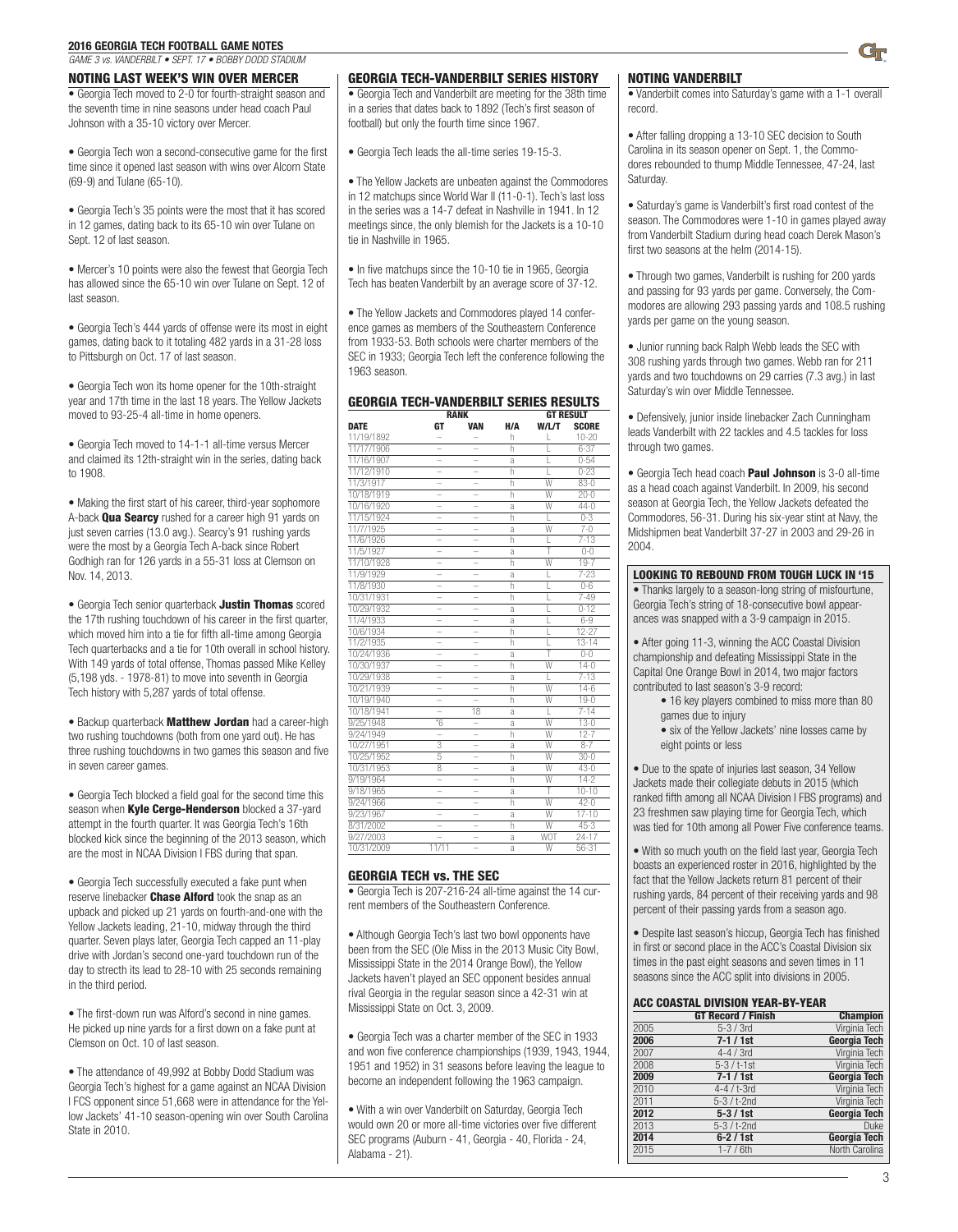*GAME 3 vs. VANDERBILT • SEPT. 17 • BOBBY DODD STADIUM*

#### NOTING LAST WEEK'S WIN OVER MERCER

• Georgia Tech moved to 2-0 for fourth-straight season and the seventh time in nine seasons under head coach Paul Johnson with a 35-10 victory over Mercer.

• Georgia Tech won a second-consecutive game for the first time since it opened last season with wins over Alcorn State (69-9) and Tulane (65-10).

• Georgia Tech's 35 points were the most that it has scored in 12 games, dating back to its 65-10 win over Tulane on Sept. 12 of last season.

• Mercer's 10 points were also the fewest that Georgia Tech has allowed since the 65-10 win over Tulane on Sept. 12 of last season.

• Georgia Tech's 444 yards of offense were its most in eight games, dating back to it totaling 482 yards in a 31-28 loss to Pittsburgh on Oct. 17 of last season.

• Georgia Tech won its home opener for the 10th-straight year and 17th time in the last 18 years. The Yellow Jackets moved to 93-25-4 all-time in home openers.

• Georgia Tech moved to 14-1-1 all-time versus Mercer and claimed its 12th-straight win in the series, dating back to 1908.

• Making the first start of his career, third-year sophomore A-back **Qua Searcy** rushed for a career high 91 yards on just seven carries (13.0 avg.). Searcy's 91 rushing yards were the most by a Georgia Tech A-back since Robert Godhigh ran for 126 yards in a 55-31 loss at Clemson on Nov. 14, 2013.

• Georgia Tech senior quarterback **Justin Thomas** scored the 17th rushing touchdown of his career in the first quarter, which moved him into a tie for fifth all-time among Georgia Tech quarterbacks and a tie for 10th overall in school history. With 149 yards of total offense, Thomas passed Mike Kelley (5,198 yds. - 1978-81) to move into seventh in Georgia Tech history with 5,287 yards of total offense.

• Backup quarterback Matthew Jordan had a career-high two rushing touchdowns (both from one yard out). He has three rushing touchdowns in two games this season and five in seven career games.

• Georgia Tech blocked a field goal for the second time this season when Kyle Cerge-Henderson blocked a 37-yard attempt in the fourth quarter. It was Georgia Tech's 16th blocked kick since the beginning of the 2013 season, which are the most in NCAA Division I FBS during that span.

• Georgia Tech successfully executed a fake punt when reserve linebacker **Chase Alford** took the snap as an upback and picked up 21 yards on fourth-and-one with the Yellow Jackets leading, 21-10, midway through the third quarter. Seven plays later, Georgia Tech capped an 11-play drive with Jordan's second one-yard touchdown run of the day to strecth its lead to 28-10 with 25 seconds remaining in the third period.

• The first-down run was Alford's second in nine games. He picked up nine yards for a first down on a fake punt at Clemson on Oct. 10 of last season.

• The attendance of 49,992 at Bobby Dodd Stadium was Georgia Tech's highest for a game against an NCAA Division I FCS opponent since 51,668 were in attendance for the Yellow Jackets' 41-10 season-opening win over South Carolina State in 2010.

#### GEORGIA TECH-VANDERBILT SERIES HISTORY

• Georgia Tech and Vanderbilt are meeting for the 38th time in a series that dates back to 1892 (Tech's first season of football) but only the fourth time since 1967.

• Georgia Tech leads the all-time series 19-15-3.

• The Yellow Jackets are unbeaten against the Commodores in 12 matchups since World War II (11-0-1). Tech's last loss in the series was a 14-7 defeat in Nashville in 1941. In 12 meetings since, the only blemish for the Jackets is a 10-10 tie in Nashville in 1965.

• In five matchups since the 10-10 tie in 1965, Georgia Tech has beaten Vanderbilt by an average score of 37-12.

• The Yellow Jackets and Commodores played 14 conference games as members of the Southeastern Conference from 1933-53. Both schools were charter members of the SEC in 1933; Georgia Tech left the conference following the 1963 season.

#### GEORGIA TECH-VANDERBILT SERIES RESULTS

|             | <b>RANK</b>    |            |     | <b>GT RESULT</b> |              |  |
|-------------|----------------|------------|-----|------------------|--------------|--|
| <b>DATE</b> | GT             | <b>VAN</b> | H/A | W/L/T            | <b>SCORE</b> |  |
| 11/19/1892  |                |            | h   | L                | $10 - 20$    |  |
| 11/17/1906  |                |            | h   |                  | $6 - 37$     |  |
| 11/16/1907  |                |            | a   |                  | $0 - 54$     |  |
| 11/12/1910  |                |            | h   |                  | $0 - 23$     |  |
| 11/3/1917   |                |            | h   | W                | $83 - 0$     |  |
| 10/18/1919  |                |            | h   | W                | $20 - 0$     |  |
| 10/16/1920  |                |            | a   | Ŵ                | $44-0$       |  |
| 11/15/1924  |                |            | h   |                  | $0 - 3$      |  |
| 11/7/1925   |                |            | a   | $\overline{W}$   | $7-0$        |  |
| 11/6/1926   |                |            | h   | L                | $7 - 13$     |  |
| 11/5/1927   |                |            | a   | T                | $0 - 0$      |  |
| 11/10/1928  |                |            | h   | W                | $19 - 7$     |  |
| 11/9/1929   |                |            | a   | L                | $7 - 23$     |  |
| 11/8/1930   |                |            | h   |                  | $0 - 6$      |  |
| 10/31/1931  |                |            | h   |                  | $7 - 49$     |  |
| 10/29/1932  |                |            | a   | L                | $0-12$       |  |
| 11/4/1933   |                |            | a   |                  | $6-9$        |  |
| 10/6/1934   |                |            | h   | L                | 12-27        |  |
| 11/2/1935   |                |            | h   |                  | $13 - 14$    |  |
| 10/24/1936  |                |            | a   |                  | $0 - 0$      |  |
| 10/30/1937  |                |            | h   | W                | $14-0$       |  |
| 10/29/1938  |                |            | a   |                  | $7 - 13$     |  |
| 10/21/1939  |                |            | h   | W                | $14-6$       |  |
| 10/19/1940  |                |            | h   | W                | $19-0$       |  |
| 10/18/1941  |                | 18         | a   |                  | $7 - 14$     |  |
| 9/25/1948   | $\overline{6}$ |            | a   | W                | $13-0$       |  |
| 9/24/1949   |                |            | h   | W                | $12 - 7$     |  |
| 10/27/1951  | 3              |            | a   | W                | $8-7$        |  |
| 10/25/1952  | 5              |            | h   | W                | $30-0$       |  |
| 10/31/1953  | 8              |            | a   | W                | $43-0$       |  |
| 9/19/1964   |                |            | h   | W                | $14 - 2$     |  |
| 9/18/1965   |                |            | a   | Ŧ                | $10-10$      |  |
| 9/24/1966   |                |            | h   | W                | $42 - 0$     |  |
| 9/23/1967   |                |            | a   | W                | $17 - 10$    |  |
| 8/31/2002   |                |            | h   | W                | $45-3$       |  |
| 9/27/2003   |                |            | a   | <b>WOT</b>       | $24-17$      |  |
| 10/31/2009  | 11/11          |            | a   | W                | $56 - 31$    |  |

#### GEORGIA TECH vs. THE SEC

• Georgia Tech is 207-216-24 all-time against the 14 current members of the Southeastern Conference.

• Although Georgia Tech's last two bowl opponents have been from the SEC (Ole Miss in the 2013 Music City Bowl, Mississippi State in the 2014 Orange Bowl), the Yellow Jackets haven't played an SEC opponent besides annual rival Georgia in the regular season since a 42-31 win at Mississippi State on Oct. 3, 2009.

• Georgia Tech was a charter member of the SEC in 1933 and won five conference championships (1939, 1943, 1944, 1951 and 1952) in 31 seasons before leaving the league to become an independent following the 1963 campaign.

• With a win over Vanderbilt on Saturday, Georgia Tech would own 20 or more all-time victories over five different SEC programs (Auburn - 41, Georgia - 40, Florida - 24, Alabama - 21).

### NOTING VANDERBILT

• Vanderbilt comes into Saturday's game with a 1-1 overall record.

• After falling dropping a 13-10 SEC decision to South Carolina in its season opener on Sept. 1, the Commodores rebounded to thump Middle Tennessee, 47-24, last Saturday.

• Saturday's game is Vanderbilt's first road contest of the season. The Commodores were 1-10 in games played away from Vanderbilt Stadium during head coach Derek Mason's first two seasons at the helm (2014-15).

• Through two games, Vanderbilt is rushing for 200 yards and passing for 93 yards per game. Conversely, the Commodores are allowing 293 passing yards and 108.5 rushing yards per game on the young season.

• Junior running back Ralph Webb leads the SEC with 308 rushing yards through two games. Webb ran for 211 yards and two touchdowns on 29 carries (7.3 avg.) in last Saturday's win over Middle Tennessee.

• Defensively, junior inside linebacker Zach Cunningham leads Vanderbilt with 22 tackles and 4.5 tackles for loss through two games.

• Georgia Tech head coach Paul Johnson is 3-0 all-time as a head coach against Vanderbilt. In 2009, his second season at Georgia Tech, the Yellow Jackets defeated the Commodores, 56-31. During his six-year stint at Navy, the Midshipmen beat Vanderbilt 37-27 in 2003 and 29-26 in 2004.

#### LOOKING TO REBOUND FROM TOUGH LUCK IN '15

• Thanks largely to a season-long string of misfourtune, Georgia Tech's string of 18-consecutive bowl appearances was snapped with a 3-9 campaign in 2015.

• After going 11-3, winning the ACC Coastal Division championship and defeating Mississippi State in the Capital One Orange Bowl in 2014, two major factors contributed to last season's 3-9 record:

- 16 key players combined to miss more than 80 games due to injury
- six of the Yellow Jackets' nine losses came by eight points or less

• Due to the spate of injuries last season, 34 Yellow Jackets made their collegiate debuts in 2015 (which ranked fifth among all NCAA Division I FBS programs) and 23 freshmen saw playing time for Georgia Tech, which was tied for 10th among all Power Five conference teams.

• With so much youth on the field last year, Georgia Tech boasts an experienced roster in 2016, highlighted by the fact that the Yellow Jackets return 81 percent of their rushing yards, 84 percent of their receiving yards and 98 percent of their passing yards from a season ago.

• Despite last season's hiccup, Georgia Tech has finished in first or second place in the ACC's Coastal Division six times in the past eight seasons and seven times in 11 seasons since the ACC split into divisions in 2005.

#### ACC COASTAL DIVISION YEAR-BY-YEAR

|      | <b>GT Record / Finish</b> | <b>Champion</b> |
|------|---------------------------|-----------------|
| 2005 | $5-3/3rd$                 | Virginia Tech   |
| 2006 | $7 - 1 / 1$ st            | Georgia Tech    |
| 2007 | $4-4/3rd$                 | Virginia Tech   |
| 2008 | $5 - 3 / t - 1$ st        | Virginia Tech   |
| 2009 | $7 - 1 / 1$ st            | Georgia Tech    |
| 2010 | $4-4$ / t-3rd             | Virginia Tech   |
| 2011 | $5-3 / t-2nd$             | Virginia Tech   |
| 2012 | $5 - 3 / 1$ st            | Georgia Tech    |
| 2013 | $5-3 / t-2nd$             | Duke            |
| 2014 | $6-2/1st$                 | Georgia Tech    |
| 2015 | $1 - 7 / 6$ th            | North Carolina  |
|      |                           |                 |

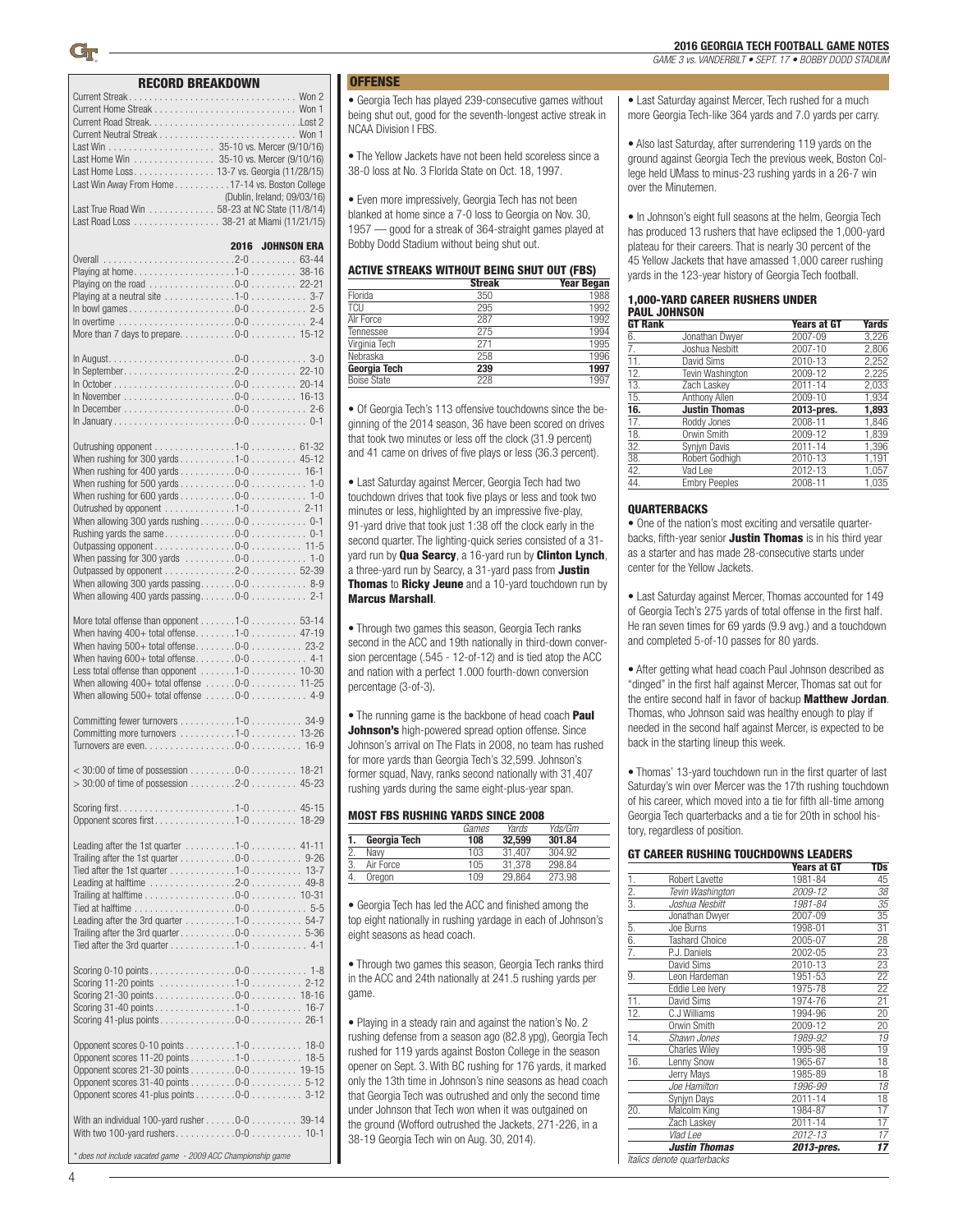#### RECORD BREAKDOWN

| RECORD BREAKDOWN                                                                                                                                                                                                                                                                                                                                                                                                                                                                 |                         |           |
|----------------------------------------------------------------------------------------------------------------------------------------------------------------------------------------------------------------------------------------------------------------------------------------------------------------------------------------------------------------------------------------------------------------------------------------------------------------------------------|-------------------------|-----------|
| Last Home Win 35-10 vs. Mercer (9/10/16)<br>Last Home Loss 13-7 vs. Georgia (11/28/15)<br>Last Win Away From Home17-14 vs. Boston College<br>(Dublin, Ireland; 09/03/16)<br>Last True Road Win 58-23 at NC State (11/8/14)<br>Last Road Loss 38-21 at Miami (11/21/15)                                                                                                                                                                                                           |                         |           |
| Playing at home1-0 38-16<br>Playing on the road $\ldots \ldots \ldots \ldots \ldots 0-0 \ldots \ldots 22-21$<br>Playing at a neutral site $\ldots \ldots \ldots \ldots 1-0 \ldots \ldots \ldots 3-7$                                                                                                                                                                                                                                                                             | <b>2016 JOHNSON ERA</b> |           |
|                                                                                                                                                                                                                                                                                                                                                                                                                                                                                  |                         |           |
| Outrushing opponent 1-0 61-32<br>When rushing for 300 yards 1-0 45-12<br>When rushing for 400 yards $\dots \dots \dots 0-0 \dots \dots \dots 16-1$<br>When rushing for 500 yards $\dots \dots \dots 0-0 \dots \dots \dots 1-0$<br>When rushing for 600 yards $\dots \dots \dots 0-0 \dots \dots \dots 1-0$<br>Outrushed by opponent 1-0 2-11<br>Outpassed by opponent 2-0 52-39                                                                                                  |                         |           |
| More total offense than opponent 1-0 53-14<br>When having $400+$ total offense1-0 47-19<br>Less total offense than opponent $\ldots \ldots 1-0 \ldots \ldots 10-30$<br>When allowing $400+$ total offense $\ldots \ldots 0-0 \ldots \ldots 11-25$<br>When allowing $500+$ total offense $\ldots \ldots 0-0 \ldots \ldots \ldots 4-9$                                                                                                                                             |                         |           |
| Committing fewer turnovers 1-0 34-9<br>Committing more turnovers 1-0 13-26                                                                                                                                                                                                                                                                                                                                                                                                       |                         |           |
| $>$ 30:00 of time of possession 2-0                                                                                                                                                                                                                                                                                                                                                                                                                                              |                         | $45 - 23$ |
| Opponent scores first1-0 18-29                                                                                                                                                                                                                                                                                                                                                                                                                                                   |                         |           |
| Leading after the 1st quarter 1-0 41-11<br>Trailing after the 1st quarter $\ldots \ldots \ldots 0-0 \ldots \ldots \ldots 9-26$<br>Tied after the 1st quarter $\ldots \ldots \ldots \ldots 1-0 \ldots \ldots \ldots 13-7$<br>Leading at halftime 2-0 49-8<br>Trailing at halftime $\ldots \ldots \ldots \ldots \ldots 0-0 \ldots \ldots 10-31$<br>Leading after the 3rd quarter 1-0 54-7<br>Tied after the 3rd quarter $\ldots \ldots \ldots \ldots 1-0 \ldots \ldots \ldots$ 4-1 |                         |           |
| Scoring 31-40 points 1-0 16-7                                                                                                                                                                                                                                                                                                                                                                                                                                                    |                         |           |
| Opponent scores 0-10 points 1-0 18-0<br>Opponent scores 11-20 points 1-0 18-5<br>Opponent scores 21-30 points 0-0 19-15<br>Opponent scores 41-plus points $\ldots \ldots \ldots 0$ -0 $\ldots \ldots \ldots 3$ -12                                                                                                                                                                                                                                                               |                         |           |
| With an individual 100-yard rusher $\ldots \ldots 0$ -0 $\ldots \ldots \ldots 39-14$                                                                                                                                                                                                                                                                                                                                                                                             |                         |           |
| * does not include vacated game - 2009 ACC Championship game                                                                                                                                                                                                                                                                                                                                                                                                                     |                         |           |

### **OFFENSE**

• Georgia Tech has played 239-consecutive games without being shut out, good for the seventh-longest active streak in NCAA Division I FBS.

• The Yellow Jackets have not been held scoreless since a 38-0 loss at No. 3 Florida State on Oct. 18, 1997.

• Even more impressively, Georgia Tech has not been blanked at home since a 7-0 loss to Georgia on Nov. 30, 1957 — good for a streak of 364-straight games played at Bobby Dodd Stadium without being shut out.

#### ACTIVE STREAKS WITHOUT BEING SHUT OUT (FBS)

|                    | <b>Streak</b> | <b>Year Began</b> |
|--------------------|---------------|-------------------|
| Florida            | 350           | 1988              |
| <b>TCU</b>         | 295           | 1992              |
| Alr Force          | 287           | 1992              |
| Tennessee          | 275           | 1994              |
| Virginia Tech      | 271           | 1995              |
| Nebraska           | 258           | 1996              |
| Georgia Tech       | 239           | 1997              |
| <b>Boise State</b> | 228           | 1997              |

• Of Georgia Tech's 113 offensive touchdowns since the beginning of the 2014 season, 36 have been scored on drives that took two minutes or less off the clock (31.9 percent) and 41 came on drives of five plays or less (36.3 percent).

• Last Saturday against Mercer, Georgia Tech had two touchdown drives that took five plays or less and took two minutes or less, highlighted by an impressive five-play, 91-yard drive that took just 1:38 off the clock early in the second quarter. The lighting-quick series consisted of a 31 yard run by **Qua Searcy**, a 16-yard run by **Clinton Lynch**, a three-yard run by Searcy, a 31-yard pass from **Justin** Thomas to Ricky Jeune and a 10-yard touchdown run by Marcus Marshall.

• Through two games this season, Georgia Tech ranks second in the ACC and 19th nationally in third-down conversion percentage (.545 - 12-of-12) and is tied atop the ACC and nation with a perfect 1.000 fourth-down conversion percentage (3-of-3).

• The running game is the backbone of head coach **Paul Johnson's** high-powered spread option offense. Since Johnson's arrival on The Flats in 2008, no team has rushed for more yards than Georgia Tech's 32,599. Johnson's former squad, Navy, ranks second nationally with 31,407 rushing yards during the same eight-plus-year span.

#### MOST FBS RUSHING YARDS SINCE 2008

|              | Games | Yards  | Yds/Gm |  |
|--------------|-------|--------|--------|--|
| Georgia Tech | 108   | 32,599 | 301.84 |  |
| Navv         | 103   | 31.407 | 304.92 |  |
| Air Force    | 105   | 31.378 | 298.84 |  |
| Oregon       | 109   | 29.864 | 273.98 |  |

• Georgia Tech has led the ACC and finished among the top eight nationally in rushing yardage in each of Johnson's eight seasons as head coach.

• Through two games this season, Georgia Tech ranks third in the ACC and 24th nationally at 241.5 rushing yards per game.

• Playing in a steady rain and against the nation's No. 2 rushing defense from a season ago (82.8 ypg), Georgia Tech rushed for 119 yards against Boston College in the season opener on Sept. 3. With BC rushing for 176 yards, it marked only the 13th time in Johnson's nine seasons as head coach that Georgia Tech was outrushed and only the second time under Johnson that Tech won when it was outgained on the ground (Wofford outrushed the Jackets, 271-226, in a 38-19 Georgia Tech win on Aug. 30, 2014).

• Last Saturday against Mercer, Tech rushed for a much more Georgia Tech-like 364 yards and 7.0 yards per carry.

• Also last Saturday, after surrendering 119 yards on the ground against Georgia Tech the previous week, Boston College held UMass to minus-23 rushing yards in a 26-7 win over the Minutemen.

• In Johnson's eight full seasons at the helm, Georgia Tech has produced 13 rushers that have eclipsed the 1,000-yard plateau for their careers. That is nearly 30 percent of the 45 Yellow Jackets that have amassed 1,000 career rushing yards in the 123-year history of Georgia Tech football.

#### 1,000-YARD CAREER RUSHERS UNDER PAUL JOHNSON

| <b>GT Rank</b>    |                      | <b>Years at GT</b> | <b>Yards</b> |
|-------------------|----------------------|--------------------|--------------|
| 6.                | Jonathan Dwyer       | 2007-09            | 3,226        |
| 7.                | Joshua Nesbitt       | 2007-10            | 2,806        |
| 11.               | David Sims           | 2010-13            | 2,252        |
| 12.               | Tevin Washington     | 2009-12            | 2,225        |
| $\overline{13}$ . | Zach Laskey          | 2011-14            | 2,033        |
| 15.               | Anthony Allen        | 2009-10            | 1.934        |
| 16.               | <b>Justin Thomas</b> | 2013-pres.         | 1,893        |
| 17.               | Roddy Jones          | 2008-11            | 1,846        |
| 18.               | Orwin Smith          | 2009-12            | 1.839        |
| 32.               | Synjyn Davis         | 2011-14            | 1,396        |
| 38.               | Robert Godhigh       | 2010-13            | 1,191        |
| 42.               | Vad Lee              | 2012-13            | 1,057        |
| 44.               | <b>Embry Peeples</b> | 2008-11            | 1,035        |
|                   |                      |                    |              |

#### **QUARTERBACKS**

• One of the nation's most exciting and versatile quarterbacks, fifth-year senior Justin Thomas is in his third year as a starter and has made 28-consecutive starts under center for the Yellow Jackets.

• Last Saturday against Mercer, Thomas accounted for 149 of Georgia Tech's 275 yards of total offense in the first half. He ran seven times for 69 yards (9.9 avg.) and a touchdown and completed 5-of-10 passes for 80 yards.

• After getting what head coach Paul Johnson described as "dinged" in the first half against Mercer, Thomas sat out for the entire second half in favor of backup Matthew Jordan. Thomas, who Johnson said was healthy enough to play if needed in the second half against Mercer, is expected to be back in the starting lineup this week.

• Thomas' 13-yard touchdown run in the first quarter of last Saturday's win over Mercer was the 17th rushing touchdown of his career, which moved into a tie for fifth all-time among Georgia Tech quarterbacks and a tie for 20th in school history, regardless of position.

#### GT CAREER RUSHING TOUCHDOWNS LEADERS

|                                |                             | <b>Years at GT</b> | TDs             |
|--------------------------------|-----------------------------|--------------------|-----------------|
|                                | Robert Lavette              | 1981-84            | 45              |
| $rac{1}{2}$ $rac{2}{3}$        | Tevin Washington            | 2009-12            | 38              |
|                                | Joshua Nesbitt              | 1981-84            | 35              |
|                                | Jonathan Dwyer              | 2007-09            | 35              |
|                                | Joe Burns                   | 1998-01            | 31              |
| $rac{5}{6}$ .<br>$rac{6}{7}$ . | <b>Tashard Choice</b>       | 2005-07            | 28              |
|                                | P.J. Daniels                | 2002-05            | 23              |
|                                | David Sims                  | 2010-13            | 23              |
| 9.                             | Leon Hardeman               | 1951-53            | 22              |
|                                | Eddie Lee Ivery             | 1975-78            | 22              |
| 11.                            | David Sims                  | 1974-76            | $\overline{21}$ |
| $\overline{12}$ .              | C.J Williams                | 1994-96            | $\overline{20}$ |
|                                | Orwin Smith                 | 2009-12            | 20              |
| 14.                            | Shawn Jones                 | 1989-92            | 19              |
|                                | <b>Charles Wiley</b>        | 1995-98            | 19              |
| 16.                            | Lenny Snow                  | 1965-67            | 18              |
|                                | Jerry Mays                  | 1985-89            | 18              |
|                                | Joe Hamilton                | 1996-99            | $\overline{18}$ |
|                                | Synjyn Days                 | 2011-14            | 18              |
| 20.                            | Malcolm King                | 1984-87            | $\overline{17}$ |
|                                | Zach Laskey                 | 2011-14            | $\overline{17}$ |
|                                | Vlad Lee                    | 2012-13            | $\overline{17}$ |
|                                | <b>Justin Thomas</b>        | 2013-pres.         | 17              |
|                                | Italics denote quarterbacks |                    |                 |
|                                |                             |                    |                 |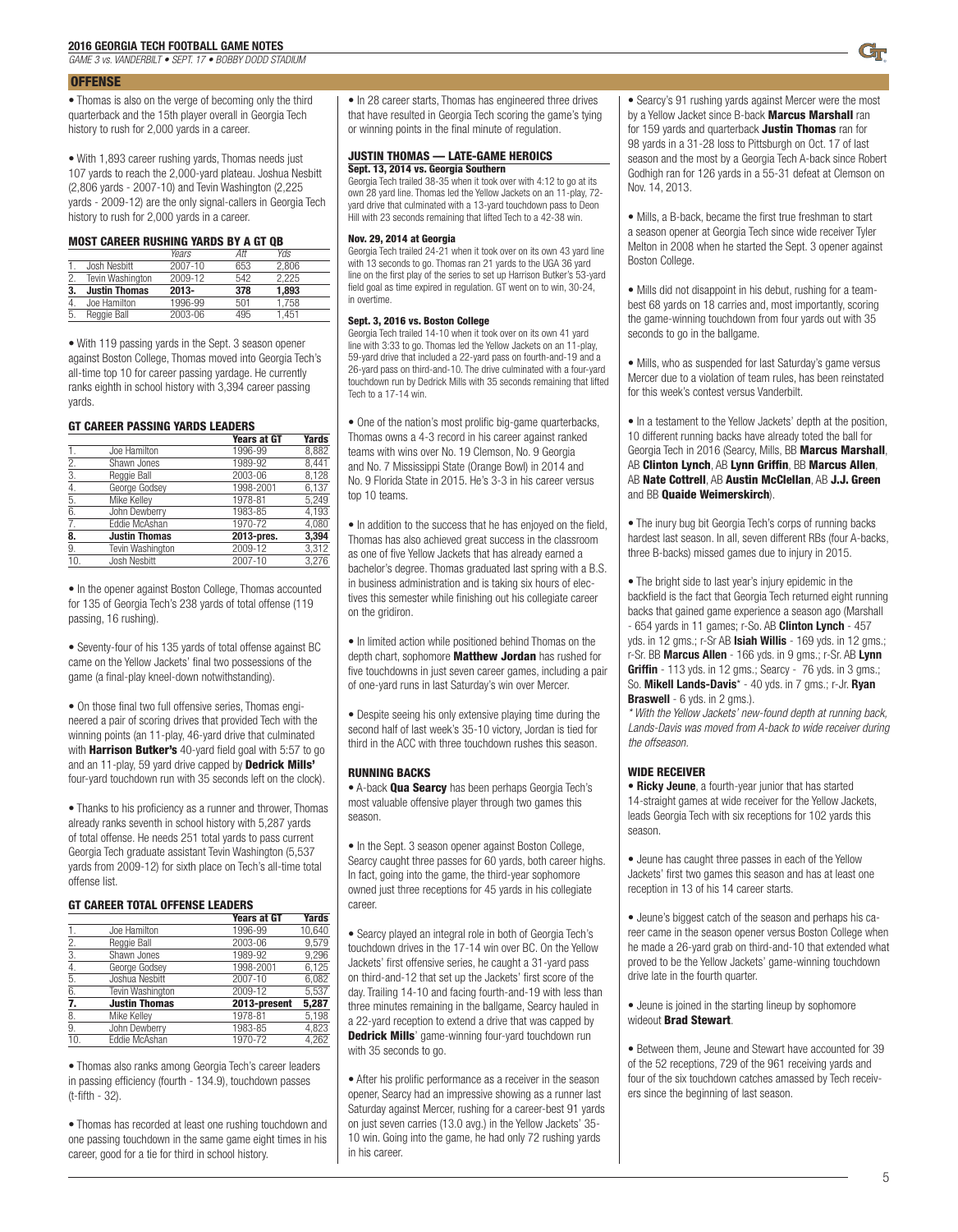*GAME 3 vs. VANDERBILT • SEPT. 17 • BOBBY DODD STADIUM*

#### **OFFENSE**

• Thomas is also on the verge of becoming only the third quarterback and the 15th player overall in Georgia Tech history to rush for 2,000 yards in a career.

• With 1,893 career rushing yards, Thomas needs just

107 yards to reach the 2,000-yard plateau. Joshua Nesbitt (2,806 yards - 2007-10) and Tevin Washington (2,225 yards - 2009-12) are the only signal-callers in Georgia Tech history to rush for 2,000 yards in a career.

#### MOST CAREER RUSHING YARDS BY A GT QB

|    |                      | Years    | Att | <b>Yds</b> |  |
|----|----------------------|----------|-----|------------|--|
|    | Josh Nesbitt         | 2007-10  | 653 | 2.806      |  |
| 2. | Tevin Washington     | 2009-12  | 542 | 2.225      |  |
| 3. | <b>Justin Thomas</b> | $2013 -$ | 378 | 1,893      |  |
| 4. | Joe Hamilton         | 1996-99  | 501 | 1.758      |  |
| 5. | Reggie Ball          | 2003-06  | 495 | 1.451      |  |

• With 119 passing yards in the Sept. 3 season opener against Boston College, Thomas moved into Georgia Tech's all-time top 10 for career passing yardage. He currently ranks eighth in school history with 3,394 career passing yards.

#### GT CAREER PASSING YARDS LEADERS

|                      | <b>Years at GT</b> | <b>Yards</b> |
|----------------------|--------------------|--------------|
| Joe Hamilton         | 1996-99            | 8,882        |
| Shawn Jones          | 1989-92            | 8.441        |
| Reggie Ball          | 2003-06            | 8,128        |
| George Godsey        | 1998-2001          | 6.137        |
| Mike Kelley          | 1978-81            | 5.249        |
| John Dewberry        | 1983-85            | 4,193        |
| Eddie McAshan        | 1970-72            | 4.080        |
| <b>Justin Thomas</b> | 2013-pres.         | 3,394        |
| Tevin Washington     | 2009-12            | 3,312        |
| Josh Nesbitt         | 2007-10            | 3,276        |
|                      |                    |              |

• In the opener against Boston College, Thomas accounted for 135 of Georgia Tech's 238 yards of total offense (119 passing, 16 rushing).

• Seventy-four of his 135 yards of total offense against BC came on the Yellow Jackets' final two possessions of the game (a final-play kneel-down notwithstanding).

• On those final two full offensive series, Thomas engineered a pair of scoring drives that provided Tech with the winning points (an 11-play, 46-yard drive that culminated with **Harrison Butker's** 40-yard field goal with 5:57 to go and an 11-play, 59 yard drive capped by **Dedrick Mills'** four-yard touchdown run with 35 seconds left on the clock).

• Thanks to his proficiency as a runner and thrower, Thomas already ranks seventh in school history with 5,287 yards of total offense. He needs 251 total yards to pass current Georgia Tech graduate assistant Tevin Washington (5,537 yards from 2009-12) for sixth place on Tech's all-time total offense list.

#### GT CAREER TOTAL OFFENSE LEADERS

|     |                      | <b>Years at GT</b> | <b>Yards</b> |
|-----|----------------------|--------------------|--------------|
| 1.  | Joe Hamilton         | 1996-99            | 10,640       |
| 2.  | Reggie Ball          | 2003-06            | 9,579        |
| 3.  | Shawn Jones          | 1989-92            | 9.296        |
| 4.  | George Godsey        | 1998-2001          | 6.125        |
| 5.  | Joshua Nesbitt       | 2007-10            | 6.082        |
| 6.  | Tevin Washington     | 2009-12            | 5.537        |
| 7.  | <b>Justin Thomas</b> | 2013-present       | 5,287        |
| 8.  | Mike Kelley          | 1978-81            | 5.198        |
| 9.  | John Dewberry        | 1983-85            | 4.823        |
| 10. | Eddie McAshan        | 1970-72            | 4.262        |

• Thomas also ranks among Georgia Tech's career leaders in passing efficiency (fourth - 134.9), touchdown passes (t-fifth - 32).

• Thomas has recorded at least one rushing touchdown and one passing touchdown in the same game eight times in his career, good for a tie for third in school history.

• In 28 career starts, Thomas has engineered three drives that have resulted in Georgia Tech scoring the game's tying or winning points in the final minute of regulation.

#### JUSTIN THOMAS — LATE-GAME HEROICS Sept. 13, 2014 vs. Georgia Southern

Georgia Tech trailed 38-35 when it took over with 4:12 to go at its own 28 yard line. Thomas led the Yellow Jackets on an 11-play, 72 yard drive that culminated with a 13-yard touchdown pass to Deon Hill with 23 seconds remaining that lifted Tech to a 42-38 win.

#### Nov. 29, 2014 at Georgia

Georgia Tech trailed 24-21 when it took over on its own 43 yard line with 13 seconds to go. Thomas ran 21 yards to the UGA 36 yard line on the first play of the series to set up Harrison Butker's 53-yard field goal as time expired in regulation. GT went on to win, 30-24, in overtime.

#### Sept. 3, 2016 vs. Boston College

Georgia Tech trailed 14-10 when it took over on its own 41 yard line with 3:33 to go. Thomas led the Yellow Jackets on an 11-play, 59-yard drive that included a 22-yard pass on fourth-and-19 and a 26-yard pass on third-and-10. The drive culminated with a four-yard touchdown run by Dedrick Mills with 35 seconds remaining that lifted Tech to a 17-14 win.

• One of the nation's most prolific big-game quarterbacks, Thomas owns a 4-3 record in his career against ranked teams with wins over No. 19 Clemson, No. 9 Georgia and No. 7 Mississippi State (Orange Bowl) in 2014 and No. 9 Florida State in 2015. He's 3-3 in his career versus top 10 teams.

• In addition to the success that he has enjoyed on the field, Thomas has also achieved great success in the classroom as one of five Yellow Jackets that has already earned a bachelor's degree. Thomas graduated last spring with a B.S. in business administration and is taking six hours of electives this semester while finishing out his collegiate career on the gridiron.

• In limited action while positioned behind Thomas on the depth chart, sophomore **Matthew Jordan** has rushed for five touchdowns in just seven career games, including a pair of one-yard runs in last Saturday's win over Mercer.

• Despite seeing his only extensive playing time during the second half of last week's 35-10 victory, Jordan is tied for third in the ACC with three touchdown rushes this season.

#### RUNNING BACKS

• A-back Qua Searcy has been perhaps Georgia Tech's most valuable offensive player through two games this season.

• In the Sept. 3 season opener against Boston College, Searcy caught three passes for 60 yards, both career highs. In fact, going into the game, the third-year sophomore owned just three receptions for 45 yards in his collegiate career.

• Searcy played an integral role in both of Georgia Tech's touchdown drives in the 17-14 win over BC. On the Yellow Jackets' first offensive series, he caught a 31-yard pass on third-and-12 that set up the Jackets' first score of the day. Trailing 14-10 and facing fourth-and-19 with less than three minutes remaining in the ballgame, Searcy hauled in a 22-yard reception to extend a drive that was capped by **Dedrick Mills'** game-winning four-yard touchdown run with 35 seconds to go.

• After his prolific performance as a receiver in the season opener, Searcy had an impressive showing as a runner last Saturday against Mercer, rushing for a career-best 91 yards on just seven carries (13.0 avg.) in the Yellow Jackets' 35- 10 win. Going into the game, he had only 72 rushing yards in his career.

• Searcy's 91 rushing yards against Mercer were the most by a Yellow Jacket since B-back Marcus Marshall ran for 159 yards and quarterback Justin Thomas ran for 98 yards in a 31-28 loss to Pittsburgh on Oct. 17 of last season and the most by a Georgia Tech A-back since Robert Godhigh ran for 126 yards in a 55-31 defeat at Clemson on Nov. 14, 2013.

• Mills, a B-back, became the first true freshman to start a season opener at Georgia Tech since wide receiver Tyler Melton in 2008 when he started the Sept. 3 opener against Boston College.

• Mills did not disappoint in his debut, rushing for a teambest 68 yards on 18 carries and, most importantly, scoring the game-winning touchdown from four yards out with 35 seconds to go in the ballgame.

• Mills, who as suspended for last Saturday's game versus Mercer due to a violation of team rules, has been reinstated for this week's contest versus Vanderbilt.

• In a testament to the Yellow Jackets' depth at the position, 10 different running backs have already toted the ball for Georgia Tech in 2016 (Searcy, Mills, BB Marcus Marshall, AB Clinton Lynch, AB Lynn Griffin, BB Marcus Allen, AB Nate Cottrell, AB Austin McClellan, AB J.J. Green and BB **Quaide Weimerskirch**).

• The inury bug bit Georgia Tech's corps of running backs hardest last season. In all, seven different RBs (four A-backs, three B-backs) missed games due to injury in 2015.

• The bright side to last year's injury epidemic in the backfield is the fact that Georgia Tech returned eight running backs that gained game experience a season ago (Marshall - 654 yards in 11 games; r-So. AB Clinton Lynch - 457 yds. in 12 gms.; r-Sr AB Isiah Willis - 169 yds. in 12 gms.; r-Sr. BB Marcus Allen - 166 yds. in 9 gms.; r-Sr. AB Lynn Griffin - 113 yds. in 12 gms.; Searcy - 76 yds. in 3 gms.; So. Mikell Lands-Davis\* - 40 yds. in 7 gms.; r-Jr. Ryan Braswell - 6 yds. in 2 gms.).

*\* With the Yellow Jackets' new-found depth at running back, Lands-Davis was moved from A-back to wide receiver during the offseason.*

#### WIDE RECEIVER

• Ricky Jeune, a fourth-year junior that has started 14-straight games at wide receiver for the Yellow Jackets, leads Georgia Tech with six receptions for 102 yards this season.

• Jeune has caught three passes in each of the Yellow Jackets' first two games this season and has at least one reception in 13 of his 14 career starts.

• Jeune's biggest catch of the season and perhaps his career came in the season opener versus Boston College when he made a 26-yard grab on third-and-10 that extended what proved to be the Yellow Jackets' game-winning touchdown drive late in the fourth quarter.

• Jeune is joined in the starting lineup by sophomore wideout Brad Stewart.

• Between them, Jeune and Stewart have accounted for 39 of the 52 receptions, 729 of the 961 receiving yards and four of the six touchdown catches amassed by Tech receivers since the beginning of last season.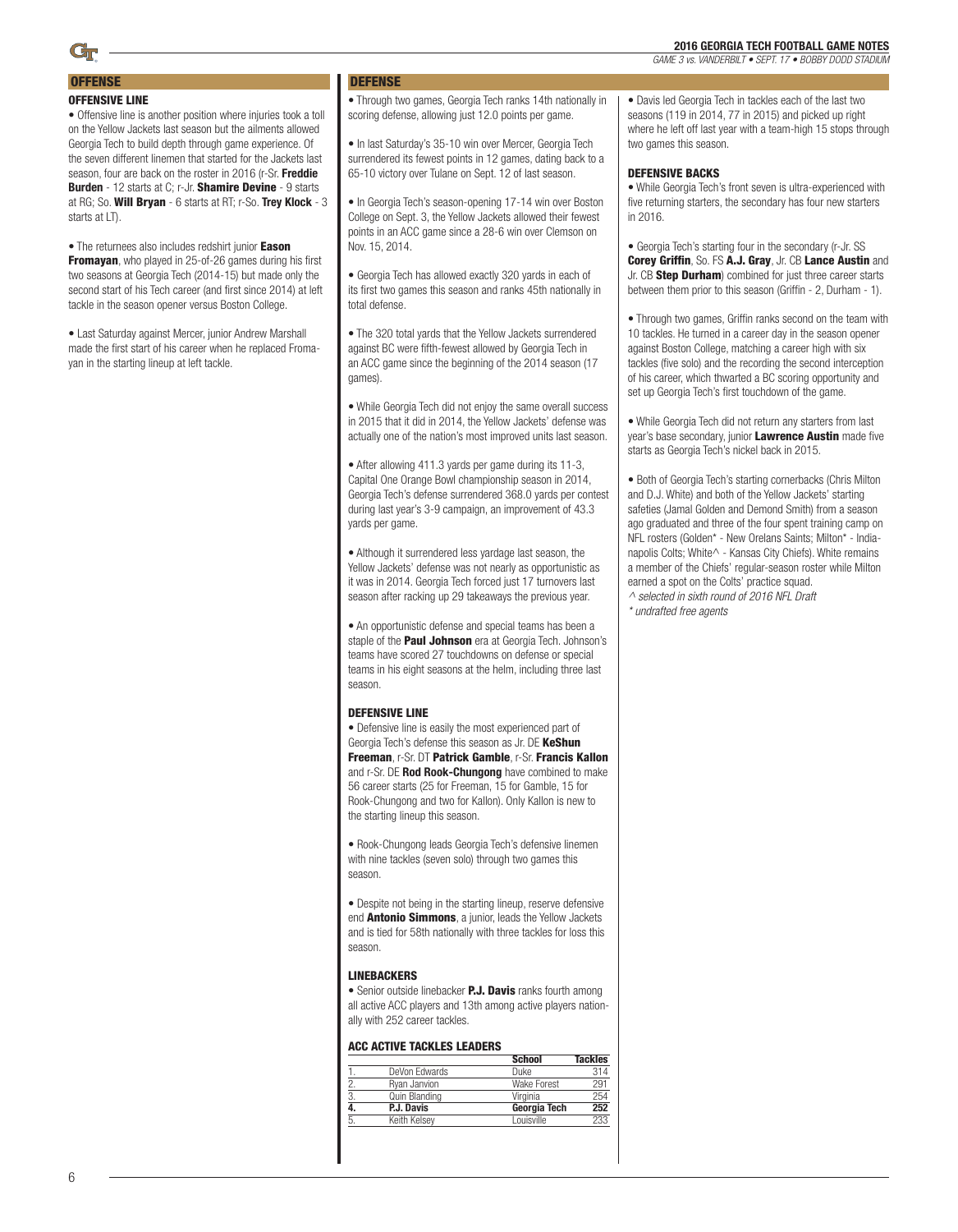**OFFENSE** 

### OFFENSIVE LINE

• Offensive line is another position where injuries took a toll on the Yellow Jackets last season but the ailments allowed Georgia Tech to build depth through game experience. Of the seven different linemen that started for the Jackets last season, four are back on the roster in 2016 (r-Sr. Freddie Burden - 12 starts at C; r-Jr. Shamire Devine - 9 starts at RG; So. Will Bryan - 6 starts at RT; r-So. Trey Klock - 3 starts at LT).

• The returnees also includes redshirt junior Eason Fromayan, who played in 25-of-26 games during his first two seasons at Georgia Tech (2014-15) but made only the second start of his Tech career (and first since 2014) at left tackle in the season opener versus Boston College.

• Last Saturday against Mercer, junior Andrew Marshall made the first start of his career when he replaced Fromayan in the starting lineup at left tackle.

### **DEFENSE**

• Through two games, Georgia Tech ranks 14th nationally in scoring defense, allowing just 12.0 points per game.

• In last Saturday's 35-10 win over Mercer, Georgia Tech surrendered its fewest points in 12 games, dating back to a 65-10 victory over Tulane on Sept. 12 of last season.

• In Georgia Tech's season-opening 17-14 win over Boston College on Sept. 3, the Yellow Jackets allowed their fewest points in an ACC game since a 28-6 win over Clemson on Nov. 15, 2014.

• Georgia Tech has allowed exactly 320 yards in each of its first two games this season and ranks 45th nationally in total defense.

• The 320 total yards that the Yellow Jackets surrendered against BC were fifth-fewest allowed by Georgia Tech in an ACC game since the beginning of the 2014 season (17 games).

• While Georgia Tech did not enjoy the same overall success in 2015 that it did in 2014, the Yellow Jackets' defense was actually one of the nation's most improved units last season.

• After allowing 411.3 yards per game during its 11-3, Capital One Orange Bowl championship season in 2014, Georgia Tech's defense surrendered 368.0 yards per contest during last year's 3-9 campaign, an improvement of 43.3 yards per game.

• Although it surrendered less yardage last season, the Yellow Jackets' defense was not nearly as opportunistic as it was in 2014. Georgia Tech forced just 17 turnovers last season after racking up 29 takeaways the previous year.

• An opportunistic defense and special teams has been a staple of the **Paul Johnson** era at Georgia Tech. Johnson's teams have scored 27 touchdowns on defense or special teams in his eight seasons at the helm, including three last season.

#### DEFENSIVE LINE

• Defensive line is easily the most experienced part of Georgia Tech's defense this season as Jr. DE KeShun Freeman, r-Sr. DT Patrick Gamble, r-Sr. Francis Kallon and r-Sr. DE Rod Rook-Chungong have combined to make 56 career starts (25 for Freeman, 15 for Gamble, 15 for Rook-Chungong and two for Kallon). Only Kallon is new to the starting lineup this season.

• Rook-Chungong leads Georgia Tech's defensive linemen with nine tackles (seven solo) through two games this season.

• Despite not being in the starting lineup, reserve defensive end **Antonio Simmons**, a junior, leads the Yellow Jackets and is tied for 58th nationally with three tackles for loss this season.

#### LINEBACKERS

• Senior outside linebacker **P.J. Davis** ranks fourth among all active ACC players and 13th among active players nationally with 252 career tackles.

#### ACC ACTIVE TACKLES LEADERS

|                  |               | <b>School</b>      | <b>Tackles</b> |
|------------------|---------------|--------------------|----------------|
|                  | DeVon Edwards | Duke               | 314            |
|                  | Ryan Janvion  | <b>Wake Forest</b> | 291            |
| 3.               | Quin Blanding | Virginia           | 254            |
| $\overline{4}$ . | P.J. Davis    | Georgia Tech       | 252            |
| .5.              | Keith Kelsev  | Louisville         | 233            |
|                  |               |                    |                |

• Davis led Georgia Tech in tackles each of the last two seasons (119 in 2014, 77 in 2015) and picked up right where he left off last year with a team-high 15 stops through two games this season.

#### DEFENSIVE BACKS

• While Georgia Tech's front seven is ultra-experienced with five returning starters, the secondary has four new starters in 2016.

• Georgia Tech's starting four in the secondary (r-Jr. SS Corey Griffin, So. FS A.J. Gray, Jr. CB Lance Austin and Jr. CB Step Durham) combined for just three career starts between them prior to this season (Griffin - 2, Durham - 1).

• Through two games, Griffin ranks second on the team with 10 tackles. He turned in a career day in the season opener against Boston College, matching a career high with six tackles (five solo) and the recording the second interception of his career, which thwarted a BC scoring opportunity and set up Georgia Tech's first touchdown of the game.

• While Georgia Tech did not return any starters from last year's base secondary, junior **Lawrence Austin** made five starts as Georgia Tech's nickel back in 2015.

• Both of Georgia Tech's starting cornerbacks (Chris Milton and D.J. White) and both of the Yellow Jackets' starting safeties (Jamal Golden and Demond Smith) from a season ago graduated and three of the four spent training camp on NFL rosters (Golden\* - New Orelans Saints; Milton\* - Indianapolis Colts; White^ - Kansas City Chiefs). White remains a member of the Chiefs' regular-season roster while Milton earned a spot on the Colts' practice squad. *^ selected in sixth round of 2016 NFL Draft*

*\* undrafted free agents*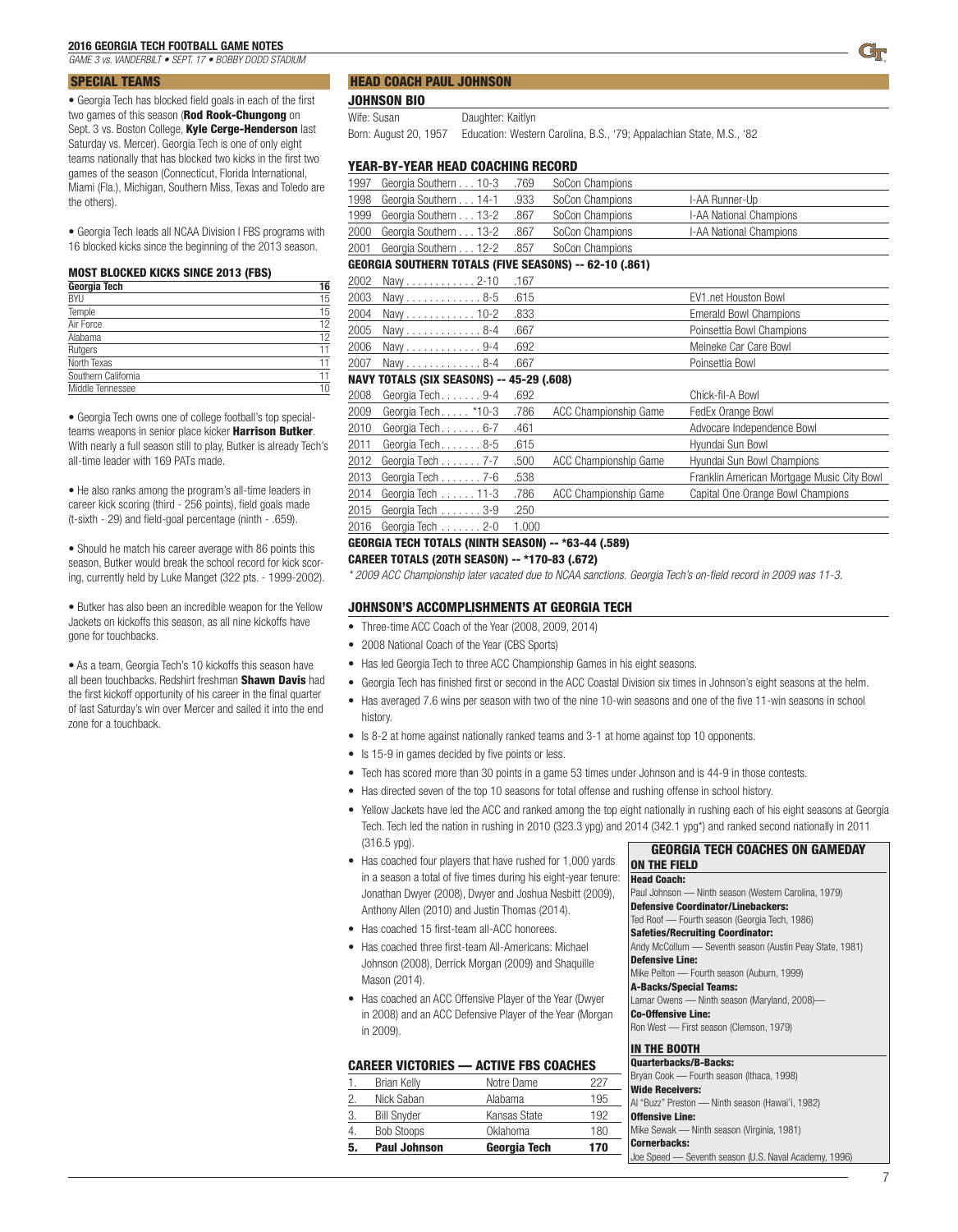*GAME 3 vs. VANDERBILT • SEPT. 17 • BOBBY DODD STADIUM*

### SPECIAL TEAMS

• Georgia Tech has blocked field goals in each of the first two games of this season (Rod Rook-Chungong on Sept. 3 vs. Boston College, Kyle Cerge-Henderson last Saturday vs. Mercer). Georgia Tech is one of only eight teams nationally that has blocked two kicks in the first two games of the season (Connecticut, Florida International, Miami (Fla.), Michigan, Southern Miss, Texas and Toledo are the others).

• Georgia Tech leads all NCAA Division I FBS programs with 16 blocked kicks since the beginning of the 2013 season.

#### MOST BLOCKED KICKS SINCE 2013 (FBS)

| Georgia Tech        | 16 |
|---------------------|----|
| <b>BYU</b>          | 15 |
| Temple              | 15 |
| Air Force           | 12 |
| Alabama             | 12 |
| Rutgers             | 11 |
| North Texas         | 11 |
| Southern California | 11 |
| Middle Tennessee    |    |

• Georgia Tech owns one of college football's top specialteams weapons in senior place kicker Harrison Butker. With nearly a full season still to play, Butker is already Tech's all-time leader with 169 PATs made.

• He also ranks among the program's all-time leaders in career kick scoring (third - 256 points), field goals made (t-sixth - 29) and field-goal percentage (ninth - .659).

• Should he match his career average with 86 points this season, Butker would break the school record for kick scoring, currently held by Luke Manget (322 pts. - 1999-2002).

• Butker has also been an incredible weapon for the Yellow Jackets on kickoffs this season, as all nine kickoffs have gone for touchbacks.

• As a team, Georgia Tech's 10 kickoffs this season have all been touchbacks. Redshirt freshman Shawn Davis had the first kickoff opportunity of his career in the final quarter of last Saturday's win over Mercer and sailed it into the end zone for a touchback.

#### HEAD COACH PAUL JOHNSON

JOHNSON BIO

Wife: Susan Daughter: Kaitlyn

Born: August 20, 1957 Education: Western Carolina, B.S., '79; Appalachian State, M.S., '82

### YEAR-BY-YEAR HEAD COACHING RECORD

| 1997 | Georgia Southern 10-3 .769                                    |      | SoCon Champions |                         |  |
|------|---------------------------------------------------------------|------|-----------------|-------------------------|--|
| 1998 | Georgia Southern 14-1 .933                                    |      | SoCon Champions | I-AA Runner-Up          |  |
|      | 1999 Georgia Southern 13-2                                    | .867 | SoCon Champions | I-AA National Champions |  |
|      | 2000 Georgia Southern 13-2 .867                               |      | SoCon Champions | I-AA National Champions |  |
|      | 2001 Georgia Southern 12-2 .857                               |      | SoCon Champions |                         |  |
|      | <b>GEORGIA SOUTHERN TOTALS (FIVE SEASONS) -- 62-10 (.861)</b> |      |                 |                         |  |
|      | .167. 2002 Navy 2-10                                          |      |                 |                         |  |

| 2003 Navy8-5 .615 | <b>FV1</b> net Houston Bowl |
|-------------------|-----------------------------|
|                   | Emerald Bowl Champions      |
|                   | Poinsettia Bowl Champions   |
|                   | Meineke Car Care Bowl       |
| 2007 Navy8-4 .667 | Poinsettia Bowl             |

#### NAVY TOTALS (SIX SEASONS) -- 45-29 (.608)

|      | 2008 Georgia Tech 9-4  | .692  |                              | Chick-fil-A Bowl                           |
|------|------------------------|-------|------------------------------|--------------------------------------------|
| 2009 | Georgia Tech *10-3     | .786  | ACC Championship Game        | FedEx Orange Bowl                          |
| 2010 | Georgia Tech 6-7       | .461  |                              | Advocare Independence Bowl                 |
|      | 2011 Georgia Tech 8-5  | .615  |                              | Hyundai Sun Bowl                           |
|      | 2012 Georgia Tech 7-7  | .500  | ACC Championship Game        | Hyundai Sun Bowl Champions                 |
|      | 2013 Georgia Tech 7-6  | .538  |                              | Franklin American Mortgage Music City Bowl |
|      | 2014 Georgia Tech 11-3 | .786  | <b>ACC Championship Game</b> | Capital One Orange Bowl Champions          |
|      | 2015 Georgia Tech 3-9  | .250  |                              |                                            |
|      | 2016 Georgia Tech 2-0  | 1.000 |                              |                                            |
|      |                        |       |                              |                                            |

### GEORGIA TECH TOTALS (NINTH SEASON) -- \*63-44 (.589)

CAREER TOTALS (20TH SEASON) -- \*170-83 (.672)

*\* 2009 ACC Championship later vacated due to NCAA sanctions. Georgia Tech's on-field record in 2009 was 11-3.*

#### JOHNSON'S ACCOMPLISHMENTS AT GEORGIA TECH

- Three-time ACC Coach of the Year (2008, 2009, 2014)
- 2008 National Coach of the Year (CBS Sports)
- Has led Georgia Tech to three ACC Championship Games in his eight seasons.
- Georgia Tech has finished first or second in the ACC Coastal Division six times in Johnson's eight seasons at the helm.
- Has averaged 7.6 wins per season with two of the nine 10-win seasons and one of the five 11-win seasons in school history.
- Is 8-2 at home against nationally ranked teams and 3-1 at home against top 10 opponents.
- Is 15-9 in games decided by five points or less.
- Tech has scored more than 30 points in a game 53 times under Johnson and is 44-9 in those contests.
- Has directed seven of the top 10 seasons for total offense and rushing offense in school history.
- Yellow Jackets have led the ACC and ranked among the top eight nationally in rushing each of his eight seasons at Georgia Tech. Tech led the nation in rushing in 2010 (323.3 ypg) and 2014 (342.1 ypg\*) and ranked second nationally in 2011 (316.5 ypg). GEORGIA TECH COACHES ON GAMEDAY
- Has coached four players that have rushed for 1,000 yards in a season a total of five times during his eight-year tenure: Jonathan Dwyer (2008), Dwyer and Joshua Nesbitt (2009), Anthony Allen (2010) and Justin Thomas (2014).
- Has coached 15 first-team all-ACC honorees.
- Has coached three first-team All-Americans: Michael Johnson (2008), Derrick Morgan (2009) and Shaquille Mason (2014).
- Has coached an ACC Offensive Player of the Year (Dwyer in 2008) and an ACC Defensive Player of the Year (Morgan in 2009).

### CAREER VICTORIES — ACTIVE FBS COACHES

| 5. | <b>Paul Johnson</b> | Georgia Tech | 170 |
|----|---------------------|--------------|-----|
| 4  | <b>Bob Stoops</b>   | Oklahoma     | 180 |
| 3. | <b>Bill Snyder</b>  | Kansas State | 192 |
| 2  | Nick Saban          | Alabama      | 195 |
|    | <b>Brian Kelly</b>  | Notre Dame   | 227 |

| <b>ON THE FIELD</b>                                      |
|----------------------------------------------------------|
| <b>Head Coach:</b>                                       |
| Paul Johnson - Ninth season (Western Carolina, 1979)     |
| <b>Defensive Coordinator/Linebackers:</b>                |
| Ted Roof — Fourth season (Georgia Tech, 1986)            |
| <b>Safeties/Recruiting Coordinator:</b>                  |
| Andy McCollum - Seventh season (Austin Peay State, 1981) |
| <b>Defensive Line:</b>                                   |
| Mike Pelton - Fourth season (Auburn, 1999)               |
| <b>A-Backs/Special Teams:</b>                            |
| Lamar Owens - Ninth season (Maryland, 2008)-             |
| <b>Co-Offensive Line:</b>                                |
| Ron West - First season (Clemson, 1979)                  |
| <b>IN THE BOOTH</b>                                      |
| <b>Quarterbacks/B-Backs:</b>                             |
|                                                          |

| <b>Quarterbacks/B-Backs:</b>                          |
|-------------------------------------------------------|
| Bryan Cook — Fourth season (Ithaca, 1998)             |
| <b>Wide Receivers:</b>                                |
| Al "Buzz" Preston — Ninth season (Hawai'i, 1982)      |
| <b>Offensive Line:</b>                                |
| Mike Sewak - Ninth season (Virginia, 1981)            |
| <b>Cornerbacks:</b>                                   |
| Joe Speed - Seventh season (U.S. Naval Academy, 1996) |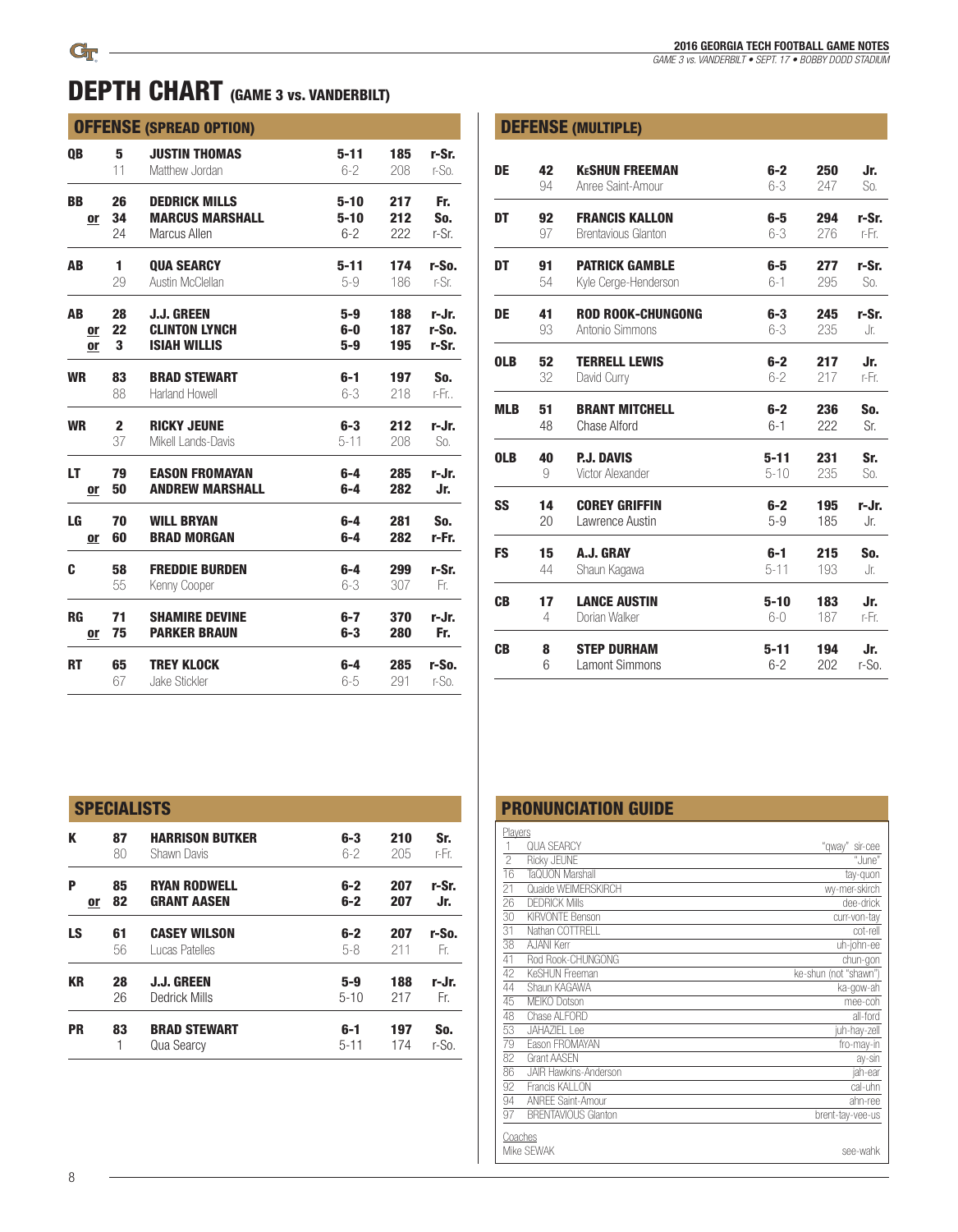## OFFENSE (SPREAD OPTION)

| <b>QB</b> | 5            | <b>JUSTIN THOMAS</b>   | $5 - 11$ | 185 | r-Sr.   |
|-----------|--------------|------------------------|----------|-----|---------|
|           | 11           | Matthew Jordan         | $6-2$    | 208 | $r-S0$  |
| <b>BB</b> | 26           | <b>DEDRICK MILLS</b>   | $5 - 10$ | 217 | Fr.     |
| or        | 34           | <b>MARCUS MARSHALL</b> | $5 - 10$ | 212 | So.     |
|           | 24           | Marcus Allen           | $6 - 2$  | 222 | r-Sr.   |
| AB        | 1            | <b>QUA SEARCY</b>      | $5 - 11$ | 174 | r-So.   |
|           | 29           | Austin McClellan       | $5-9$    | 186 | r-Sr.   |
| AB        | 28           | <b>J.J. GREEN</b>      | $5-9$    | 188 | r-Jr.   |
| 0ľ        | 22           | <b>CLINTON LYNCH</b>   | 6-0      | 187 | r-So.   |
| or        | 3            | <b>ISIAH WILLIS</b>    | $5-9$    | 195 | r-Sr.   |
| <b>WR</b> | 83           | <b>BRAD STEWART</b>    | $6-1$    | 197 | So.     |
|           | 88           | Harland Howell         | $6 - 3$  | 218 | r-Fr. . |
| <b>WR</b> | $\mathbf{2}$ | <b>RICKY JEUNE</b>     | $6-3$    | 212 | r-Jr.   |
|           | 37           | Mikell Lands-Davis     | $5 - 11$ | 208 | So.     |
| LT        | 79           | <b>EASON FROMAYAN</b>  | $6-4$    | 285 | r-Jr.   |
| or        | 50           | <b>ANDREW MARSHALL</b> | $6-4$    | 282 | Jr.     |
| LG        | 70           | <b>WILL BRYAN</b>      | $6-4$    | 281 | So.     |
| <b>or</b> | 60           | <b>BRAD MORGAN</b>     | $6-4$    | 282 | r-Fr.   |
| C         | 58           | <b>FREDDIE BURDEN</b>  | $6-4$    | 299 | r-Sr.   |
|           | 55           | Kenny Cooper           | $6 - 3$  | 307 | Fr.     |
| <b>RG</b> | 71           | <b>SHAMIRE DEVINE</b>  | $6-7$    | 370 | r-Jr.   |
| <u>or</u> | 75           | <b>PARKER BRAUN</b>    | $6 - 3$  | 280 | Fr.     |
| <b>RT</b> | 65           | <b>TREY KLOCK</b>      | $6-4$    | 285 | r-So.   |
|           | 67           | Jake Stickler          | $6 - 5$  | 291 | $r-S0$  |

*GAME 3 vs. VANDERBILT • SEPT. 17 • BOBBY DODD STADIUM*

|            |    | <b>DEFENSE (MULTIPLE)</b>  |          |     |          |
|------------|----|----------------------------|----------|-----|----------|
| DE         | 42 | <b>KESHUN FREEMAN</b>      | $6-2$    | 250 | Jr.      |
|            | 94 | Anree Saint-Amour          | $6 - 3$  | 247 | So.      |
| DT         | 92 | <b>FRANCIS KALLON</b>      | $6-5$    | 294 | r-Sr.    |
|            | 97 | <b>Brentavious Glanton</b> | $6-3$    | 276 | r-Fr.    |
| DT         | 91 | <b>PATRICK GAMBLE</b>      | 6-5      | 277 | r-Sr.    |
|            | 54 | Kyle Cerge-Henderson       | $6-1$    | 295 | So.      |
| DE         | 41 | <b>ROD ROOK-CHUNGONG</b>   | $6-3$    | 245 | r-Sr.    |
|            | 93 | Antonio Simmons            | $6 - 3$  | 235 | Jr.      |
| <b>OLB</b> | 52 | <b>TERRELL LEWIS</b>       | $6-2$    | 217 | Jr.      |
|            | 32 | David Curry                | $6-2$    | 217 | r-Fr.    |
| <b>MLB</b> | 51 | <b>BRANT MITCHELL</b>      | $6-2$    | 236 | So.      |
|            | 48 | Chase Alford               | $6 - 1$  | 222 | Sr.      |
| <b>OLB</b> | 40 | <b>P.J. DAVIS</b>          | $5 - 11$ | 231 | Sr.      |
|            | 9  | Victor Alexander           | $5 - 10$ | 235 | So.      |
| SS         | 14 | <b>COREY GRIFFIN</b>       | $6-2$    | 195 | r-Jr.    |
|            | 20 | Lawrence Austin            | $5-9$    | 185 | Jr.      |
| <b>FS</b>  | 15 | A.J. GRAY                  | $6-1$    | 215 | So.      |
|            | 44 | Shaun Kagawa               | $5 - 11$ | 193 | Jr.      |
| <b>CB</b>  | 17 | <b>LANCE AUSTIN</b>        | $5 - 10$ | 183 | Jr.      |
|            | 4  | Dorian Walker              | $6 - 0$  | 187 | r-Fr.    |
| <b>CB</b>  | 8  | <b>STEP DURHAM</b>         | $5 - 11$ | 194 | Jr.      |
|            | 6  | <b>Lamont Simmons</b>      | $6 - 2$  | 202 | $r-S0$ . |

|  | <b>PRONUNCIATION GUIDE</b> |  |  |  |  |
|--|----------------------------|--|--|--|--|
|  |                            |  |  |  |  |
|  |                            |  |  |  |  |

| Players         | <b>QUA SEARCY</b>            | "qway" sir-cee        |
|-----------------|------------------------------|-----------------------|
| $\overline{c}$  | Ricky JEUNE                  | "June"                |
| 16              | TaQUON Marshall              | tay-quon              |
| 21              | Quaide WFIMFRSKIRCH          | wy-mer-skirch         |
| 26              | <b>DEDRICK Mills</b>         | dee-drick             |
| 30              | KIRVONTF Benson              | curr-von-tay          |
| 31              | Nathan COTTRELL              | cot-rell              |
| 38              | AJANI Kerr                   | uh-john-ee            |
| 41              | Rod Rook-CHUNGONG            | chun-gon              |
| 42              | KeSHUN Freeman               | ke-shun (not "shawn") |
| 44              | Shaun KAGAWA                 | ka-gow-ah             |
| 45              | <b>MEIKO Dotson</b>          | mee-coh               |
| 48              | Chase ALFORD                 | all-ford              |
| 53              | <b>JAHAZIEL Lee</b>          | juh-hay-zell          |
| 79              | Eason FROMAYAN               | fro-may-in            |
| 82              | <b>Grant AASFN</b>           | ay-sin                |
| 86              | <b>JAIR Hawkins-Anderson</b> | jah-ear               |
| $\overline{92}$ | Francis KALLON               | cal-uhn               |
| $\overline{94}$ | <b>ANREE Saint-Amour</b>     | ahn-ree               |
| $\overline{97}$ | <b>BRENTAVIOUS Glanton</b>   | brent-tay-vee-us      |
| Coaches         |                              |                       |
|                 | Mike SFWAK                   | see-wahk              |

|          |                                           |                    |            |              | <b>PRONUNCIATION GUIDE</b>                                                                                  |
|----------|-------------------------------------------|--------------------|------------|--------------|-------------------------------------------------------------------------------------------------------------|
| 87<br>80 | <b>HARRISON BUTKER</b><br>Shawn Davis     | $6-3$<br>$6 - 2$   | 210<br>205 | Sr.<br>r-Fr. | Players<br><b>QUA SEARCY</b><br>$\overline{c}$<br><b>Ricky JEUNE</b>                                        |
| 85<br>82 | <b>RYAN RODWELL</b><br><b>GRANT AASEN</b> | $6-2$<br>$6-2$     | 207<br>207 | r-Sr.<br>Jr. | 16<br>TaQUON Marshall<br>21<br>Quaide WEIMERSKIRCH<br>26<br><b>DEDRICK Mills</b>                            |
| 61<br>56 | <b>CASEY WILSON</b><br>Lucas Patelles     | $6-2$<br>$5-8$     | 207<br>211 | r-So.<br>Fr. | 30<br><b>KIRVONTE Benson</b><br>Nathan COTTRELL<br>31<br>38<br><b>AJANI Kerr</b><br>41<br>Rod Rook-CHUNGONG |
| 28<br>26 | <b>J.J. GREEN</b><br>Dedrick Mills        | $5-9$<br>$5 - 10$  | 188<br>217 | r-Jr.<br>Fr. | 42<br>KeSHUN Freeman<br>44<br>Shaun KAGAWA<br>45<br>MEIKO Dotson                                            |
| 83       | <b>BRAD STEWART</b><br>Qua Searcy         | 6-1<br>$5 - 11$    | 197<br>174 | So.<br>r-So. | 48<br>Chase ALFORD<br>53<br><b>JAHAZIEL Lee</b><br>79<br>Eason FROMAYAN<br>82<br><b>Grant AASEN</b>         |
|          | or                                        | <b>SPECIALISTS</b> |            |              |                                                                                                             |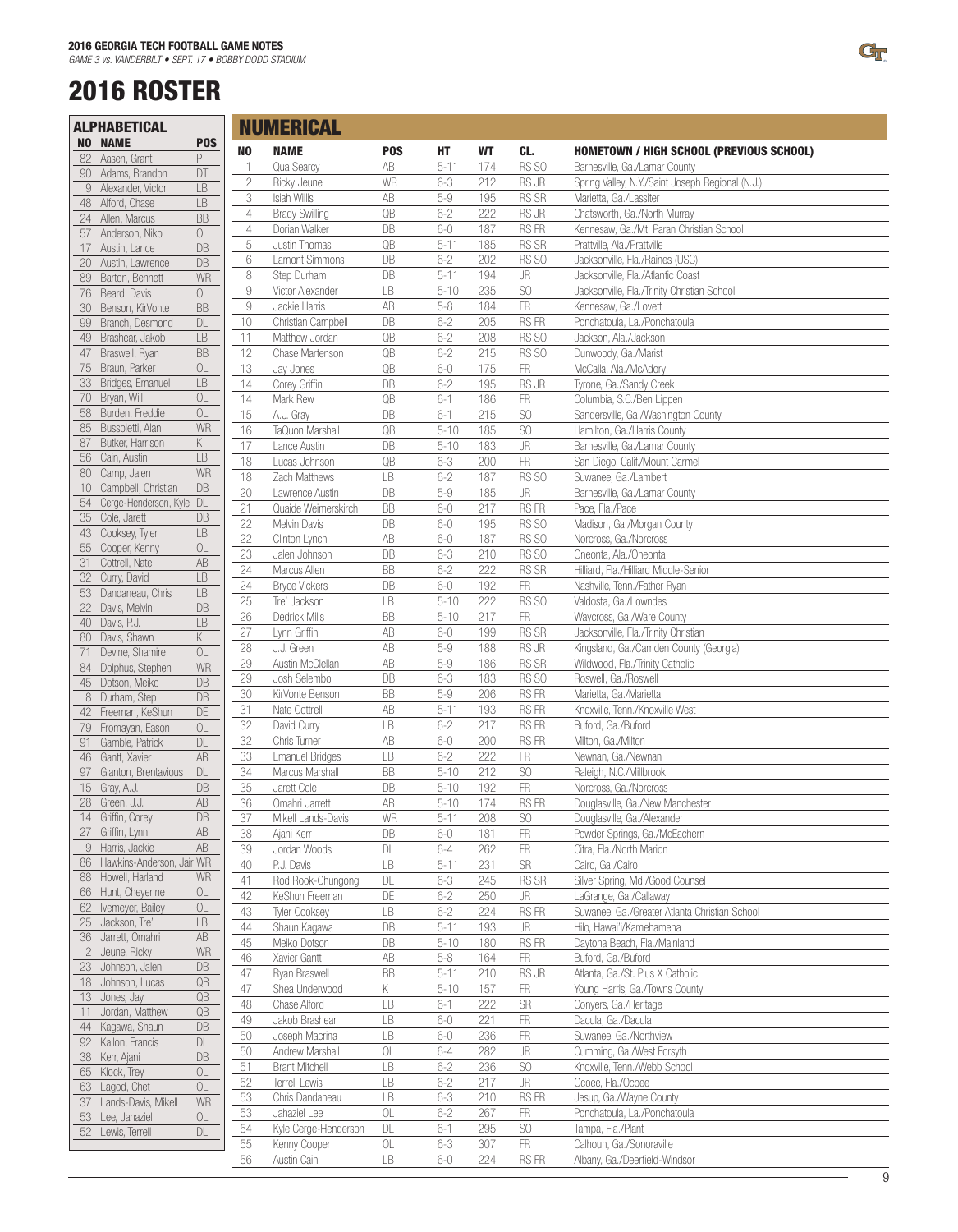## 2016 ROSTER

|          | <b>ALPHABETICAL</b>                             |                              |                | <b>NUMERICAL</b>                              |                                                         |                    |            |                        |                                                   |
|----------|-------------------------------------------------|------------------------------|----------------|-----------------------------------------------|---------------------------------------------------------|--------------------|------------|------------------------|---------------------------------------------------|
|          | <b>NO NAME</b>                                  | <b>POS</b>                   | N <sub>0</sub> | <b>NAME</b>                                   | <b>POS</b>                                              | HТ                 | WT         | CL.                    | <b>HOMETOWN / HIGH SCHOOL (PREVIOUS SCHOOL)</b>   |
| 82       | Aasen, Grant                                    | P                            | $\mathbf{1}$   | Qua Searcy                                    | AB                                                      | $5 - 11$           | 174        | RS SO                  | Barnesville, Ga./Lamar County                     |
|          | 90 Adams, Brandon                               | $\Box$                       | $\sqrt{2}$     | Ricky Jeune                                   | WR                                                      | $6 - 3$            | 212        | RS JR                  | Spring Valley, N.Y./Saint Joseph Regional (N.J.)  |
|          | 9 Alexander, Victor                             | LB                           | 3              | Isiah Willis                                  | $\mathsf{AB}$                                           | $5-9$              | 195        | RS SR                  | Marietta, Ga./Lassiter                            |
|          | 48 Alford, Chase                                | LB                           | $\overline{4}$ | <b>Brady Swilling</b>                         | $\mathbb{Q}\mathbb{B}$                                  | $6 - 2$            | 222        | RS JR                  | Chatsworth, Ga./North Murray                      |
|          | 24 Allen, Marcus                                | $\overline{\mathsf{BB}}$     | $\overline{4}$ | Dorian Walker                                 | DB                                                      | $6 - 0$            | 187        | RS FR                  | Kennesaw, Ga./Mt. Paran Christian School          |
| 57       | Anderson, Niko                                  | OL                           | 5              | Justin Thomas                                 | QB                                                      | $5 - 11$           | 185        | RS SR                  | Prattville, Ala./Prattville                       |
| 17       | Austin, Lance                                   | DB<br>DB                     | 6              | Lamont Simmons                                | DB                                                      | $6 - 2$            | 202        | RS SO                  | Jacksonville, Fla./Raines (USC)                   |
| 20<br>89 | Austin, Lawrence<br>Barton, Bennett             | WR                           | 8              | Step Durham                                   | DB                                                      | $5 - 11$           | 194        | JR                     | Jacksonville, Fla./Atlantic Coast                 |
| 76       | Beard, Davis                                    | OL                           | $\hbox{9}$     | Victor Alexander                              | $\mathsf{LB}% =\mathsf{CE} \left( \mathsf{CE} \right)$  | $5 - 10$           | 235        | SO                     | Jacksonville, Fla./Trinity Christian School       |
| 30       | Benson, KirVonte                                | <b>BB</b>                    | $\hbox{9}$     | Jackie Harris                                 | AB                                                      | $5 - 8$            | 184        | ${\sf FR}$             | Kennesaw, Ga./Lovett                              |
| 99       | Branch, Desmond                                 | $\mathsf{DL}$                | $10$           | Christian Campbell                            | DB                                                      | $6 - 2$            | 205        | RS FR                  | Ponchatoula, La./Ponchatoula                      |
| 49       | Brashear, Jakob                                 | LB                           | 11             | Matthew Jordan                                | QB                                                      | $6 - 2$            | 208        | RS SO                  | Jackson, Ala./Jackson                             |
| 47       | Braswell, Ryan                                  | BB                           | 12             | Chase Martenson                               | $\mathsf{QB}% _{\mathrm{CL}}^{\mathrm{CL}}(\mathbb{R})$ | $6 - 2$            | 215        | RS SO                  | Dunwoody, Ga./Marist                              |
| 75       | Braun, Parker                                   | $\hbox{OL}$                  | 13             | Jay Jones                                     | $\mathbb{Q}\mathbb{B}$                                  | $6-0$              | 175        | <b>FR</b>              | McCalla, Ala./McAdory                             |
| 33       | Bridges, Emanuel                                | LB                           | 14             | Corey Griffin                                 | DB                                                      | $6 - 2$            | 195        | RS JR                  | Tyrone, Ga./Sandy Creek                           |
| 70       | Bryan, Will                                     | OL                           | 14             | Mark Rew                                      | QB                                                      | $6-1$              | 186        | FR                     | Columbia, S.C./Ben Lippen                         |
| 58       | Burden, Freddie                                 | OL                           | 15             | A.J. Grav                                     | DB                                                      | $6-1$              | 215        | SO                     | Sandersville, Ga./Washington County               |
| 85       | Bussoletti, Alan                                | WR                           | 16             | TaQuon Marshall                               | $\mathbb{Q}\mathbb{B}$                                  | $5 - 10$           | 185        | SO                     | Hamilton, Ga./Harris County                       |
| 87       | Butker, Harrison                                | K                            | 17             | Lance Austin                                  | DB                                                      | $5 - 10$           | 183        | $\mathsf{J}\mathsf{R}$ | Barnesville, Ga./Lamar County                     |
| 56       | Cain, Austin                                    | <b>LB</b>                    | 18             | Lucas Johnson                                 | QB                                                      | $6 - 3$            | 200        | FR                     | San Diego, Calif./Mount Carmel                    |
| 80       | Camp, Jalen                                     | WR                           | 18             | Zach Matthews                                 | LB                                                      | $6 - 2$            | 187        | RS SO                  | Suwanee, Ga./Lambert                              |
| 10       | Campbell, Christian<br>Cerge-Henderson, Kyle DL | DB                           | 20             | Lawrence Austin                               | DB                                                      | $5-9$              | 185        | JR                     | Barnesville, Ga./Lamar County                     |
| 54       | 35 Cole, Jarett                                 | DB                           | 21             | Quaide Weimerskirch                           | BB                                                      | $6 - 0$            | 217        | RS FR                  | Pace, Fla./Pace                                   |
|          | 43 Cooksey, Tyler                               | LB                           | 22             | Melvin Davis                                  | DB                                                      | $6 - 0$            | 195        | RS SO                  | Madison, Ga./Morgan County                        |
| 55       | Cooper, Kenny                                   | $\hbox{OL}$                  | 22             | Clinton Lynch                                 | $\mathsf{AB}$                                           | $6 - 0$            | 187        | RS SO                  | Norcross, Ga./Norcross                            |
| 31       | Cottrell, Nate                                  | $\overline{\mathsf{AB}}$     | 23             | Jalen Johnson                                 | DB                                                      | $6 - 3$            | 210        | RS SO                  | Oneonta, Ala./Oneonta                             |
| 32       | Curry, David                                    | LB                           | 24             | Marcus Allen                                  | <b>BB</b>                                               | $6 - 2$            | 222        | RS SR                  | Hilliard, Fla./Hilliard Middle-Senior             |
| 53       | Dandaneau, Chris                                | LB                           | 24             | <b>Bryce Vickers</b>                          | DB                                                      | $6 - 0$            | 192        | ${\sf FR}$             | Nashville, Tenn./Father Ryan                      |
| 22       | Davis, Melvin                                   | $\mathsf{DB}$                | 25             | Tre' Jackson                                  | LB                                                      | $5 - 10$           | 222        | RS SO                  | Valdosta, Ga./Lowndes                             |
| 40       | Davis, P.J.                                     | LB                           | 26             | Dedrick Mills                                 | BB                                                      | $5 - 10$           | 217        | ${\sf FR}$             | Waycross, Ga./Ware County                         |
| 80       | Davis, Shawn                                    | K                            | 27             | Lynn Griffin                                  | $\mathsf{AB}$                                           | $6-0$              | 199        | RS SR                  | Jacksonville, Fla./Trinity Christian              |
| 71       | Devine, Shamire                                 | OL                           | 28             | J.J. Green                                    | $\mathsf{AB}$                                           | $5-9$              | 188        | RS JR                  | Kingsland, Ga./Camden County (Georgia)            |
| 84       | Dolphus, Stephen                                | WR                           | 29             | Austin McClellan                              | $\mathsf{AB}$<br>DB                                     | $5-9$              | 186        | RS SR                  | Wildwood, Fla./Trinity Catholic                   |
|          | 45 Dotson, Meiko                                | $\mathsf{DB}$                | 29<br>30       | Josh Selembo<br>KirVonte Benson               | BB                                                      | $6 - 3$<br>$5 - 9$ | 183<br>206 | RS SO<br>RS FR         | Roswell, Ga./Roswell<br>Marietta, Ga./Marietta    |
|          | 8 Durham, Step                                  | DB                           | 31             | Nate Cottrell                                 | AB                                                      | $5 - 11$           | 193        | RS FR                  | Knoxville, Tenn./Knoxville West                   |
| 42       | Freeman, KeShun                                 | DE                           | 32             | David Curry                                   | LB                                                      | $6 - 2$            | 217        | RS FR                  | Buford, Ga./Buford                                |
| 79<br>91 | Fromayan, Eason<br>Gamble, Patrick              | $\hbox{OL}$<br>$\mathsf{DL}$ | 32             | Chris Turner                                  | $\mathsf{AB}$                                           | $6 - 0$            | 200        | RS FR                  | Milton, Ga./Milton                                |
| 46       | Gantt, Xavier                                   | $\mathsf{AB}$                | 33             | Emanuel Bridges                               | $\mathsf{LB}% =\mathsf{CE} \left( \mathsf{CE} \right)$  | $6 - 2$            | 222        | FR                     | Newnan, Ga./Newnan                                |
| 97       | Glanton, Brentavious                            | DL                           | 34             | Marcus Marshall                               | BB                                                      | $5 - 10$           | 212        | S <sub>O</sub>         | Raleigh, N.C./Millbrook                           |
|          | 15 Gray, A.J.                                   | DB                           | 35             | Jarett Cole                                   | DB                                                      | $5 - 10$           | 192        | <b>FR</b>              | Norcross, Ga./Norcross                            |
|          | 28 Green, J.J.                                  | $\mathsf{AB}$                | 36             | Omahri Jarrett                                | $\mathsf{AB}$                                           | $5 - 10$           | 174        | RS FR                  | Douglasville, Ga./New Manchester                  |
|          | 14 Griffin, Corey                               | DB                           | 37             | Mikell Lands-Davis                            | WR                                                      | $5-11$             | 208        | SO                     | Douglasville, Ga./Alexander                       |
| 27       | Griffin, Lynn                                   | AB                           | 38             | Ajani Kerr                                    | DB                                                      | $6 - 0$            | 181        | FR.                    | Powder Springs, Ga./McEachern                     |
|          | 9 Harris, Jackie                                | $\mathsf{AB}$                | 39             | Jordan Woods                                  | $\mathsf{DL}$                                           | $6 - 4$            | 262        | FR                     | Citra, Fla./North Marion                          |
| 86       | Hawkins-Anderson, Jair WR                       |                              | 40             | P.J. Davis                                    | LB                                                      | $5-11$             | 231        | <b>SR</b>              | Cairo, Ga./Cairo                                  |
|          | 88 Howell, Harland                              | WR                           | $41$           | Rod Rook-Chungong                             | DE                                                      | $6 - 3$            | 245        | RS SR                  | Silver Spring, Md./Good Counsel                   |
|          | 66 Hunt, Cheyenne                               | $\hbox{OL}$                  | 42             | KeShun Freeman                                | DE                                                      | $6 - 2$            | 250        | JR                     | LaGrange, Ga./Callaway                            |
| 62       | Ivemeyer, Bailey                                | $\hbox{OL}$                  | 43             | <b>Tyler Cooksey</b>                          | $\mathsf{LB}% =\mathsf{CE} \left( \mathsf{CE} \right)$  | $6 - 2$            | 224        | RS FR                  | Suwanee, Ga./Greater Atlanta Christian School     |
|          | 25 Jackson, Tre'<br>36 Jarrett, Omahri          | LB<br>$\mathsf{AB}$          | 44             | Shaun Kagawa                                  | DB                                                      | $5-11$             | 193        | JR                     | Hilo, Hawai'i/Kamehameha                          |
|          | 2 Jeune, Ricky                                  | WR                           | 45             | Meiko Dotson                                  | DB                                                      | $5 - 10$           | 180        | RS FR                  | Daytona Beach, Fla./Mainland                      |
|          | 23 Johnson, Jalen                               | DB                           | $46\,$         | Xavier Gantt                                  | $\mathsf{AB}$                                           | $5 - 8$            | 164        | ${\sf FR}$             | Buford, Ga./Buford                                |
|          | 18 Johnson, Lucas                               | $\mathbb{Q}\mathbb{B}$       | 47             | Ryan Braswell                                 | BB                                                      | $5 - 11$           | 210        | RS JR                  | Atlanta, Ga./St. Pius X Catholic                  |
|          | 13 Jones, Jay                                   | $\mathbb{Q}\mathbb{B}$       | 47             | Shea Underwood                                | Κ                                                       | $5 - 10$           | 157        | FR                     | Young Harris, Ga./Towns County                    |
| 11       | Jordan, Matthew                                 | $\mathbb{Q}\mathbb{B}$       | 48             | Chase Alford                                  | LB                                                      | $6-1$              | 222        | SR                     | Conyers, Ga./Heritage                             |
| 44       | Kagawa, Shaun                                   | ${\sf DB}$                   | 49             | Jakob Brashear                                | $\mathsf{LB}% =\mathsf{CE} \left( \mathsf{CE} \right)$  | $6 - 0$            | 221        | FR                     | Dacula, Ga./Dacula                                |
| 92       | Kallon, Francis                                 | $\mathsf{DL}$                | 50             | Joseph Macrina                                | LB                                                      | $6 - 0$            | 236        | FR                     | Suwanee, Ga./Northview                            |
|          | 38 Kerr, Ajani                                  | ${\sf DB}$                   | 50             | Andrew Marshall                               | $\hbox{OL}$                                             | $6 - 4$            | 282        | JR                     | Cumming, Ga./West Forsyth                         |
|          | 65 Klock, Trey                                  | $\hbox{OL}$                  | 51<br>52       | <b>Brant Mitchell</b><br><b>Terrell Lewis</b> | $\mathsf{LB}$<br>LB                                     | $6 - 2$<br>$6 - 2$ | 236<br>217 | SO<br>JR               | Knoxville, Tenn./Webb School<br>Ocoee, Fla./Ocoee |
| 63       | Lagod, Chet                                     | $\hbox{OL}$                  | 53             | Chris Dandaneau                               | LB                                                      | $6 - 3$            | 210        | RS FR                  | Jesup, Ga./Wayne County                           |
| 37       | Lands-Davis, Mikell                             | WR                           | 53             | Jahaziel Lee                                  | $\mathsf{OL}% \left( \mathcal{M}\right)$                | $6 - 2$            | 267        | FR                     | Ponchatoula, La./Ponchatoula                      |
| 53       | Lee, Jahaziel                                   | OL                           | 54             | Kyle Cerge-Henderson                          | $\mathsf{DL}$                                           | $6-1$              | 295        | SO                     | Tampa, Fla./Plant                                 |
|          | 52 Lewis, Terrell                               | DL                           | 55             | Kenny Cooper                                  | $\hbox{OL}$                                             | $6 - 3$            | 307        | <b>FR</b>              | Calhoun, Ga./Sonoraville                          |
|          |                                                 |                              | 56             | Austin Cain                                   | LB                                                      | $6 - 0$            | 224        | RS FR                  | Albany, Ga./Deerfield-Windsor                     |

 $\mathbb{G}_{\Gamma}$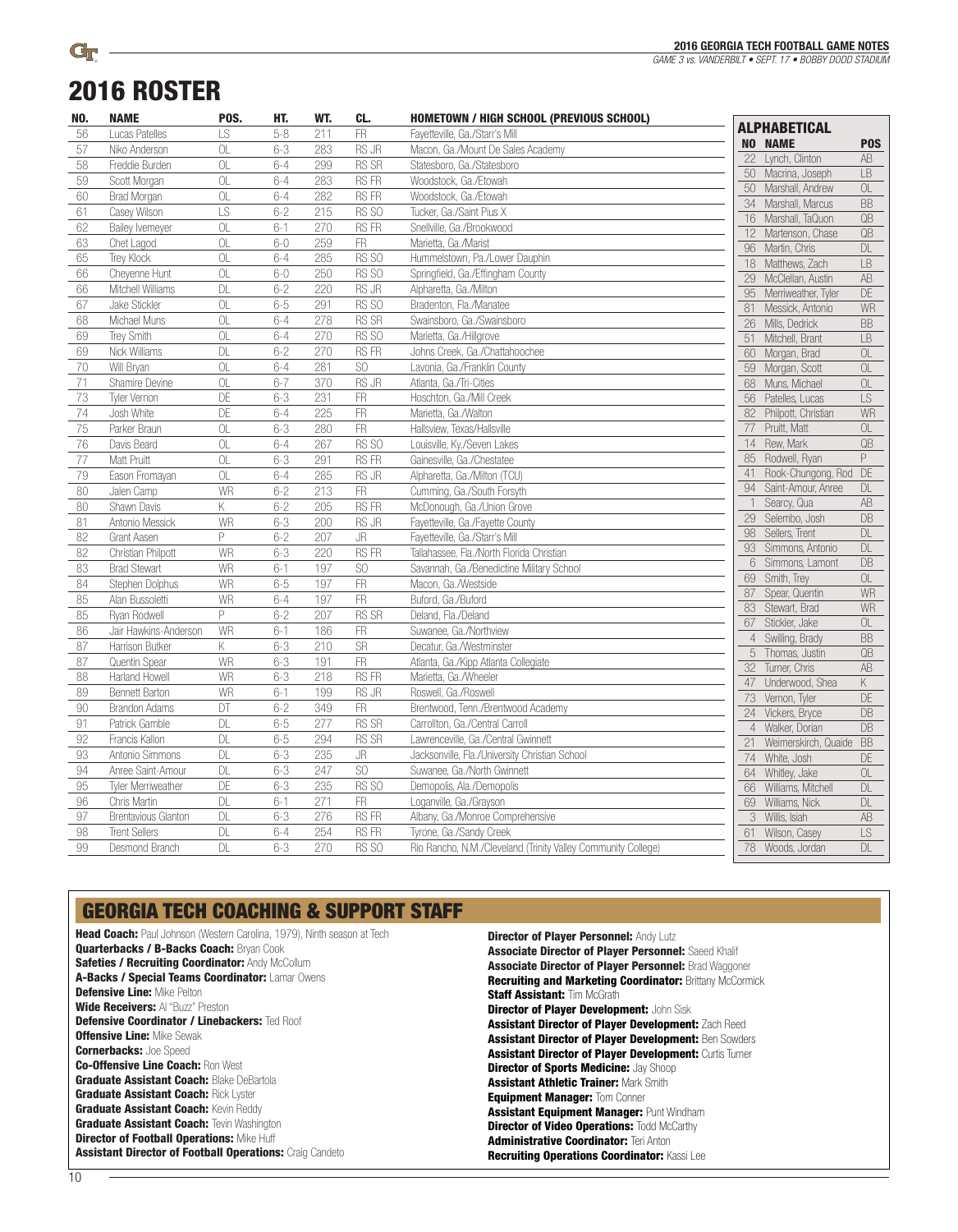# 2016 ROSTER

 $\mathbb{G}_{\Gamma}$ 

| NO. | <b>NAME</b>                | POS.            | HT.     | WT. | CL.                    | <b>HOMETOWN / HIGH SCHOOL (PREVIOUS SCHOOL)</b>               |                 |                                   |                       |
|-----|----------------------------|-----------------|---------|-----|------------------------|---------------------------------------------------------------|-----------------|-----------------------------------|-----------------------|
| 56  | Lucas Patelles             | LS              | $5 - 8$ | 211 | <b>FR</b>              | Fayetteville, Ga./Starr's Mill                                |                 | <b>ALPHABETICAL</b>               |                       |
| 57  | Niko Anderson              | OL              | $6 - 3$ | 283 | <b>RS JR</b>           | Macon, Ga./Mount De Sales Academy                             |                 | <b>NO NAME</b>                    | P <sub>0</sub> S      |
| 58  | Freddie Burden             | OL              | $6 - 4$ | 299 | RS SR                  | Statesboro, Ga./Statesboro                                    | 22              | Lynch, Clinton                    | AB                    |
| 59  | Scott Morgan               | OL              | $6 - 4$ | 283 | <b>RSFR</b>            | Woodstock, Ga./Etowah                                         | 50              | Macrina, Joseph                   | LB                    |
| 60  | <b>Brad Morgan</b>         | 0L              | $6 - 4$ | 282 | <b>RSFR</b>            | Woodstock, Ga./Etowah                                         | 50              | Marshall, Andrew                  | OL                    |
| 61  | Casey Wilson               | LS              | $6 - 2$ | 215 | RS SO                  | Tucker, Ga./Saint Pius X                                      |                 | 34 Marshall, Marcus               | BB                    |
| 62  | <b>Bailey Ivemeyer</b>     | OL              | $6-1$   | 270 | <b>RSFR</b>            | Snellville, Ga./Brookwood                                     | 12              | 16 Marshall, TaQuon               | QB<br>$\overline{OB}$ |
| 63  | Chet Lagod                 | OL              | $6 - 0$ | 259 | <b>FR</b>              | Marietta, Ga./Marist                                          | 96              | Martenson, Chase<br>Martin, Chris | DL                    |
| 65  | Trey Klock                 | $\overline{a}$  | $6 - 4$ | 285 | RS SO                  | Hummelstown, Pa./Lower Dauphin                                |                 | 18 Matthews, Zach                 | LB                    |
| 66  | Cheyenne Hunt              | $\overline{OL}$ | $6 - 0$ | 250 | RS SO                  | Springfield, Ga./Effingham County                             | 29              | McClellan, Austin                 | AB                    |
| 66  | Mitchell Williams          | DL              | $6 - 2$ | 220 | RS JR                  | Alpharetta, Ga./Milton                                        | 95              | Merriweather, Tyler               | DE                    |
| 67  | Jake Stickler              | OL              | $6 - 5$ | 291 | RS SO                  | Bradenton, Fla./Manatee                                       | 81              | Messick, Antonio                  | WR                    |
| 68  | Michael Muns               | OL              | $6 - 4$ | 278 | RS SR                  | Swainsboro, Ga./Swainsboro                                    | 26              | Mills, Dedrick                    | <b>BB</b>             |
| 69  | Trey Smith                 | OL              | $6 - 4$ | 270 | RS SO                  | Marietta, Ga./Hillgrove                                       | 51              | Mitchell, Brant                   | LB                    |
| 69  | Nick Williams              | <b>DL</b>       | $6 - 2$ | 270 | <b>RSFR</b>            | Johns Creek, Ga./Chattahoochee                                | 60              | Morgan, Brad                      | OL                    |
| 70  | Will Bryan                 | OL              | $6 - 4$ | 281 | SO                     | Lavonia, Ga./Franklin County                                  | 59              | Morgan, Scott                     | OL                    |
| 71  | Shamire Devine             | OL              | $6 - 7$ | 370 | <b>RS JR</b>           | Atlanta, Ga./Tri-Cities                                       | 68              | Muns, Michael                     | OL                    |
| 73  | <b>Tyler Vernon</b>        | DE              | $6 - 3$ | 231 | FR                     | Hoschton, Ga./Mill Creek                                      | 56              | Patelles, Lucas                   | LS                    |
| 74  | Josh White                 | DE              | $6 - 4$ | 225 | FR                     | Marietta, Ga./Walton                                          | 82              | Philpott, Christian               | <b>WR</b>             |
| 75  | Parker Braun               | OL              | $6 - 3$ | 280 | FR                     | Hallsview. Texas/Hallsville                                   | $\overline{77}$ | Pruitt, Matt                      | OL                    |
| 76  | Davis Beard                | OL              | $6 - 4$ | 267 | RS SO                  | Louisville, Ky./Seven Lakes                                   | 14              | Rew, Mark                         | QB                    |
| 77  | <b>Matt Pruitt</b>         | OL              | $6 - 3$ | 291 | <b>RSFR</b>            | Gainesville, Ga./Chestatee                                    | 85              | Rodwell, Ryan                     | P                     |
| 79  | Eason Fromayan             | OL              | $6 - 4$ | 285 | RS JR                  | Alpharetta, Ga./Milton (TCU)                                  | 41              | Rook-Chungong, Rod                | DE                    |
| 80  | Jalen Camp                 | WR              | $6 - 2$ | 213 | FR                     | Cumming, Ga./South Forsyth                                    | 94              | Saint-Amour, Anree                | DL                    |
| 80  | Shawn Davis                | Κ               | $6 - 2$ | 205 | <b>RSFR</b>            | McDonough, Ga./Union Grove                                    | $\mathbf{1}$    | Searcy, Qua                       | AB                    |
| 81  | Antonio Messick            | WR              | $6 - 3$ | 200 | RS JR                  | Fayetteville, Ga./Fayette County                              | 29              | Selembo, Josh                     | DB                    |
| 82  | <b>Grant Aasen</b>         | P               | $6 - 2$ | 207 | JR                     | Fayetteville, Ga./Starr's Mill                                | 98              | Sellers, Trent                    | DL                    |
| 82  | Christian Philpott         | WR              | $6 - 3$ | 220 | <b>RSFR</b>            | Tallahassee, Fla./North Florida Christian                     | 93              | Simmons, Antonio                  | DL                    |
| 83  | <b>Brad Stewart</b>        | WR              | $6-1$   | 197 | SO                     | Savannah, Ga./Benedictine Military School                     | 6               | Simmons, Lamont                   | DB                    |
| 84  | Stephen Dolphus            | <b>WR</b>       | $6 - 5$ | 197 | FR                     | Macon, Ga./Westside                                           | 69              | Smith, Trey                       | OL                    |
| 85  | Alan Bussoletti            | WR              | $6 - 4$ | 197 | $\overline{\text{FR}}$ | Buford, Ga./Buford                                            | 87              | Spear, Quentin                    | <b>WR</b>             |
| 85  | Ryan Rodwell               | P               | $6 - 2$ | 207 | <b>RS SR</b>           | Deland, Fla./Deland                                           | 83              | Stewart, Brad                     | WR                    |
| 86  | Jair Hawkins-Anderson      | <b>WR</b>       | $6-1$   | 186 | FR                     | Suwanee, Ga./Northview                                        | 67              | Stickler, Jake                    | OL                    |
| 87  | Harrison Butker            | Κ               | $6 - 3$ | 210 | <b>SR</b>              | Decatur, Ga./Westminster                                      | $\overline{4}$  | Swilling, Brady                   | <b>BB</b>             |
| 87  | Quentin Spear              | WR              | $6 - 3$ | 191 | FR                     | Atlanta, Ga./Kipp Atlanta Collegiate                          | 5               | Thomas, Justin                    | QB                    |
| 88  | Harland Howell             | WR              | $6 - 3$ | 218 | <b>RSFR</b>            | Marietta, Ga./Wheeler                                         | 32<br>47        | Turner, Chris                     | $\overline{AB}$       |
| 89  | <b>Bennett Barton</b>      | WR              | $6-1$   | 199 | RS JR                  | Roswell, Ga./Roswell                                          | $\overline{73}$ | Underwood, Shea<br>Vernon, Tyler  | K<br>DE               |
| 90  | <b>Brandon Adams</b>       | DT              | $6 - 2$ | 349 | $\overline{\text{FR}}$ | Brentwood, Tenn./Brentwood Academy                            | 24              | Vickers, Bryce                    | DB                    |
| 91  | Patrick Gamble             | DL              | $6 - 5$ | 277 | RS SR                  | Carrollton, Ga./Central Carroll                               | $\overline{4}$  | Walker, Dorian                    | DB                    |
| 92  | Francis Kallon             | DL              | $6 - 5$ | 294 | <b>RS SR</b>           | Lawrenceville, Ga./Central Gwinnett                           | 21              | Weimerskirch, Quaide              | <b>BB</b>             |
| 93  | Antonio Simmons            | <b>DL</b>       | $6 - 3$ | 235 | JR                     | Jacksonville, Fla./University Christian School                | 74              | White, Josh                       | <b>DE</b>             |
| 94  | Anree Saint-Amour          | DL              | $6 - 3$ | 247 | $\rm SO$               | Suwanee, Ga./North Gwinnett                                   | 64              | Whitley, Jake                     | OL                    |
| 95  | Tyler Merriweather         | DE              | $6 - 3$ | 235 | RS SO                  | Demopolis, Ala./Demopolis                                     | 66              | Williams, Mitchell                | DL                    |
| 96  | Chris Martin               | <b>DL</b>       | $6-1$   | 271 | FR                     | Loganville, Ga./Grayson                                       | 69              | Williams, Nick                    | DL                    |
| 97  | <b>Brentavious Glanton</b> | <b>DL</b>       | $6 - 3$ | 276 | <b>RSFR</b>            | Albany, Ga./Monroe Comprehensive                              | 3               | Willis, Isiah                     | AB                    |
| 98  | <b>Trent Sellers</b>       | <b>DL</b>       | $6 - 4$ | 254 | <b>RSFR</b>            | Tyrone, Ga./Sandy Creek                                       | 61              | Wilson, Casey                     | LS                    |
| 99  | Desmond Branch             | <b>DL</b>       | $6 - 3$ | 270 | RS SO                  | Rio Rancho, N.M./Cleveland (Trinity Valley Community College) | 78              | Woods, Jordan                     | DL                    |
|     |                            |                 |         |     |                        |                                                               |                 |                                   |                       |

### GEORGIA TECH COACHING & SUPPORT STAFF

**Head Coach:** Paul Johnson (Western Carolina, 1979), Ninth season at Tech Quarterbacks / B-Backs Coach: Bryan Cook Safeties / Recruiting Coordinator: Andy McCollum A-Backs / Special Teams Coordinator: Lamar Owens Defensive Line: Mike Pelton Wide Receivers: Al "Buzz" Preston Defensive Coordinator / Linebackers: Ted Roof **Offensive Line: Mike Sewak Cornerbacks: Joe Speed** Co-Offensive Line Coach: Ron West **Graduate Assistant Coach: Blake DeBartola Graduate Assistant Coach: Rick Lyster Graduate Assistant Coach: Kevin Reddy Graduate Assistant Coach: Tevin Washington Director of Football Operations: Mike Huff** Assistant Director of Football Operations: Craig Candeto

**Director of Player Personnel: Andy Lutz** Associate Director of Player Personnel: Saeed Khalif Associate Director of Player Personnel: Brad Waggoner Recruiting and Marketing Coordinator: Brittany McCormick **Staff Assistant: Tim McGrath Director of Player Development: John Sisk** Assistant Director of Player Development: Zach Reed Assistant Director of Player Development: Ben Sowders Assistant Director of Player Development: Curtis Turner **Director of Sports Medicine: Jay Shoop** Assistant Athletic Trainer: Mark Smith **Equipment Manager: Tom Conner** Assistant Equipment Manager: Punt Windham **Director of Video Operations: Todd McCarthy** Administrative Coordinator: Teri Anton Recruiting Operations Coordinator: Kassi Lee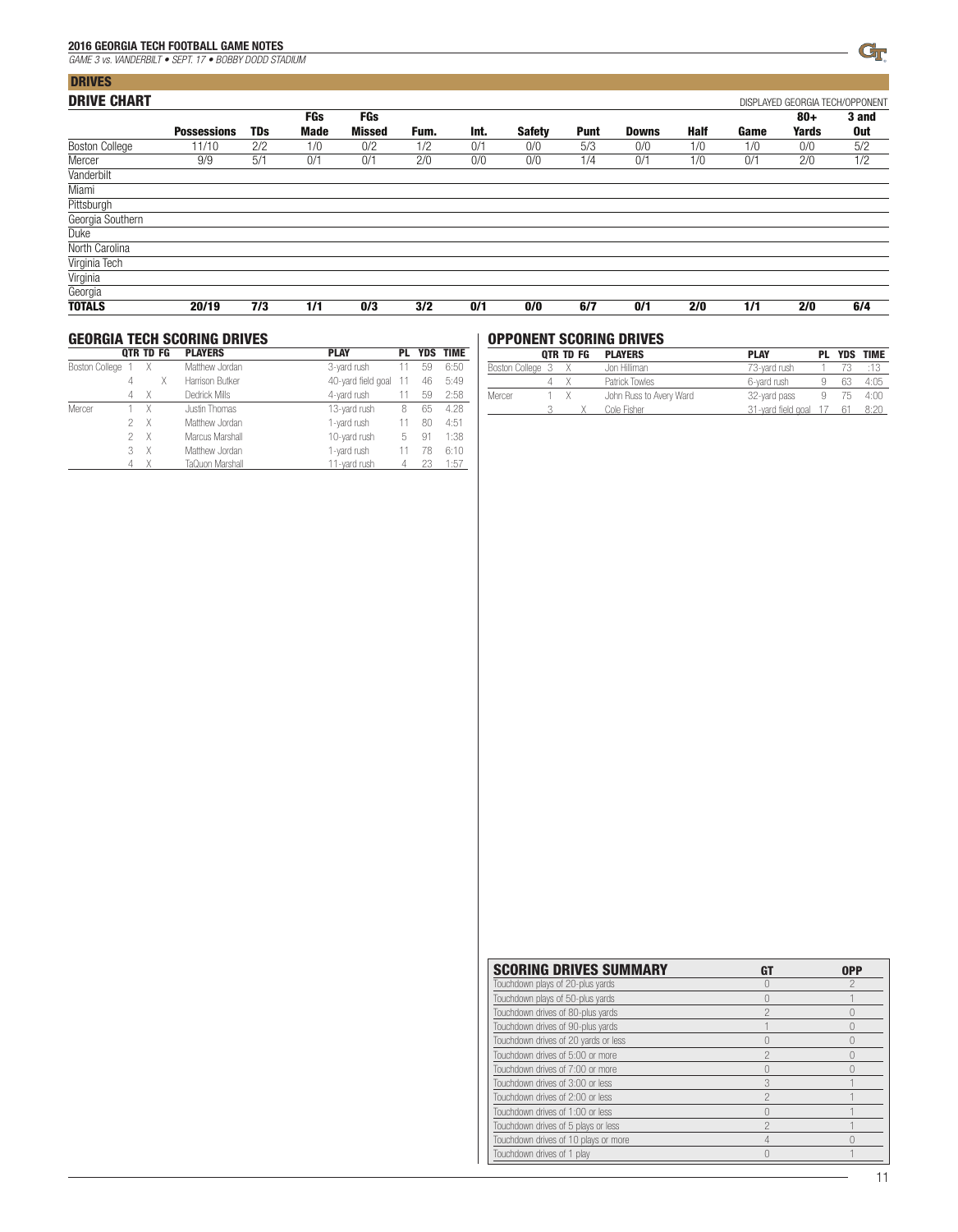**Duke** North Carolina Virginia Tech Virginia

| 2016 GEORGIA TECH FOOTBALL GAME NOTES                 |                    |            |      |               |      |      |               |             |              |      |      |       | Gr                              |
|-------------------------------------------------------|--------------------|------------|------|---------------|------|------|---------------|-------------|--------------|------|------|-------|---------------------------------|
| GAME 3 vs. VANDERBILT . SEPT. 17 . BOBBY DODD STADIUM |                    |            |      |               |      |      |               |             |              |      |      |       |                                 |
| <b>DRIVES</b>                                         |                    |            |      |               |      |      |               |             |              |      |      |       |                                 |
| <b>DRIVE CHART</b>                                    |                    |            |      |               |      |      |               |             |              |      |      |       | DISPLAYED GEORGIA TECH/OPPONENT |
|                                                       |                    |            | FGs  | FGs           |      |      |               |             |              |      |      | $80+$ | 3 and                           |
|                                                       | <b>Possessions</b> | <b>TDs</b> | Made | <b>Missed</b> | Fum. | Int. | <b>Safety</b> | <b>Punt</b> | <b>Downs</b> | Half | Game | Yards | 0ut                             |
| <b>Boston College</b>                                 | 11/10              | 2/2        | 1/0  | 0/2           | 1/2  | 0/1  | 0/0           | 5/3         | 0/0          | 1/0  | 1/0  | 0/0   | 5/2                             |
| Mercer                                                | 9/9                | 5/1        | 0/1  | 0/1           | 2/0  | 0/0  | 0/0           | 1/4         | 0/1          | 1/0  | 0/1  | 2/0   | 1/2                             |
| Vanderbilt                                            |                    |            |      |               |      |      |               |             |              |      |      |       |                                 |
| Miami                                                 |                    |            |      |               |      |      |               |             |              |      |      |       |                                 |
| Pittsburgh                                            |                    |            |      |               |      |      |               |             |              |      |      |       |                                 |
| Georgia Southern                                      |                    |            |      |               |      |      |               |             |              |      |      |       |                                 |
| Duke                                                  |                    |            |      |               |      |      |               |             |              |      |      |       |                                 |
| North Carolina                                        |                    |            |      |               |      |      |               |             |              |      |      |       |                                 |
| Virginia Tech                                         |                    |            |      |               |      |      |               |             |              |      |      |       |                                 |
| Virginia                                              |                    |            |      |               |      |      |               |             |              |      |      |       |                                 |
|                                                       |                    |            |      |               |      |      |               |             |              |      |      |       |                                 |

| Georgia       |       |      |               |      |      |      |       |     |     |      |     |     |      |
|---------------|-------|------|---------------|------|------|------|-------|-----|-----|------|-----|-----|------|
| <b>TOTALS</b> | 20/19 | 7/3  | 1/1           | 0/3  | 3/2  | 0/1  | 0/0   | 6/7 | 0/7 | 2/0  | 1/1 | 2/0 | 6/4  |
|               | .     | $ -$ | $\sim$ $\sim$ | $ -$ | $ -$ | $ -$ | $  -$ |     | ___ | $ -$ |     | . . | $ -$ |

|                     |   | <b>OTR TD FG</b> |                | <b>GEORGIA TECH SCORING DRIVES</b><br><b>PLAYERS</b> | <b>PLAY</b>        | PL | <b>YDS</b> | <b>TIME</b> |
|---------------------|---|------------------|----------------|------------------------------------------------------|--------------------|----|------------|-------------|
| Boston College<br>Χ |   |                  | Matthew Jordan | 3-yard rush                                          | 11                 | 59 | 6:50       |             |
|                     | 4 |                  | Χ              | Harrison Butker                                      | 40-yard field goal | 11 | 46         | 5:49        |
|                     | 4 | Χ                |                | Dedrick Mills                                        | 4-yard rush        | 11 | 59         | 2:58        |
| Mercer              |   | Χ                |                | Justin Thomas                                        | 13-yard rush       | 8  | 65         | 4.28        |
|                     | 2 | X                |                | Matthew Jordan                                       | 1-yard rush        | 11 | 80         | 4:51        |
|                     | 2 | X                |                | Marcus Marshall                                      | 10-yard rush       | 5  | -91        | 1:38        |
|                     | 3 | X                |                | Matthew Jordan                                       | 1-yard rush        |    | 78         | 6:10        |
|                     |   |                  |                | TaQuon Marshall                                      | 11-vard rush       |    |            | 1:57        |

### OPPONENT SCORING DRIVES

|                  | OTR TD FG | <b>PLAYERS</b>          | <b>PLAY</b>           | PL |    | <b>YDS TIME</b> |
|------------------|-----------|-------------------------|-----------------------|----|----|-----------------|
| Boston College 3 |           | Jon Hilliman            | 73-yard rush          |    |    |                 |
|                  |           | Patrick Towles          | 6-yard rush           |    |    | 4:05            |
| Mercer           |           | John Russ to Avery Ward | 32-yard pass          |    | 75 | 4:00            |
|                  |           | Cole Fisher             | 31-yard field goal 17 |    | 61 | 8:20            |

| <b>SCORING DRIVES SUMMARY</b>        |   | <b>OPP</b> |
|--------------------------------------|---|------------|
| Touchdown plays of 20-plus yards     |   |            |
| Touchdown plays of 50-plus yards     |   |            |
| Touchdown drives of 80-plus yards    | 2 |            |
| Touchdown drives of 90-plus yards    |   |            |
| Touchdown drives of 20 yards or less |   |            |
| Touchdown drives of 5:00 or more     | ◠ |            |
| Touchdown drives of 7:00 or more     |   |            |
| Touchdown drives of 3:00 or less     |   |            |
| Touchdown drives of 2:00 or less     | 2 |            |
| Touchdown drives of 1:00 or less     |   |            |
| Touchdown drives of 5 plays or less  |   |            |
| Touchdown drives of 10 plays or more |   |            |
| Touchdown drives of 1 play           |   |            |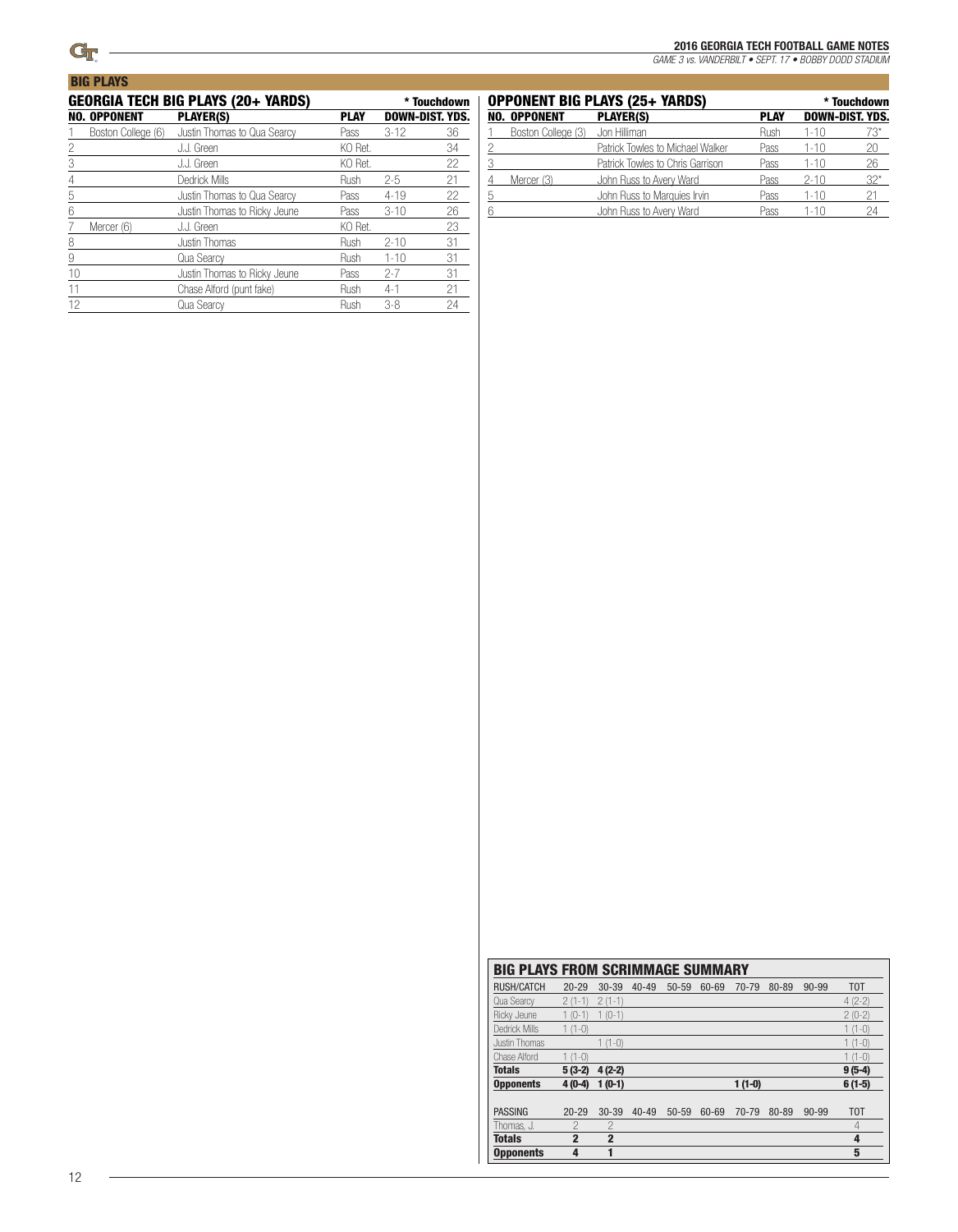**BIG PLAYS** 

#### 2016 GEORGIA TECH FOOTBALL GAME NOTES

*GAME 3 vs. VANDERBILT • SEPT. 17 • BOBBY DODD STADIUM*

|    |                     | GEORGIA TECH BIG PLAYS (20+ YARDS) |             |                        | * Touchdown |
|----|---------------------|------------------------------------|-------------|------------------------|-------------|
|    | <b>NO. OPPONENT</b> | <b>PLAYER(S)</b>                   | <b>PLAY</b> | <b>DOWN-DIST, YDS.</b> |             |
|    | Boston College (6)  | Justin Thomas to Qua Searcy        | Pass        | $3-12$                 | 36          |
| 2  |                     | J.J. Green                         | KO Ret.     |                        | 34          |
| 3  |                     | J.J. Green                         | KO Ret.     |                        | 22          |
| 4  |                     | Dedrick Mills                      | Rush        | $2 - 5$                | 21          |
| 5  |                     | Justin Thomas to Qua Searcy        | Pass        | $4 - 19$               | 22          |
| 6  |                     | Justin Thomas to Ricky Jeune       | Pass        | $3 - 10$               | 26          |
| 7  | Mercer (6)          | J.J. Green                         | KO Ret.     |                        | 23          |
| 8  |                     | Justin Thomas                      | Rush        | $2 - 10$               | 31          |
| 9  |                     | Qua Searcy                         | Rush        | $1 - 10$               | 31          |
| 10 |                     | Justin Thomas to Ricky Jeune       | Pass        | $2 - 7$                | 31          |
| 11 |                     | Chase Alford (punt fake)           | Rush        | $4 - 1$                | 21          |
| 12 |                     | Qua Searcy                         | Rush        | $3-8$                  | 24          |
|    |                     |                                    |             |                        |             |

|   | <b>OPPONENT BIG PLAYS (25+ YARDS)</b> |                                  | * Touchdown |          |                        |
|---|---------------------------------------|----------------------------------|-------------|----------|------------------------|
|   | <b>NO. OPPONENT</b>                   | <b>PLAYER(S)</b>                 | <b>PLAY</b> |          | <b>DOWN-DIST. YDS.</b> |
|   | Boston College (3)                    | Jon Hilliman                     | Rush        | $1 - 10$ | 73*                    |
|   |                                       | Patrick Towles to Michael Walker | Pass        | $1 - 10$ | 20.                    |
|   |                                       | Patrick Towles to Chris Garrison | Pass        | 1-10     | 26                     |
|   | Mercer (3)                            | John Russ to Avery Ward          | Pass        | $2 - 10$ | $32^*$                 |
| 5 |                                       | John Russ to Marquies Irvin      | Pass        | $1 - 10$ | 21                     |
|   |                                       | John Russ to Avery Ward          | Pass        | 1-10     | 24                     |

| <b>BIG PLAYS FROM SCRIMMAGE SUMMARY</b> |                |                |           |           |       |          |       |           |                  |
|-----------------------------------------|----------------|----------------|-----------|-----------|-------|----------|-------|-----------|------------------|
| <b>RUSH/CATCH</b>                       | $20 - 29$      | $30 - 39$      | $40 - 49$ | $50 - 59$ | 60-69 | 70-79    | 80-89 | 90-99     | T <sub>0</sub> T |
| Qua Searcy                              | $2(1-1)$       | $2(1-1)$       |           |           |       |          |       |           | $4(2-2)$         |
| Ricky Jeune                             | $1(0-1)$       | $1(0-1)$       |           |           |       |          |       |           | $2(0-2)$         |
| Dedrick Mills                           | $1(1-0)$       |                |           |           |       |          |       |           | $1(1-0)$         |
| Justin Thomas                           |                | $1(1-0)$       |           |           |       |          |       |           | $1(1-0)$         |
| Chase Alford                            | $1(1-0)$       |                |           |           |       |          |       |           | $1(1-0)$         |
| <b>Totals</b>                           | $5(3-2)$       | $4(2-2)$       |           |           |       |          |       |           | $9(5-4)$         |
| <b>Opponents</b>                        | $4(0-4)$       | $1(0-1)$       |           |           |       | $1(1-0)$ |       |           | $6(1-5)$         |
|                                         |                |                |           |           |       |          |       |           |                  |
| <b>PASSING</b>                          | $20 - 29$      | $30 - 39$      | $40 - 49$ | $50 - 59$ | 60-69 | 70-79    | 80-89 | $90 - 99$ | T <sub>0</sub> T |
| Thomas. J.                              | $\mathcal{P}$  | $\mathcal{P}$  |           |           |       |          |       |           | 4                |
| <b>Totals</b>                           | $\overline{2}$ | $\overline{2}$ |           |           |       |          |       |           | 4                |
| <b>Opponents</b>                        | 4              | 1              |           |           |       |          |       |           | 5                |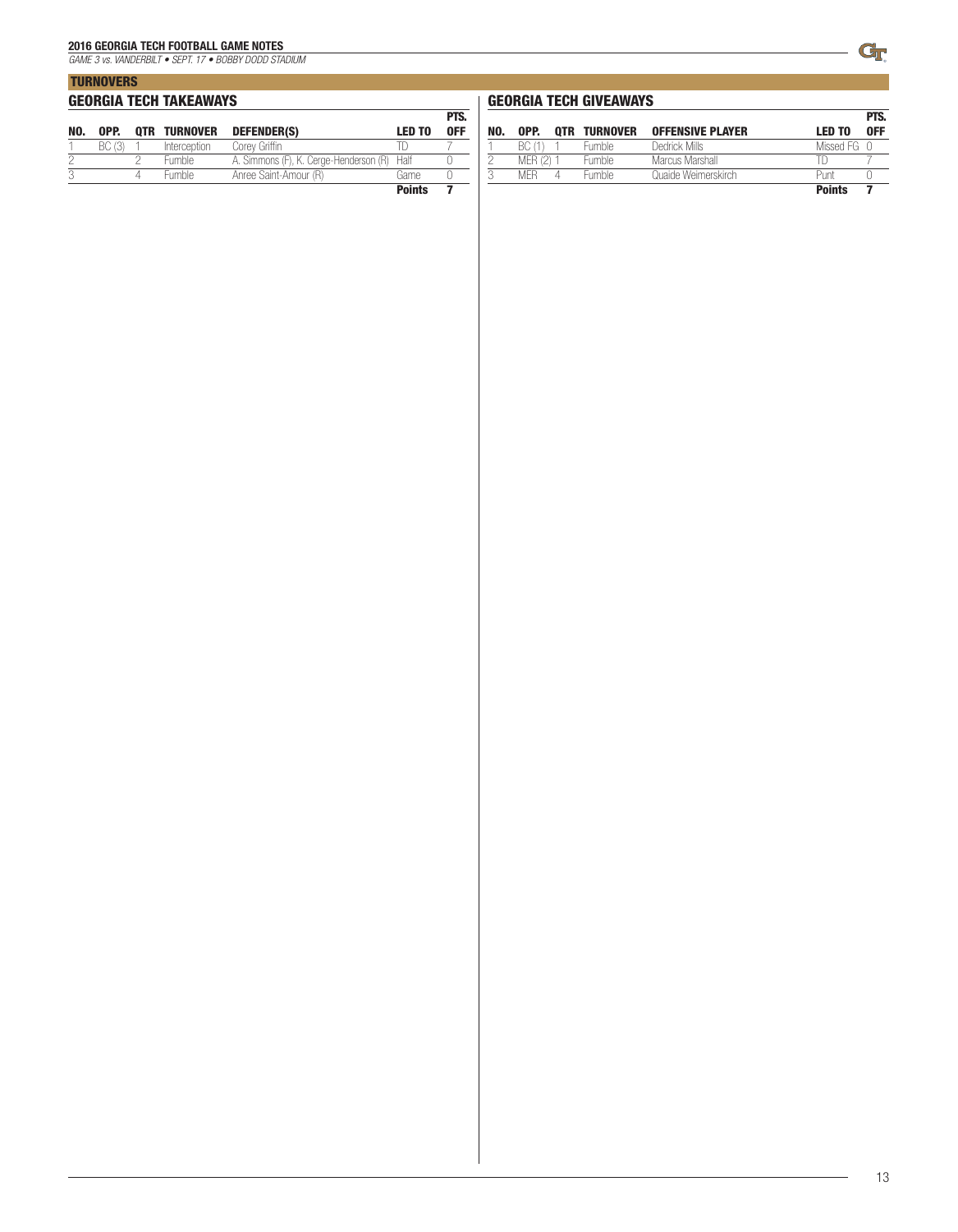*GAME 3 vs. VANDERBILT • SEPT. 17 • BOBBY DODD STADIUM*

|     | <b>TURNOVERS</b>              |  |                     |                                             |               |                    |  |  |  |  |
|-----|-------------------------------|--|---------------------|---------------------------------------------|---------------|--------------------|--|--|--|--|
|     | <b>GEORGIA TECH TAKEAWAYS</b> |  |                     |                                             |               |                    |  |  |  |  |
| NO. | OPP.                          |  | <b>OTR TURNOVER</b> | DEFENDER(S)                                 | <b>LED TO</b> | PTS.<br><b>OFF</b> |  |  |  |  |
|     | BC (3)                        |  | Interception        | Corey Griffin                               |               |                    |  |  |  |  |
|     |                               |  | <b>Fumble</b>       | A. Simmons (F), K. Cerge-Henderson (R) Half |               |                    |  |  |  |  |
| 3   |                               |  | <b>Fumble</b>       | Anree Saint-Amour (R)                       | Game          |                    |  |  |  |  |

**Points 7 Points** 7

### GEORGIA TECH GIVEAWAYS

|     |           |                     |                         |               | PTS. |
|-----|-----------|---------------------|-------------------------|---------------|------|
| NO. | OPP.      | <b>OTR TURNOVER</b> | <b>OFFENSIVE PLAYER</b> | <b>LED TO</b> | 0FF  |
|     | BC (1)    | <b>Fumble</b>       | Dedrick Mills           | Missed FG 0   |      |
|     | MFR (2) 1 | <b>Fumble</b>       | Marcus Marshall         |               |      |
| 3   | MFR.      | Fumble              | Quaide Weimerskirch     | Punt          |      |
|     |           |                     |                         | <b>Points</b> |      |

L,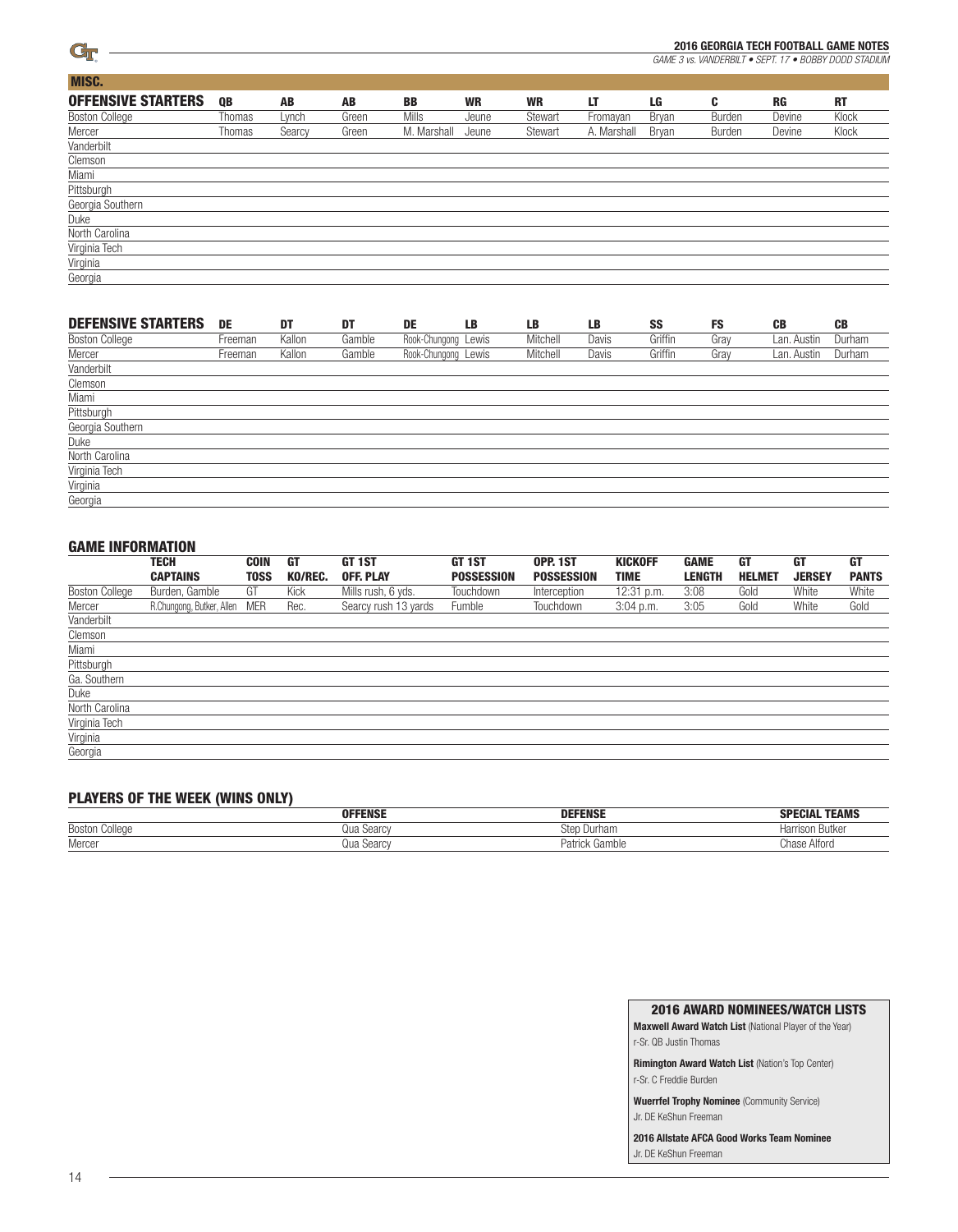

*GAME 3 vs. VANDERBILT • SEPT. 17 • BOBBY DODD STADIUM*

| MISC.                     |        |        |       |              |           |           |             |       |        |           |           |
|---------------------------|--------|--------|-------|--------------|-----------|-----------|-------------|-------|--------|-----------|-----------|
| <b>OFFENSIVE STARTERS</b> | QB     | AB     | AB    | <b>BB</b>    | <b>WR</b> | <b>WR</b> | LT          | LG    | C      | <b>RG</b> | <b>RT</b> |
| Boston College            | Thomas | Lynch  | Green | <b>Mills</b> | Jeune     | Stewart   | Fromayan    | Bryan | Burden | Devine    | Klock     |
| Mercer                    | Thomas | Searcy | Green | M. Marshall  | Jeune     | Stewart   | A. Marshall | Bryan | Burden | Devine    | Klock     |
| Vanderbilt                |        |        |       |              |           |           |             |       |        |           |           |
| Clemson                   |        |        |       |              |           |           |             |       |        |           |           |
| Miami                     |        |        |       |              |           |           |             |       |        |           |           |
| Pittsburgh                |        |        |       |              |           |           |             |       |        |           |           |
| Georgia Southern          |        |        |       |              |           |           |             |       |        |           |           |
| Duke                      |        |        |       |              |           |           |             |       |        |           |           |
| North Carolina            |        |        |       |              |           |           |             |       |        |           |           |
| Virginia Tech             |        |        |       |              |           |           |             |       |        |           |           |
| Virginia                  |        |        |       |              |           |           |             |       |        |           |           |
| Georgia                   |        |        |       |              |           |           |             |       |        |           |           |

| <b>DEFENSIVE STARTERS</b> | DE      | DT     | DT     | DE                  | <b>LB</b> | <b>LB</b> | <b>LB</b> | SS      | <b>FS</b> | <b>CB</b>   | <b>CB</b> |
|---------------------------|---------|--------|--------|---------------------|-----------|-----------|-----------|---------|-----------|-------------|-----------|
| <b>Boston College</b>     | Freeman | Kallon | Gamble | Rook-Chungong Lewis |           | Mitchell  | Davis     | Griffin | Gray      | Lan. Austin | Durham    |
| Mercer                    | Freeman | Kallon | Gamble | Rook-Chungong Lewis |           | Mitchell  | Davis     | Griffin | Gray      | Lan. Austin | Durham    |
| Vanderbilt                |         |        |        |                     |           |           |           |         |           |             |           |
| Clemson                   |         |        |        |                     |           |           |           |         |           |             |           |
| Miami                     |         |        |        |                     |           |           |           |         |           |             |           |
| Pittsburgh                |         |        |        |                     |           |           |           |         |           |             |           |
| Georgia Southern          |         |        |        |                     |           |           |           |         |           |             |           |
| Duke                      |         |        |        |                     |           |           |           |         |           |             |           |
| North Carolina            |         |        |        |                     |           |           |           |         |           |             |           |
| Virginia Tech             |         |        |        |                     |           |           |           |         |           |             |           |
| Virginia                  |         |        |        |                     |           |           |           |         |           |             |           |
| Georgia                   |         |        |        |                     |           |           |           |         |           |             |           |

| <b>GAME INFORMATION</b> |                           |             |         |                      |                   |                   |                |               |               |               |              |
|-------------------------|---------------------------|-------------|---------|----------------------|-------------------|-------------------|----------------|---------------|---------------|---------------|--------------|
|                         | <b>TECH</b>               | <b>COIN</b> | GT      | GT 1ST               | GT <sub>1ST</sub> | OPP. 1ST          | <b>KICKOFF</b> | <b>GAME</b>   | GT            | <b>GT</b>     | GT           |
|                         | <b>CAPTAINS</b>           | TOSS        | KO/REC. | <b>OFF. PLAY</b>     | <b>POSSESSION</b> | <b>POSSESSION</b> | <b>TIME</b>    | <b>LENGTH</b> | <b>HELMET</b> | <b>JERSEY</b> | <b>PANTS</b> |
| <b>Boston College</b>   | Burden, Gamble            | GT          | Kick    | Mills rush, 6 yds.   | Touchdown         | Interception      | $12:31$ p.m.   | 3:08          | Gold          | White         | White        |
| Mercer                  | R.Chungong, Butker, Allen | <b>MER</b>  | Rec.    | Searcy rush 13 yards | Fumble            | Touchdown         | $3:04$ p.m.    | 3:05          | Gold          | White         | Gold         |
| Vanderbilt              |                           |             |         |                      |                   |                   |                |               |               |               |              |
| Clemson                 |                           |             |         |                      |                   |                   |                |               |               |               |              |
| Miami                   |                           |             |         |                      |                   |                   |                |               |               |               |              |
| Pittsburgh              |                           |             |         |                      |                   |                   |                |               |               |               |              |
| Ga. Southern            |                           |             |         |                      |                   |                   |                |               |               |               |              |
| Duke                    |                           |             |         |                      |                   |                   |                |               |               |               |              |
| North Carolina          |                           |             |         |                      |                   |                   |                |               |               |               |              |
| Virginia Tech           |                           |             |         |                      |                   |                   |                |               |               |               |              |
| Virginia                |                           |             |         |                      |                   |                   |                |               |               |               |              |
| Georgia                 |                           |             |         |                      |                   |                   |                |               |               |               |              |

### PLAYERS OF THE WEEK (WINS ONLY)

| $\blacksquare$        |                |                |                         |  |  |  |  |
|-----------------------|----------------|----------------|-------------------------|--|--|--|--|
|                       | <b>OFFENSE</b> | <b>DEFENSE</b> | <b>TEAMS</b><br>SPECIAL |  |  |  |  |
| <b>Boston College</b> | Jua Searcv     | sten<br>Durham | Harrison Butker         |  |  |  |  |
| Mercer                | Qua Searcv     | Patrick Gamble | Chase Alford            |  |  |  |  |

2016 AWARD NOMINEES/WATCH LISTS

Maxwell Award Watch List (National Player of the Year) r-Sr. QB Justin Thomas

Rimington Award Watch List (Nation's Top Center) r-Sr. C Freddie Burden

Wuerrfel Trophy Nominee (Community Service) Jr. DE KeShun Freeman

2016 Allstate AFCA Good Works Team Nominee Jr. DE KeShun Freeman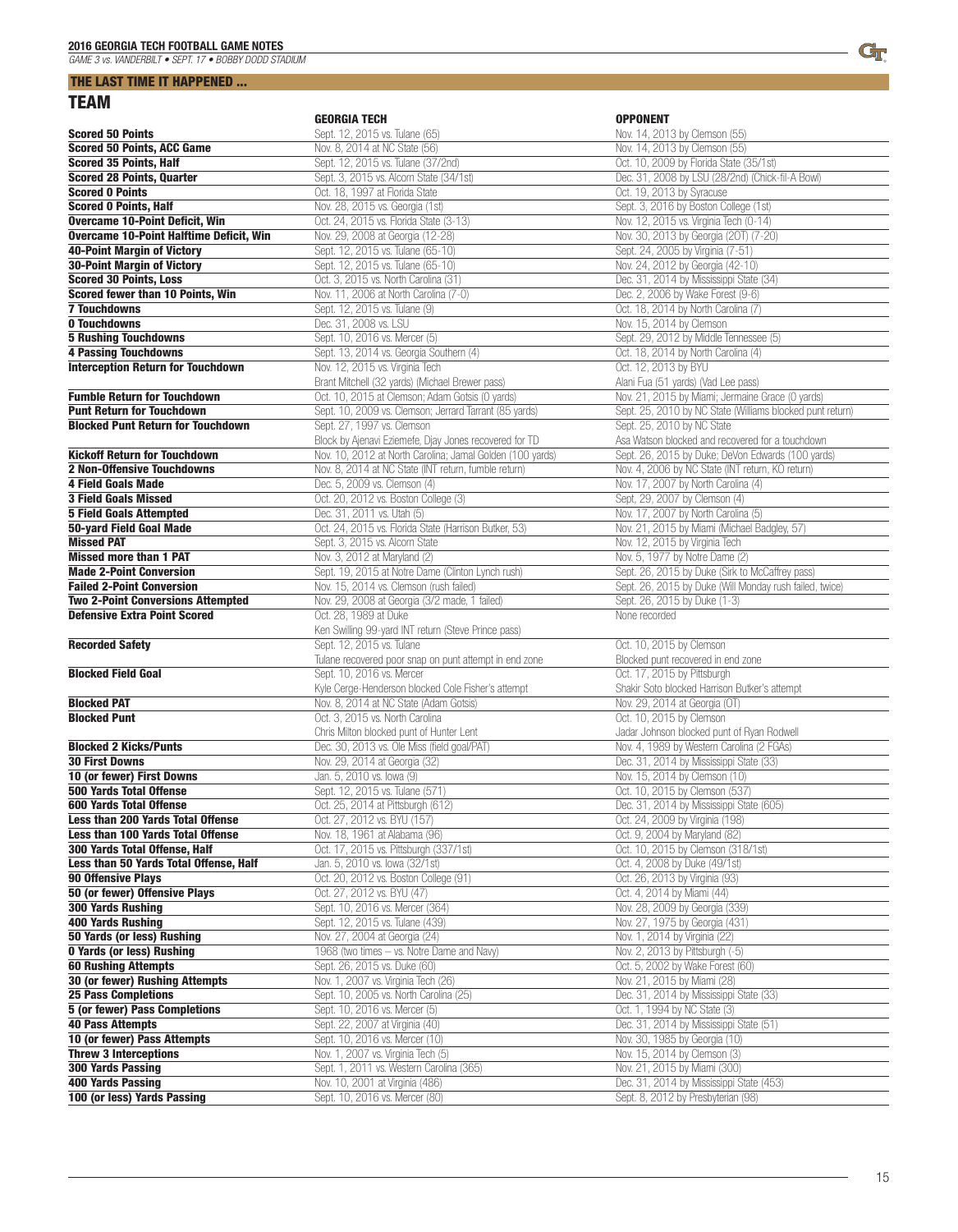### THE LAST TIME IT HAPPENED ... TEAM

|                                                                              | <b>GEORGIA TECH</b>                                                    | <b>OPPONENT</b>                                           |
|------------------------------------------------------------------------------|------------------------------------------------------------------------|-----------------------------------------------------------|
| <b>Scored 50 Points</b>                                                      | Sept. 12, 2015 vs. Tulane (65)                                         | Nov. 14, 2013 by Clemson (55)                             |
| <b>Scored 50 Points, ACC Game</b>                                            | Nov. 8, 2014 at NC State (56)                                          | Nov. 14, 2013 by Clemson (55)                             |
| <b>Scored 35 Points, Half</b>                                                | Sept. 12, 2015 vs. Tulane (37/2nd)                                     | Oct. 10, 2009 by Florida State (35/1st)                   |
| <b>Scored 28 Points, Quarter</b>                                             | Sept. 3, 2015 vs. Alcorn State (34/1st)                                | Dec. 31, 2008 by LSU (28/2nd) (Chick-fil-A Bowl)          |
| <b>Scored 0 Points</b>                                                       | Oct. 18. 1997 at Florida State                                         | Oct. 19, 2013 by Syracuse                                 |
| <b>Scored 0 Points, Half</b>                                                 | Nov. 28, 2015 vs. Georgia (1st)                                        | Sept. 3, 2016 by Boston College (1st)                     |
| <b>Overcame 10-Point Deficit, Win</b>                                        | Oct. 24, 2015 vs. Florida State (3-13)                                 | Nov. 12, 2015 vs. Virginia Tech (0-14)                    |
| <b>Overcame 10-Point Halftime Deficit, Win</b>                               | Nov. 29, 2008 at Georgia (12-28)                                       | Nov. 30, 2013 by Georgia (20T) (7-20)                     |
| 40-Point Margin of Victory                                                   | Sept. 12, 2015 vs. Tulane (65-10)                                      | Sept. 24, 2005 by Virginia (7-51)                         |
| <b>30-Point Margin of Victory</b>                                            | Sept. 12, 2015 vs. Tulane (65-10)                                      | Nov. 24, 2012 by Georgia (42-10)                          |
| <b>Scored 30 Points, Loss</b>                                                | Oct. 3, 2015 vs. North Carolina (31)                                   | Dec. 31, 2014 by Mississippi State (34)                   |
| <b>Scored fewer than 10 Points, Win</b>                                      | Nov. 11, 2006 at North Carolina (7-0)                                  | Dec. 2, 2006 by Wake Forest (9-6)                         |
| <b>7 Touchdowns</b>                                                          | Sept. 12, 2015 vs. Tulane (9)                                          | Oct. 18, 2014 by North Carolina (7)                       |
| 0 Touchdowns                                                                 | Dec. 31, 2008 vs. LSU                                                  | Nov. 15, 2014 by Clemson                                  |
| <b>5 Rushing Touchdowns</b>                                                  | Sept. 10, 2016 vs. Mercer (5)                                          | Sept. 29, 2012 by Middle Tennessee (5)                    |
| <b>4 Passing Touchdowns</b>                                                  | Sept. 13, 2014 vs. Georgia Southern (4)                                | Oct. 18, 2014 by North Carolina (4)                       |
| <b>Interception Return for Touchdown</b>                                     | Nov. 12, 2015 vs. Virginia Tech                                        | Oct. 12, 2013 by BYU                                      |
|                                                                              | Brant Mitchell (32 yards) (Michael Brewer pass)                        | Alani Fua (51 yards) (Vad Lee pass)                       |
| <b>Fumble Return for Touchdown</b>                                           | Oct. 10, 2015 at Clemson; Adam Gotsis (0 yards)                        | Nov. 21, 2015 by Miami; Jermaine Grace (0 yards)          |
| <b>Punt Return for Touchdown</b>                                             | Sept. 10, 2009 vs. Clemson; Jerrard Tarrant (85 yards)                 | Sept. 25, 2010 by NC State (Williams blocked punt return) |
| <b>Blocked Punt Return for Touchdown</b>                                     | Sept. 27, 1997 vs. Clemson                                             | Sept. 25, 2010 by NC State                                |
|                                                                              | Block by Ajenavi Eziemefe, Djay Jones recovered for TD                 | Asa Watson blocked and recovered for a touchdown          |
| <b>Kickoff Return for Touchdown</b>                                          | Nov. 10, 2012 at North Carolina; Jamal Golden (100 yards)              | Sept. 26, 2015 by Duke; DeVon Edwards (100 yards)         |
| <b>2 Non-Offensive Touchdowns</b>                                            | Nov. 8, 2014 at NC State (INT return, fumble return)                   | Nov. 4, 2006 by NC State (INT return, KO return)          |
| <b>4 Field Goals Made</b>                                                    | Dec. 5, 2009 vs. Clemson (4)                                           | Nov. 17, 2007 by North Carolina (4)                       |
| <b>3 Field Goals Missed</b>                                                  | Oct. 20, 2012 vs. Boston College (3)                                   | Sept, 29, 2007 by Clemson (4)                             |
| <b>5 Field Goals Attempted</b>                                               | Dec. 31, 2011 vs. Utah (5)                                             | Nov. 17, 2007 by North Carolina (5)                       |
| <b>50-yard Field Goal Made</b>                                               | Oct. 24, 2015 vs. Florida State (Harrison Butker, 53)                  | Nov. 21, 2015 by Miami (Michael Badgley, 57)              |
| <b>Missed PAT</b>                                                            | Sept. 3, 2015 vs. Alcorn State                                         | Nov. 12, 2015 by Virginia Tech                            |
| <b>Missed more than 1 PAT</b>                                                | Nov. 3, 2012 at Maryland (2)                                           | Nov. 5, 1977 by Notre Dame (2)                            |
| <b>Made 2-Point Conversion</b>                                               | Sept. 19, 2015 at Notre Dame (Clinton Lynch rush)                      | Sept. 26, 2015 by Duke (Sirk to McCaffrey pass)           |
| <b>Failed 2-Point Conversion</b><br><b>Two 2-Point Conversions Attempted</b> | Nov. 15, 2014 vs. Clemson (rush failed)                                | Sept. 26, 2015 by Duke (Will Monday rush failed, twice)   |
| <b>Defensive Extra Point Scored</b>                                          | Nov. 29, 2008 at Georgia (3/2 made, 1 failed)<br>Oct. 28, 1989 at Duke | Sept. 26, 2015 by Duke (1-3)                              |
|                                                                              | Ken Swilling 99-yard INT return (Steve Prince pass)                    | None recorded                                             |
| <b>Recorded Safety</b>                                                       | Sept. 12, 2015 vs. Tulane                                              | Oct. 10, 2015 by Clemson                                  |
|                                                                              | Tulane recovered poor snap on punt attempt in end zone                 | Blocked punt recovered in end zone                        |
| <b>Blocked Field Goal</b>                                                    | Sept. 10, 2016 vs. Mercer                                              | Oct. 17, 2015 by Pittsburgh                               |
|                                                                              | Kyle Cerge-Henderson blocked Cole Fisher's attempt                     | Shakir Soto blocked Harrison Butker's attempt             |
| <b>Blocked PAT</b>                                                           | Nov. 8, 2014 at NC State (Adam Gotsis)                                 | Nov. 29, 2014 at Georgia (OT)                             |
| <b>Blocked Punt</b>                                                          | Oct. 3, 2015 vs. North Carolina                                        | Oct. 10, 2015 by Clemson                                  |
|                                                                              | Chris Milton blocked punt of Hunter Lent                               | Jadar Johnson blocked punt of Ryan Rodwell                |
| <b>Blocked 2 Kicks/Punts</b>                                                 | Dec. 30, 2013 vs. Ole Miss (field goal/PAT)                            | Nov. 4, 1989 by Western Carolina (2 FGAs)                 |
| <b>30 First Downs</b>                                                        | Nov. 29, 2014 at Georgia (32)                                          | Dec. 31, 2014 by Mississippi State (33)                   |
| 10 (or fewer) First Downs                                                    | Jan. 5, 2010 vs. lowa (9)                                              | Nov. 15, 2014 by Clemson (10)                             |
| 500 Yards Total Offense                                                      | Sept. 12, 2015 vs. Tulane (571)                                        | Oct. 10, 2015 by Clemson (537)                            |
| <b>600 Yards Total Offense</b>                                               | Oct. 25, 2014 at Pittsburgh (612)                                      | Dec. 31, 2014 by Mississippi State (605)                  |
| Less than 200 Yards Total Offense                                            | Oct. 27, 2012 vs. BYU (157)                                            | Oct. 24, 2009 by Virginia (198)                           |
| <b>Less than 100 Yards Total Offense</b>                                     | Nov. 18, 1961 at Alabama (96)                                          | Oct. 9, 2004 by Maryland (82)                             |
| 300 Yards Total Offense, Half                                                | Oct. 17, 2015 vs. Pittsburgh (337/1st)                                 | Oct. 10, 2015 by Clemson (318/1st)                        |
| Less than 50 Yards Total Offense, Half                                       | Jan. 5, 2010 vs. lowa (32/1st)                                         | Oct. 4, 2008 by Duke (49/1st)                             |
| <b>90 Offensive Plays</b>                                                    | Oct. 20, 2012 vs. Boston College (91)                                  | Oct. 26, 2013 by Virginia (93)                            |
| 50 (or fewer) Offensive Plays                                                | Oct. 27, 2012 vs. BYU (47)                                             | Oct. 4, 2014 by Miami (44)                                |
| <b>300 Yards Rushing</b>                                                     | Sept. 10, 2016 vs. Mercer (364)                                        | Nov. 28, 2009 by Georgia (339)                            |
| <b>400 Yards Rushing</b>                                                     | Sept. 12, 2015 vs. Tulane (439)                                        | Nov. 27, 1975 by Georgia (431)                            |
| 50 Yards (or less) Rushing                                                   | Nov. 27, 2004 at Georgia (24)                                          | Nov. 1, 2014 by Virginia (22)                             |
| <b>0 Yards (or less) Rushing</b>                                             | 1968 (two times - vs. Notre Dame and Navy)                             | Nov. 2, 2013 by Pittsburgh (-5)                           |
| <b>60 Rushing Attempts</b>                                                   | Sept. 26, 2015 vs. Duke (60)                                           | Oct. 5, 2002 by Wake Forest (60)                          |
| 30 (or fewer) Rushing Attempts                                               | Nov. 1, 2007 vs. Virginia Tech (26)                                    | Nov. 21, 2015 by Miami (28)                               |
| <b>25 Pass Completions</b>                                                   | Sept. 10, 2005 vs. North Carolina (25)                                 | Dec. 31, 2014 by Mississippi State (33)                   |
| <b>5 (or fewer) Pass Completions</b>                                         | Sept. 10, 2016 vs. Mercer (5)                                          | Oct. 1, 1994 by NC State (3)                              |
| <b>40 Pass Attempts</b>                                                      | Sept. 22, 2007 at Virginia (40)                                        | Dec. 31, 2014 by Mississippi State (51)                   |
| 10 (or fewer) Pass Attempts                                                  | Sept. 10, 2016 vs. Mercer (10)                                         | Nov. 30, 1985 by Georgia (10)                             |
| <b>Threw 3 Interceptions</b>                                                 | Nov. 1, 2007 vs. Virginia Tech (5)                                     | Nov. 15, 2014 by Clemson (3)                              |
| <b>300 Yards Passing</b>                                                     | Sept. 1, 2011 vs. Western Carolina (365)                               | Nov. 21, 2015 by Miami (300)                              |
| <b>400 Yards Passing</b>                                                     | Nov. 10, 2001 at Virginia (486)                                        | Dec. 31, 2014 by Mississippi State (453)                  |
| 100 (or less) Yards Passing                                                  | Sept. 10, 2016 vs. Mercer (80)                                         | Sept. 8, 2012 by Presbyterian (98)                        |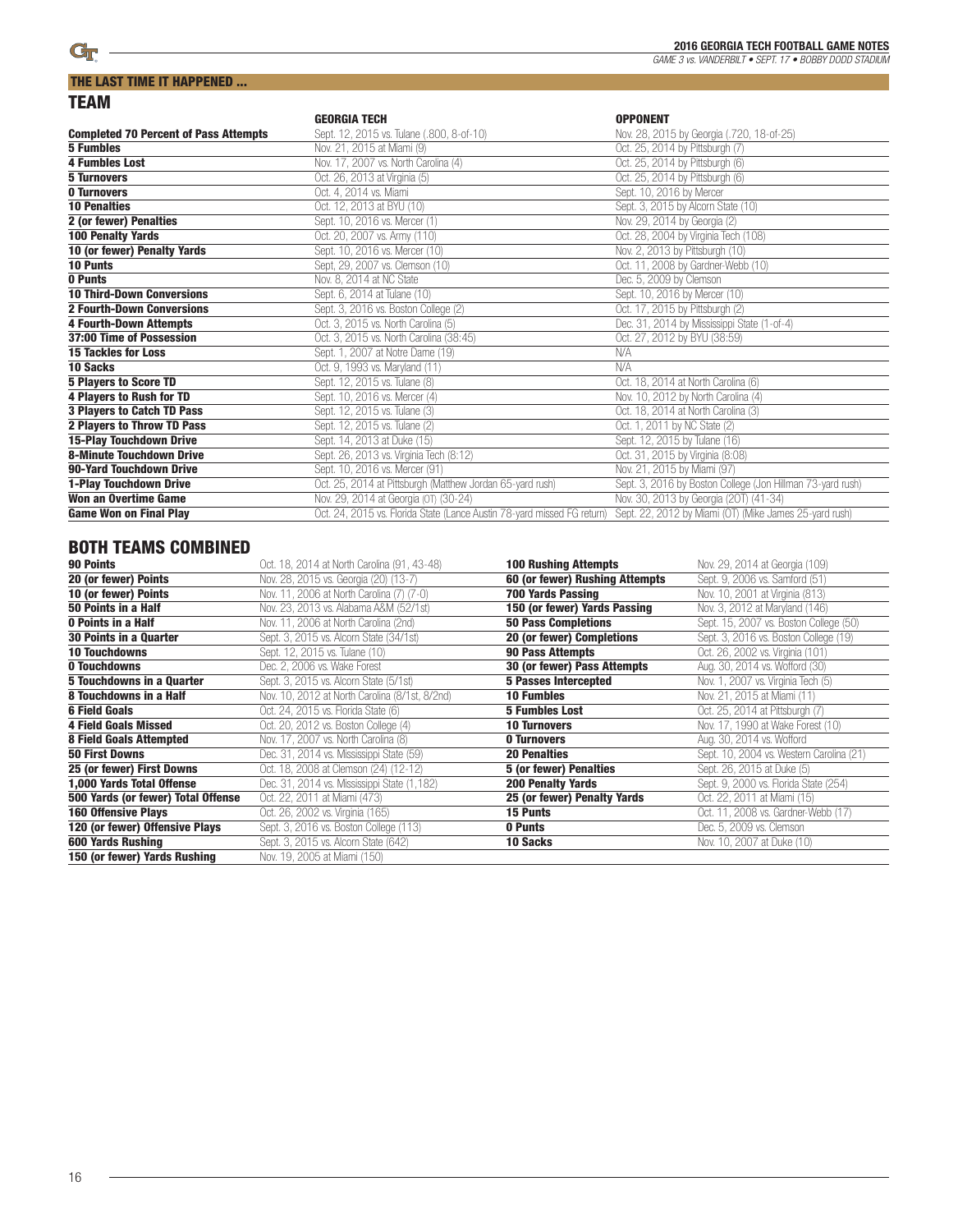|                                              | <b>GEORGIA TECH</b>                                                     | <b>OPPONENT</b>                                            |
|----------------------------------------------|-------------------------------------------------------------------------|------------------------------------------------------------|
| <b>Completed 70 Percent of Pass Attempts</b> | Sept. 12, 2015 vs. Tulane (.800, 8-of-10)                               | Nov. 28, 2015 by Georgia (.720, 18-of-25)                  |
| <b>5 Fumbles</b>                             | Nov. 21, 2015 at Miami (9)                                              | Oct. 25, 2014 by Pittsburgh (7)                            |
| <b>4 Fumbles Lost</b>                        | Nov. 17, 2007 vs. North Carolina (4)                                    | Oct. 25, 2014 by Pittsburgh (6)                            |
| <b>5 Turnovers</b>                           | Oct. 26, 2013 at Virginia (5)                                           | Oct. 25, 2014 by Pittsburgh (6)                            |
| <b>0 Turnovers</b>                           | Oct. 4, 2014 vs. Miami                                                  | Sept. 10, 2016 by Mercer                                   |
| <b>10 Penalties</b>                          | Oct. 12, 2013 at BYU (10)                                               | Sept. 3, 2015 by Alcorn State (10)                         |
| 2 (or fewer) Penalties                       | Sept. 10, 2016 vs. Mercer (1)                                           | Nov. 29, 2014 by Georgia (2)                               |
| <b>100 Penalty Yards</b>                     | Oct. 20, 2007 vs. Army (110)                                            | Oct. 28, 2004 by Virginia Tech (108)                       |
| 10 (or fewer) Penalty Yards                  | Sept. 10, 2016 vs. Mercer (10)                                          | Nov. 2, 2013 by Pittsburgh (10)                            |
| 10 Punts                                     | Sept, 29, 2007 vs. Clemson (10)                                         | Oct. 11, 2008 by Gardner-Webb (10)                         |
| 0 Punts                                      | Nov. 8, 2014 at NC State                                                | Dec. 5, 2009 by Clemson                                    |
| <b>10 Third-Down Conversions</b>             | Sept. 6, 2014 at Tulane (10)                                            | Sept. 10, 2016 by Mercer (10)                              |
| <b>2 Fourth-Down Conversions</b>             | Sept. 3, 2016 vs. Boston College (2)                                    | Oct. 17, 2015 by Pittsburgh (2)                            |
| <b>4 Fourth-Down Attempts</b>                | Oct. 3, 2015 vs. North Carolina (5)                                     | Dec. 31, 2014 by Mississippi State (1-of-4)                |
| 37:00 Time of Possession                     | Oct. 3, 2015 vs. North Carolina (38:45)                                 | Oct. 27, 2012 by BYU (38:59)                               |
| <b>15 Tackles for Loss</b>                   | Sept. 1, 2007 at Notre Dame (19)                                        | N/A                                                        |
| 10 Sacks                                     | Oct. 9, 1993 vs. Maryland (11)                                          | N/A                                                        |
| <b>5 Players to Score TD</b>                 | Sept. 12, 2015 vs. Tulane (8)                                           | Oct. 18, 2014 at North Carolina (6)                        |
| <b>4 Players to Rush for TD</b>              | Sept. 10, 2016 vs. Mercer (4)                                           | Nov. 10, 2012 by North Carolina (4)                        |
| 3 Players to Catch TD Pass                   | Sept. 12, 2015 vs. Tulane (3)                                           | Oct. 18, 2014 at North Carolina (3)                        |
| <b>2 Players to Throw TD Pass</b>            | Sept. 12, 2015 vs. Tulane (2)                                           | Oct. 1, 2011 by NC State (2)                               |
| <b>15-Play Touchdown Drive</b>               | Sept. 14, 2013 at Duke (15)                                             | Sept. 12, 2015 by Tulane (16)                              |
| <b>8-Minute Touchdown Drive</b>              | Sept. 26, 2013 vs. Virginia Tech (8:12)                                 | Oct. 31, 2015 by Virginia (8:08)                           |
| 90-Yard Touchdown Drive                      | Sept. 10, 2016 vs. Mercer (91)                                          | Nov. 21, 2015 by Miami (97)                                |
| 1-Play Touchdown Drive                       | Oct. 25, 2014 at Pittsburgh (Matthew Jordan 65-yard rush)               | Sept. 3, 2016 by Boston College (Jon Hillman 73-yard rush) |
| Won an Overtime Game                         | Nov. 29, 2014 at Georgia (0T) (30-24)                                   | Nov. 30, 2013 by Georgia (20T) (41-34)                     |
| <b>Game Won on Final Play</b>                | Oct. 24, 2015 vs. Florida State (Lance Austin 78-yard missed FG return) | Sept. 22, 2012 by Miami (OT) (Mike James 25-yard rush)     |

<u> 1980 - Johann Barbara, martxa amerikan per</u>

## BOTH TEAMS COMBINED

| 90 Points                          | Oct. 18, 2014 at North Carolina (91, 43-48)    | <b>100 Rushing Attempts</b>    | Nov. 29, 2014 at Georgia (109)           |
|------------------------------------|------------------------------------------------|--------------------------------|------------------------------------------|
| 20 (or fewer) Points               | Nov. 28, 2015 vs. Georgia (20) (13-7)          | 60 (or fewer) Rushing Attempts | Sept. 9, 2006 vs. Samford (51)           |
| 10 (or fewer) Points               | Nov. 11, 2006 at North Carolina (7) (7-0)      | 700 Yards Passing              | Nov. 10, 2001 at Virginia (813)          |
| 50 Points in a Half                | Nov. 23, 2013 vs. Alabama A&M (52/1st)         | 150 (or fewer) Yards Passing   | Nov. 3, 2012 at Maryland (146)           |
| 0 Points in a Half                 | Nov. 11, 2006 at North Carolina (2nd)          | <b>50 Pass Completions</b>     | Sept. 15, 2007 vs. Boston College (50)   |
| 30 Points in a Quarter             | Sept. 3, 2015 vs. Alcorn State (34/1st)        | 20 (or fewer) Completions      | Sept. 3, 2016 vs. Boston College (19)    |
| <b>10 Touchdowns</b>               | Sept. 12, 2015 vs. Tulane (10)                 | <b>90 Pass Attempts</b>        | Oct. 26, 2002 vs. Virginia (101)         |
| 0 Touchdowns                       | Dec. 2, 2006 vs. Wake Forest                   | 30 (or fewer) Pass Attempts    | Aug. 30, 2014 vs. Wofford (30)           |
| <b>5 Touchdowns in a Quarter</b>   | Sept. 3, 2015 vs. Alcorn State (5/1st)         | <b>5 Passes Intercepted</b>    | Nov. 1, 2007 vs. Virginia Tech (5)       |
| 8 Touchdowns in a Half             | Nov. 10, 2012 at North Carolina (8/1st, 8/2nd) | <b>10 Fumbles</b>              | Nov. 21, 2015 at Miami (11)              |
| <b>6 Field Goals</b>               | Oct. 24, 2015 vs. Florida State (6)            | <b>5 Fumbles Lost</b>          | Oct. 25, 2014 at Pittsburgh (7)          |
| <b>4 Field Goals Missed</b>        | Oct. 20, 2012 vs. Boston College (4)           | <b>10 Turnovers</b>            | Nov. 17, 1990 at Wake Forest (10)        |
| <b>8 Field Goals Attempted</b>     | Nov. 17, 2007 vs. North Carolina (8)           | 0 Turnovers                    | Aug. 30, 2014 vs. Wofford                |
| <b>50 First Downs</b>              | Dec. 31, 2014 vs. Mississippi State (59)       | <b>20 Penalties</b>            | Sept. 10, 2004 vs. Western Carolina (21) |
| 25 (or fewer) First Downs          | Oct. 18, 2008 at Clemson (24) (12-12)          | 5 (or fewer) Penalties         | Sept. 26, 2015 at Duke (5)               |
| 1,000 Yards Total Offense          | Dec. 31, 2014 vs. Mississippi State (1,182)    | <b>200 Penalty Yards</b>       | Sept. 9, 2000 vs. Florida State (254)    |
| 500 Yards (or fewer) Total Offense | Oct. 22, 2011 at Miami (473)                   | 25 (or fewer) Penalty Yards    | Oct. 22, 2011 at Miami (15)              |
| <b>160 Offensive Plays</b>         | Oct. 26, 2002 vs. Virginia (165)               | 15 Punts                       | Oct. 11, 2008 vs. Gardner-Webb (17)      |
| 120 (or fewer) Offensive Plays     | Sept. 3, 2016 vs. Boston College (113)         | 0 Punts                        | Dec. 5, 2009 vs. Clemson                 |
| 600 Yards Rushing                  | Sept. 3, 2015 vs. Alcorn State (642)           | 10 Sacks                       | Nov. 10, 2007 at Duke (10)               |
| 150 (or fewer) Yards Rushing       | Nov. 19, 2005 at Miami (150)                   |                                |                                          |

 $\overline{a}$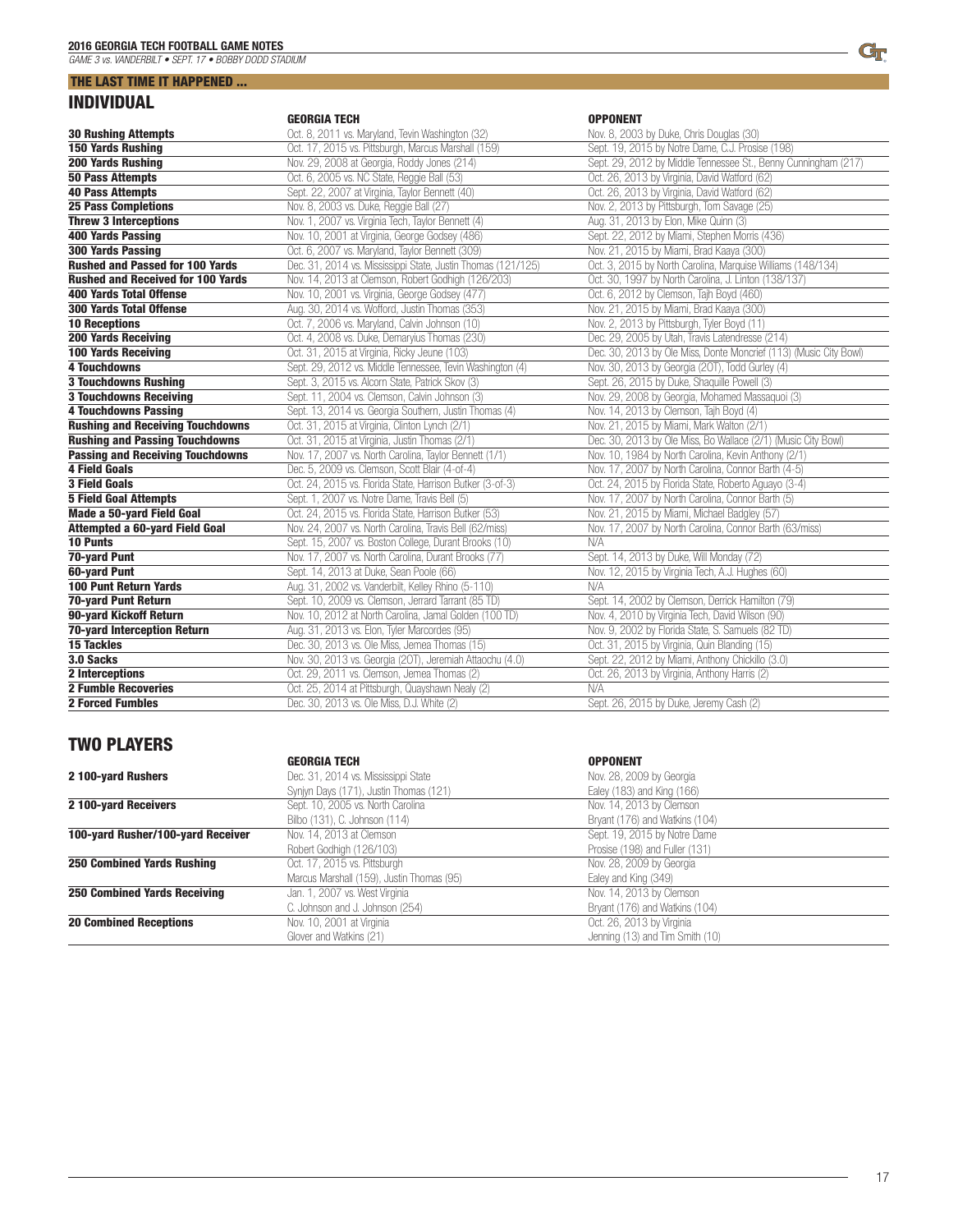### THE LAST TIME IT HAPPENED ... INDIVIDUAL

|                                          | <b>GEORGIA TECH</b>                                          | <b>OPPONENT</b>                                                   |
|------------------------------------------|--------------------------------------------------------------|-------------------------------------------------------------------|
| <b>30 Rushing Attempts</b>               | Oct. 8, 2011 vs. Maryland, Tevin Washington (32)             | Nov. 8, 2003 by Duke, Chris Douglas (30)                          |
| <b>150 Yards Rushing</b>                 | Oct. 17, 2015 vs. Pittsburgh, Marcus Marshall (159)          | Sept. 19, 2015 by Notre Dame, C.J. Prosise (198)                  |
| <b>200 Yards Rushing</b>                 | Nov. 29, 2008 at Georgia, Roddy Jones (214)                  | Sept. 29, 2012 by Middle Tennessee St., Benny Cunningham (217)    |
| <b>50 Pass Attempts</b>                  | Oct. 6, 2005 vs. NC State, Reggie Ball (53)                  | Oct. 26, 2013 by Virginia, David Watford (62)                     |
| <b>40 Pass Attempts</b>                  | Sept. 22, 2007 at Virginia, Taylor Bennett (40)              | Oct. 26, 2013 by Virginia, David Watford (62)                     |
| <b>25 Pass Completions</b>               | Nov. 8, 2003 vs. Duke, Reggie Ball (27)                      | Nov. 2, 2013 by Pittsburgh, Tom Savage (25)                       |
| <b>Threw 3 Interceptions</b>             | Nov. 1, 2007 vs. Virginia Tech, Taylor Bennett (4)           | Aug. 31, 2013 by Elon, Mike Quinn (3)                             |
| <b>400 Yards Passing</b>                 | Nov. 10, 2001 at Virginia, George Godsey (486)               | Sept. 22, 2012 by Miami, Stephen Morris (436)                     |
| <b>300 Yards Passing</b>                 | Oct. 6, 2007 vs. Maryland, Taylor Bennett (309)              | Nov. 21, 2015 by Miami, Brad Kaaya (300)                          |
| <b>Rushed and Passed for 100 Yards</b>   | Dec. 31, 2014 vs. Mississippi State, Justin Thomas (121/125) | Oct. 3, 2015 by North Carolina, Marquise Williams (148/134)       |
| <b>Rushed and Received for 100 Yards</b> | Nov. 14, 2013 at Clemson, Robert Godhigh (126/203)           | Oct. 30, 1997 by North Carolina, J. Linton (138/137)              |
| <b>400 Yards Total Offense</b>           | Nov. 10, 2001 vs. Virginia, George Godsey (477)              | Oct. 6, 2012 by Clemson, Tajh Boyd (460)                          |
| <b>300 Yards Total Offense</b>           | Aug. 30, 2014 vs. Wofford, Justin Thomas (353)               | Nov. 21, 2015 by Miami, Brad Kaaya (300)                          |
| <b>10 Receptions</b>                     | Oct. 7, 2006 vs. Maryland, Calvin Johnson (10)               | Nov. 2, 2013 by Pittsburgh, Tyler Boyd (11)                       |
| <b>200 Yards Receiving</b>               | Oct. 4, 2008 vs. Duke, Demaryius Thomas (230)                | Dec. 29, 2005 by Utah, Travis Latendresse (214)                   |
| <b>100 Yards Receiving</b>               | Oct. 31, 2015 at Virginia, Ricky Jeune (103)                 | Dec. 30, 2013 by Ole Miss, Donte Moncrief (113) (Music City Bowl) |
| <b>4 Touchdowns</b>                      | Sept. 29, 2012 vs. Middle Tennessee, Tevin Washington (4)    | Nov. 30, 2013 by Georgia (20T), Todd Gurley (4)                   |
| <b>3 Touchdowns Rushing</b>              | Sept. 3, 2015 vs. Alcorn State, Patrick Skov (3)             | Sept. 26, 2015 by Duke, Shaquille Powell (3)                      |
| <b>3 Touchdowns Receiving</b>            | Sept. 11, 2004 vs. Clemson, Calvin Johnson (3)               | Nov. 29, 2008 by Georgia, Mohamed Massaquoi (3)                   |
| <b>4 Touchdowns Passing</b>              | Sept. 13, 2014 vs. Georgia Southern, Justin Thomas (4)       | Nov. 14, 2013 by Clemson, Tajh Boyd (4)                           |
| <b>Rushing and Receiving Touchdowns</b>  | Oct. 31, 2015 at Virginia, Clinton Lynch (2/1)               | Nov. 21, 2015 by Miami, Mark Walton (2/1)                         |
| <b>Rushing and Passing Touchdowns</b>    | Oct. 31, 2015 at Virginia, Justin Thomas (2/1)               | Dec. 30, 2013 by Ole Miss, Bo Wallace (2/1) (Music City Bowl)     |
| <b>Passing and Receiving Touchdowns</b>  | Nov. 17, 2007 vs. North Carolina, Taylor Bennett (1/1)       | Nov. 10, 1984 by North Carolina, Kevin Anthony (2/1)              |
| <b>4 Field Goals</b>                     | Dec. 5, 2009 vs. Clemson, Scott Blair (4-of-4)               | Nov. 17, 2007 by North Carolina, Connor Barth (4-5)               |
| <b>3 Field Goals</b>                     | Oct. 24, 2015 vs. Florida State, Harrison Butker (3-of-3)    | Oct. 24, 2015 by Florida State, Roberto Aguayo (3-4)              |
| <b>5 Field Goal Attempts</b>             | Sept. 1, 2007 vs. Notre Dame, Travis Bell (5)                | Nov. 17, 2007 by North Carolina, Connor Barth (5)                 |
| Made a 50-yard Field Goal                | Oct. 24, 2015 vs. Florida State, Harrison Butker (53)        | Nov. 21, 2015 by Miami, Michael Badgley (57)                      |
| Attempted a 60-yard Field Goal           | Nov. 24, 2007 vs. North Carolina, Travis Bell (62/miss)      | Nov. 17, 2007 by North Carolina, Connor Barth (63/miss)           |
| <b>10 Punts</b>                          | Sept. 15, 2007 vs. Boston College, Durant Brooks (10)        | N/A                                                               |
| <b>70-yard Punt</b>                      | Nov. 17, 2007 vs. North Carolina, Durant Brooks (77)         | Sept. 14, 2013 by Duke, Will Monday (72)                          |
| 60-yard Punt                             | Sept. 14, 2013 at Duke, Sean Poole (66)                      | Nov. 12, 2015 by Virginia Tech, A.J. Hughes (60)                  |
| <b>100 Punt Return Yards</b>             | Aug. 31, 2002 vs. Vanderbilt, Kelley Rhino (5-110)           | N/A                                                               |
| <b>70-yard Punt Return</b>               | Sept. 10, 2009 vs. Clemson, Jerrard Tarrant (85 TD)          | Sept. 14, 2002 by Clemson, Derrick Hamilton (79)                  |
| 90-yard Kickoff Return                   | Nov. 10, 2012 at North Carolina, Jamal Golden (100 TD)       | Nov. 4, 2010 by Virginia Tech, David Wilson (90)                  |
| <b>70-yard Interception Return</b>       | Aug. 31, 2013 vs. Elon, Tyler Marcordes (95)                 | Nov. 9, 2002 by Florida State, S. Samuels (82 TD)                 |
| <b>15 Tackles</b>                        | Dec. 30, 2013 vs. Ole Miss, Jemea Thomas (15)                | Oct. 31, 2015 by Virginia, Quin Blanding (15)                     |
| 3.0 Sacks                                | Nov. 30, 2013 vs. Georgia (20T), Jeremiah Attaochu (4.0)     | Sept. 22, 2012 by Miami, Anthony Chickillo (3.0)                  |
| <b>2</b> Interceptions                   | Oct. 29, 2011 vs. Clemson, Jemea Thomas (2)                  | Oct. 26, 2013 by Virginia, Anthony Harris (2)                     |
| <b>2 Fumble Recoveries</b>               | Oct. 25, 2014 at Pittsburgh, Quayshawn Nealy (2)             | N/A                                                               |
| <b>2 Forced Fumbles</b>                  | Dec. 30, 2013 vs. Ole Miss, D.J. White (2)                   | Sept. 26, 2015 by Duke, Jeremy Cash (2)                           |

### TWO PLAYERS

| <b>GEORGIA TECH</b>                       | <b>OPPONENT</b>                 |  |
|-------------------------------------------|---------------------------------|--|
| Dec. 31, 2014 vs. Mississippi State       | Nov. 28, 2009 by Georgia        |  |
| Synjyn Days (171), Justin Thomas (121)    | Ealey (183) and King (166)      |  |
| Sept. 10, 2005 vs. North Carolina         | Nov. 14, 2013 by Clemson        |  |
| Bilbo (131), C. Johnson (114)             | Bryant (176) and Watkins (104)  |  |
| Nov. 14, 2013 at Clemson                  | Sept. 19, 2015 by Notre Dame    |  |
| Robert Godhigh (126/103)                  | Prosise (198) and Fuller (131)  |  |
| Oct. 17, 2015 vs. Pittsburgh              | Nov. 28, 2009 by Georgia        |  |
| Marcus Marshall (159), Justin Thomas (95) | Ealey and King (349)            |  |
| Jan. 1, 2007 vs. West Virginia            | Nov. 14, 2013 by Clemson        |  |
| C. Johnson and J. Johnson (254)           | Bryant (176) and Watkins (104)  |  |
| Nov. 10, 2001 at Virginia                 | Oct. 26, 2013 by Virginia       |  |
| Glover and Watkins (21)                   | Jenning (13) and Tim Smith (10) |  |
|                                           |                                 |  |

L,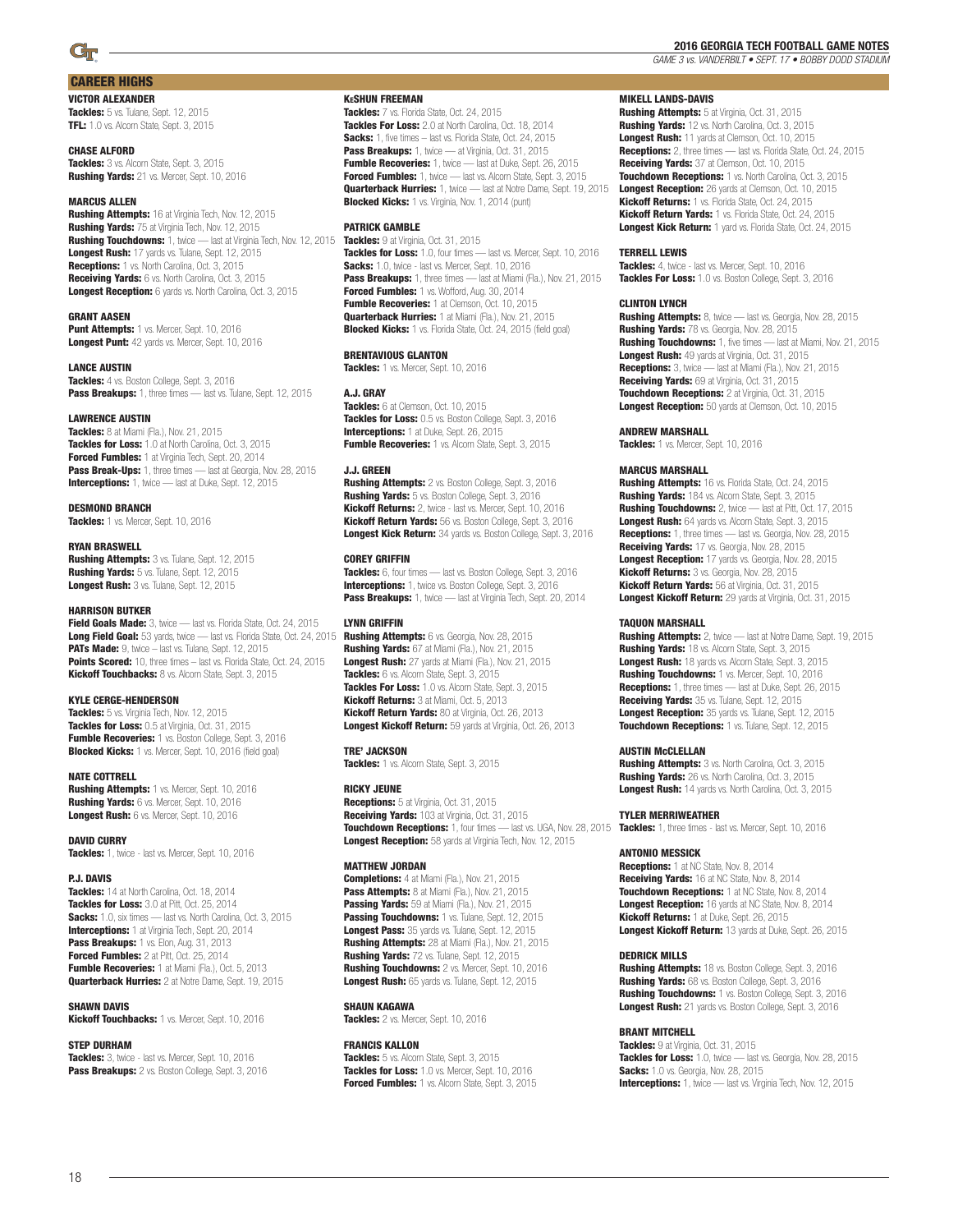### CAREER HIGHS

#### VICTOR ALEXANDER

Tackles: 5 vs. Tulane, Sept. 12, 2015 TFL: 1.0 vs. Alcorn State, Sept. 3, 2015

#### CHASE ALFORD

Tackles: 3 vs. Alcorn State, Sept. 3, 2015 Rushing Yards: 21 vs. Mercer, Sept. 10, 2016

#### **MARCUS ALLEN**

Rushing Attempts: 16 at Virginia Tech, Nov. 12, 2015 Rushing Yards: 75 at Virginia Tech, Nov. 12, 2015 Rushing Touchdowns: 1, twice — last at Virginia Tech, Nov. 12, 2015 Longest Rush: 17 yards vs. Tulane, Sept. 12, 2015 Receptions: 1 vs. North Carolina, Oct. 3, 2015 Receiving Yards: 6 vs. North Carolina, Oct. 3, 2015 Longest Reception: 6 yards vs. North Carolina, Oct. 3, 2015

#### GRANT AASEN

Punt Attempts: 1 vs. Mercer, Sept. 10, 2016 Longest Punt: 42 yards vs. Mercer, Sept. 10, 2016

#### LANCE AUSTIN

Tackles: 4 vs. Boston College, Sept. 3, 2016 Pass Breakups: 1, three times - last vs. Tulane, Sept. 12, 2015

#### LAWRENCE AUSTIN

**Tackles:** 8 at Miami (Fla.), Nov. 21, 2015 Tackles for Loss: 1.0 at North Carolina, Oct. 3, 2015 **Forced Fumbles:** 1 at Virginia Tech, Sept. 20, 2014 **Pass Break-Ups:** 1, three times — last at Georgia, Nov. 28, 2015 Interceptions: 1, twice - last at Duke, Sept. 12, 2015

#### DESMOND BRANCH

Tackles: 1 vs. Mercer, Sept. 10, 2016

#### RYAN BRASWELL

**Rushing Attempts: 3 vs. Tulane, Sept. 12, 2015** Rushing Yards: 5 vs. Tulane, Sept. 12, 2015 Longest Rush: 3 vs. Tulane, Sept. 12, 2015

#### HARRISON BUTKER

Field Goals Made: 3, twice - last vs. Florida State, Oct. 24, 2015 Long Field Goal: 53 yards, twice - last vs. Florida State, Oct. 24, 2015 PATs Made: 9, twice - last vs. Tulane, Sept. 12, 2015 Points Scored: 10, three times - last vs. Florida State, Oct. 24, 2015 Kickoff Touchbacks: 8 vs. Alcorn State, Sept. 3, 2015

#### KYLE CERGE-HENDERSON

Tackles: 5 vs. Virginia Tech, Nov. 12, 2015 Tackles for Loss: 0.5 at Virginia, Oct. 31, 2015 Fumble Recoveries: 1 vs. Boston College, Sept. 3, 2016 Blocked Kicks: 1 vs. Mercer, Sept. 10, 2016 (field goal)

#### NATE COTTRELL

**Rushing Attempts:** 1 vs. Mercer, Sept. 10, 2016 Rushing Yards: 6 vs. Mercer, Sept. 10, 2016 Longest Rush: 6 vs. Mercer, Sept. 10, 2016

#### DAVID CURRY

Tackles: 1, twice - last vs. Mercer, Sept. 10, 2016

#### P.J. DAVIS

Tackles: 14 at North Carolina, Oct. 18, 2014 Tackles for Loss: 3.0 at Pitt, Oct. 25, 2014 Sacks: 1.0, six times - last vs. North Carolina, Oct. 3, 2015 **Interceptions:** 1 at Virginia Tech, Sept. 20, 2014 Pass Breakups: 1 vs. Elon, Aug. 31, 2013 Forced Fumbles: 2 at Pitt, Oct. 25, 2014 Fumble Recoveries: 1 at Miami (Fla.), Oct. 5, 2013 **Quarterback Hurries:** 2 at Notre Dame, Sept. 19, 2015

#### SHAWN DAVIS

Kickoff Touchbacks: 1 vs. Mercer, Sept. 10, 2016

#### STEP DURHAM

Tackles: 3, twice - last vs. Mercer, Sept. 10, 2016 Pass Breakups: 2 vs. Boston College, Sept. 3, 2016

#### KeSHUN FREEMAN

Tackles: 7 vs. Florida State, Oct. 24, 2015 Tackles For Loss: 2.0 at North Carolina, Oct. 18, 2014 Sacks: 1, five times - last vs. Florida State, Oct. 24, 2015 **Pass Breakups:** 1, twice — at Virginia, Oct. 31, 2015 Fumble Recoveries: 1, twice - last at Duke, Sept. 26, 2015 Forced Fumbles: 1, twice - last vs. Alcorn State, Sept. 3, 2015 **Quarterback Hurries:** 1, twice - last at Notre Dame, Sept. 19, 2015 **Blocked Kicks:** 1 vs. Virginia, Nov. 1, 2014 (punt)

#### PATRICK GAMBLE

Tackles: 9 at Virginia, Oct. 31, 2015 Tackles for Loss: 1.0, four times - last vs. Mercer, Sept. 10, 2016 Sacks: 1.0, twice - last vs. Mercer, Sept. 10, 2016 Pass Breakups: 1, three times - last at Miami (Fla.), Nov. 21, 2015 Forced Fumbles: 1 vs. Wofford, Aug. 30, 2014 **Fumble Recoveries:** 1 at Clemson, Oct. 10, 2015 **Quarterback Hurries:** 1 at Miami (Fla.), Nov. 21, 2015 **Blocked Kicks:** 1 vs. Florida State, Oct. 24, 2015 (field goal)

#### BRENTAVIOUS GLANTON

Tackles: 1 vs. Mercer, Sept. 10, 2016

#### A.J. GRAY

Tackles: 6 at Clemson, Oct. 10, 2015 Tackles for Loss: 0.5 vs. Boston College, Sept. 3, 2016 **Interceptions:** 1 at Duke, Sept. 26, 2015 Fumble Recoveries: 1 vs. Alcorn State, Sept. 3, 2015

#### J.J. GREEN

Rushing Attempts: 2 vs. Boston College, Sept. 3, 2016 Rushing Yards: 5 vs. Boston College, Sept. 3, 2016 Kickoff Returns: 2, twice - last vs. Mercer, Sept. 10, 2016 Kickoff Return Yards: 56 vs. Boston College, Sept. 3, 2016 Longest Kick Return: 34 yards vs. Boston College, Sept. 3, 2016

#### COREY GRIFFIN

Tackles: 6, four times - last vs. Boston College, Sept. 3, 2016 **Interceptions:** 1, twice vs. Boston College, Sept. 3, 2016 Pass Breakups: 1, twice — last at Virginia Tech, Sept. 20, 2014

#### LYNN GRIFFIN

Rushing Attempts: 6 vs. Georgia, Nov. 28, 2015 Rushing Yards: 67 at Miami (Fla.), Nov. 21, 2015 Longest Rush: 27 yards at Miami (Fla.), Nov. 21, 2015 Tackles: 6 vs. Alcorn State, Sept. 3, 2015 **Tackles For Loss:** 1.0 vs. Alcorn State, Sept. 3, 2015 Kickoff Returns: 3 at Miami, Oct. 5, 2013 Kickoff Return Yards: 80 at Virginia, Oct. 26, 2013 Longest Kickoff Return: 59 yards at Virginia, Oct. 26, 2013

#### TRE' JACKSON

Tackles: 1 vs. Alcorn State, Sept. 3, 2015

#### RICKY JEUNE

Receptions: 5 at Virginia, Oct. 31, 2015 Receiving Yards: 103 at Virginia, Oct. 31, 2015 Touchdown Receptions: 1, four times — last vs. UGA, Nov. 28, 2015 Tackles: 1, three times - last vs. Mercer, Sept. 10, 2016 Longest Reception: 58 yards at Virginia Tech, Nov. 12, 2015

#### MATTHEW JORDAN

**Completions:** 4 at Miami (Fla.), Nov. 21, 2015 Pass Attempts: 8 at Miami (Fla.), Nov. 21, 2015 Passing Yards: 59 at Miami (Fla.), Nov. 21, 2015 Passing Touchdowns: 1 vs. Tulane, Sept. 12, 2015 Longest Pass: 35 yards vs. Tulane, Sept. 12, 2015 Rushing Attempts: 28 at Miami (Fla.), Nov. 21, 2015 Rushing Yards: 72 vs. Tulane, Sept. 12, 2015 Rushing Touchdowns: 2 vs. Mercer, Sept. 10, 2016 Longest Rush: 65 yards vs. Tulane, Sept. 12, 2015

#### SHAUN KAGAWA

Tackles: 2 vs. Mercer, Sept. 10, 2016

#### FRANCIS KALLON

Tackles: 5 vs. Alcorn State, Sept. 3, 2015 Tackles for Loss: 1.0 vs. Mercer, Sept. 10, 2016 Forced Fumbles: 1 vs. Alcorn State, Sept. 3, 2015 MIKELL LANDS-DAVIS

Rushing Attempts: 5 at Virginia, Oct. 31, 2015 Rushing Yards: 12 vs. North Carolina, Oct. 3, 2015 Longest Rush: 11 yards at Clemson, Oct. 10, 2015 Receptions: 2, three times - last vs. Florida State, Oct. 24, 2015 Receiving Yards: 37 at Clemson, Oct. 10, 2015 Touchdown Receptions: 1 vs. North Carolina, Oct. 3, 2015 Longest Reception: 26 yards at Clemson, Oct. 10, 2015 Kickoff Returns: 1 vs. Florida State, Oct. 24, 2015 Kickoff Return Yards: 1 vs. Florida State, Oct. 24, 2015 Longest Kick Return: 1 yard vs. Florida State, Oct. 24, 2015

#### TERRELL LEWIS

Tackles: 4, twice - last vs. Mercer, Sept. 10, 2016 Tackles For Loss: 1.0 vs. Boston College, Sept. 3, 2016

#### CLINTON LYNCH

Rushing Attempts: 8, twice — last vs. Georgia, Nov. 28, 2015 Rushing Yards: 78 vs. Georgia, Nov. 28, 2015 **Rushing Touchdowns:** 1, five times - last at Miami, Nov. 21, 2015 **Longest Rush:** 49 yards at Virginia, Oct. 31, 2015 Receptions: 3, twice - last at Miami (Fla.), Nov. 21, 2015 **Receiving Yards:** 69 at Virginia, Oct. 31, 2015 **Touchdown Receptions:** 2 at Virginia, Oct. 31, 2015 Longest Reception: 50 yards at Clemson, Oct. 10, 2015

#### ANDREW MARSHALL

Tackles: 1 vs. Mercer, Sept. 10, 2016

#### MARCUS MARSHALL

Rushing Attempts: 16 vs. Florida State, Oct. 24, 2015 Rushing Yards: 184 vs. Alcorn State, Sept. 3, 2015 Rushing Touchdowns: 2, twice — last at Pitt, Oct. 17, 2015 Longest Rush: 64 yards vs. Alcorn State, Sept. 3, 2015 Receptions: 1, three times - last vs. Georgia, Nov. 28, 2015 **Receiving Yards:** 17 vs. Georgia, Nov. 28, 2015 Longest Reception: 17 yards vs. Georgia, Nov. 28, 2015 Kickoff Returns: 3 vs. Georgia, Nov. 28, 2015 **Kickoff Return Yards: 56 at Virginia, Oct. 31, 2015** Longest Kickoff Return: 29 yards at Virginia, Oct. 31, 2015

#### TAQUON MARSHALL

Rushing Attempts: 2, twice - last at Notre Dame, Sept. 19, 2015 Rushing Yards: 18 vs. Alcorn State, Sept. 3, 2015 Longest Rush: 18 yards vs. Alcorn State, Sept. 3, 2015 Rushing Touchdowns: 1 vs. Mercer, Sept. 10, 2016 Receptions: 1, three times — last at Duke, Sept. 26, 2015 **Receiving Yards:** 35 vs. Tulane, Sept. 12, 2015 Longest Reception: 35 yards vs. Tulane, Sept. 12, 2015 **Touchdown Receptions:** 1 vs. Tulane, Sept. 12, 2015

#### AUSTIN McCLELLAN

**Rushing Attempts:** 3 vs. North Carolina, Oct. 3, 2015 Rushing Yards: 26 vs. North Carolina, Oct. 3, 2015 **Longest Rush:** 14 yards vs. North Carolina, Oct. 3, 2015

#### TYLER MERRIWEATHER

#### ANTONIO MESSICK

Receptions: 1 at NC State, Nov. 8, 2014 Receiving Yards: 16 at NC State, Nov. 8, 2014 **Touchdown Receptions:** 1 at NC State, Nov. 8, 2014 Longest Reception: 16 yards at NC State, Nov. 8, 2014 Kickoff Returns: 1 at Duke, Sept. 26, 2015 Longest Kickoff Return: 13 yards at Duke, Sept. 26, 2015

#### DEDRICK MILLS

Rushing Attempts: 18 vs. Boston College, Sept. 3, 2016 Rushing Yards: 68 vs. Boston College, Sept. 3, 2016 Rushing Touchdowns: 1 vs. Boston College, Sept. 3, 2016 Longest Rush: 21 yards vs. Boston College, Sept. 3, 2016

#### BRANT MITCHELL

Tackles: 9 at Virginia, Oct. 31, 2015 Tackles for Loss: 1.0, twice - last vs. Georgia, Nov. 28, 2015 **Sacks:** 1.0 vs. Georgia, Nov. 28, 2015 **Interceptions:** 1, twice - last vs. Virginia Tech, Nov. 12, 2015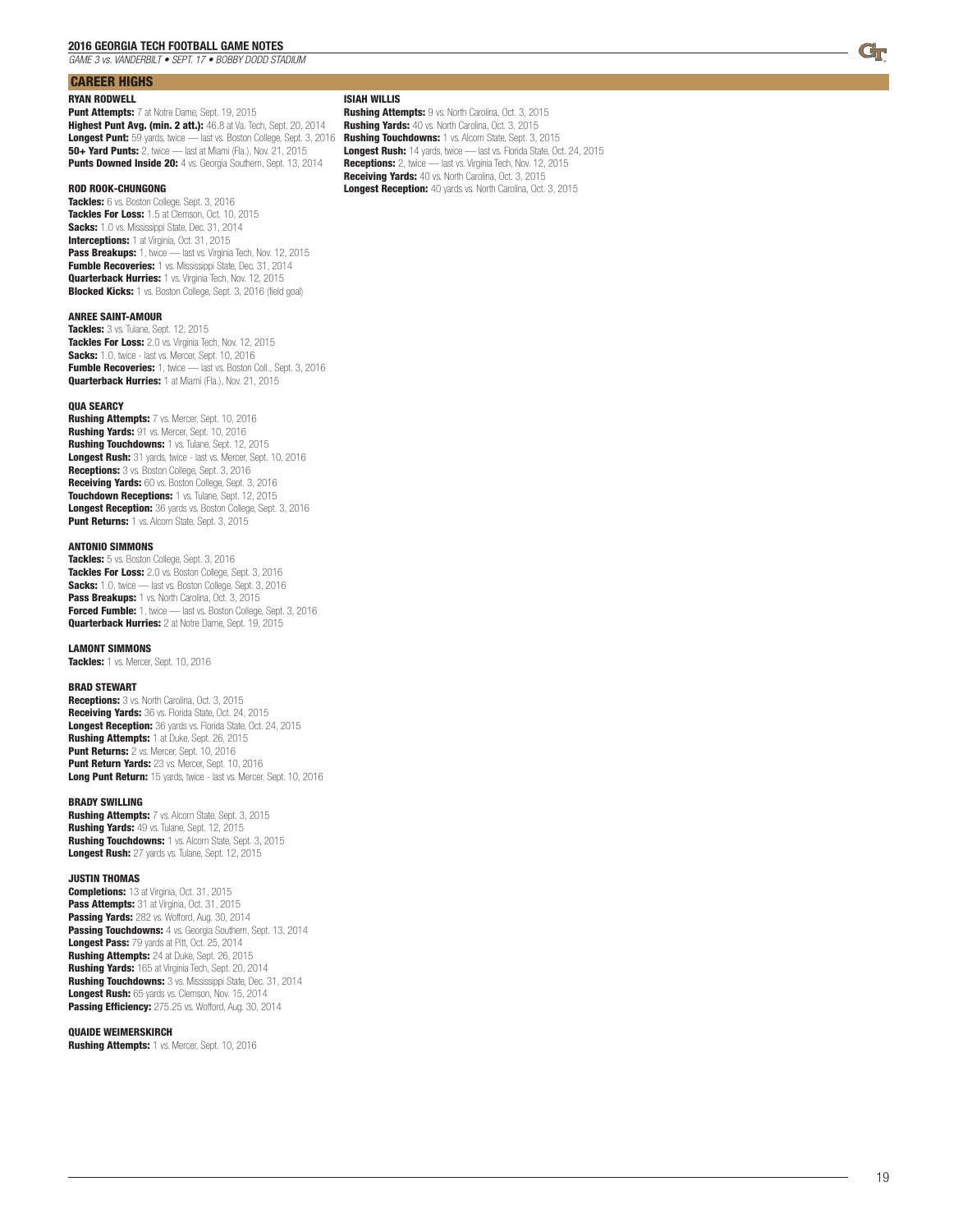*GAME 3 vs. VANDERBILT • SEPT. 17 • BOBBY DODD STADIUM*

### CAREER HIGHS

#### RYAN RODWELL

Punt Attempts: 7 at Notre Dame, Sept. 19, 2015 Highest Punt Avg. (min. 2 att.): 46.8 at Va. Tech, Sept. 20, 2014 Longest Punt: 59 yards, twice — last vs. Boston College, Sept. 3, 2016 50+ Yard Punts: 2, twice — last at Miami (Fla.), Nov. 21, 2015 Punts Downed Inside 20: 4 vs. Georgia Southern, Sept. 13, 2014

#### ROD ROOK-CHUNGONG

Tackles: 6 vs. Boston College. Sept. 3, 2016 Tackles For Loss: 1.5 at Clemson, Oct. 10, 2015 Sacks: 1.0 vs. Mississippi State, Dec. 31, 2014 Interceptions: 1 at Virginia, Oct. 31, 2015 Pass Breakups: 1, twice - last vs. Virginia Tech, Nov. 12, 2015 Fumble Recoveries: 1 vs. Mississippi State, Dec. 31, 2014 **Quarterback Hurries:** 1 vs. Virginia Tech, Nov. 12, 2015 Blocked Kicks: 1 vs. Boston College, Sept. 3, 2016 (field goal)

#### ANREE SAINT-AMOUR

Tackles: 3 vs. Tulane, Sept. 12, 2015 Tackles For Loss: 2.0 vs. Virginia Tech, Nov. 12, 2015 Sacks: 1.0, twice - last vs. Mercer, Sept. 10, 2016 Fumble Recoveries: 1, twice - last vs. Boston Coll., Sept. 3, 2016 **Quarterback Hurries:** 1 at Miami (Fla.), Nov. 21, 2015

#### **OUA SEARCY**

Rushing Attempts: 7 vs. Mercer, Sept. 10, 2016 Rushing Yards: 91 vs. Mercer, Sept. 10, 2016 Rushing Touchdowns: 1 vs. Tulane, Sept. 12, 2015 Longest Rush: 31 yards, twice - last vs. Mercer, Sept. 10, 2016 **Receptions:** 3 vs. Boston College, Sept. 3, 2016 Receiving Yards: 60 vs. Boston College, Sept. 3, 2016 Touchdown Receptions: 1 vs. Tulane, Sept. 12, 2015 Longest Reception: 36 yards vs. Boston College, Sept. 3, 2016 Punt Returns: 1 vs. Alcorn State, Sept. 3, 2015

#### ANTONIO SIMMONS

Tackles: 5 vs. Boston College, Sept. 3, 2016 Tackles For Loss: 2.0 vs. Boston College, Sept. 3, 2016 Sacks: 1.0, twice - last vs. Boston College, Sept. 3, 2016 Pass Breakups: 1 vs. North Carolina, Oct. 3, 2015 Forced Fumble: 1, twice - last vs. Boston College, Sept. 3, 2016 **Quarterback Hurries:** 2 at Notre Dame, Sept. 19, 2015

#### LAMONT SIMMONS

Tackles: 1 vs. Mercer, Sept. 10, 2016

#### BRAD STEWART

Receptions: 3 vs. North Carolina, Oct. 3, 2015 Receiving Yards: 36 vs. Florida State, Oct. 24, 2015 Longest Reception: 36 yards vs. Florida State, Oct. 24, 2015 Rushing Attempts: 1 at Duke, Sept. 26, 2015 Punt Returns: 2 vs. Mercer, Sept. 10, 2016 Punt Return Yards: 23 vs. Mercer, Sept. 10, 2016 Long Punt Return: 15 yards, twice - last vs. Mercer, Sept. 10, 2016

#### BRADY SWILLING

**Rushing Attempts:** 7 vs. Alcorn State, Sept. 3, 2015 Rushing Yards: 49 vs. Tulane, Sept. 12, 2015 Rushing Touchdowns: 1 vs. Alcorn State, Sept. 3, 2015 Longest Rush: 27 yards vs. Tulane, Sept. 12, 2015

#### JUSTIN THOMAS

**Completions:** 13 at Virginia, Oct. 31, 2015 Pass Attempts: 31 at Virginia, Oct. 31, 2015 Passing Yards: 282 vs. Wofford, Aug. 30, 2014 Passing Touchdowns: 4 vs. Georgia Southern, Sept. 13, 2014 Longest Pass: 79 yards at Pitt, Oct. 25, 2014 Rushing Attempts: 24 at Duke, Sept. 26, 2015 Rushing Yards: 165 at Virginia Tech, Sept. 20, 2014 Rushing Touchdowns: 3 vs. Mississippi State, Dec. 31, 2014 Longest Rush: 65 yards vs. Clemson, Nov. 15, 2014 Passing Efficiency: 275.25 vs. Wofford, Aug. 30, 2014

#### QUAIDE WEIMERSKIRCH

**Rushing Attempts:** 1 vs. Mercer, Sept. 10, 2016

#### ISIAH WILLIS

Rushing Attempts: 9 vs. North Carolina, Oct. 3, 2015 Rushing Yards: 40 vs. North Carolina, Oct. 3, 2015 Rushing Touchdowns: 1 vs. Alcorn State, Sept. 3, 2015 Longest Rush: 14 yards, twice - last vs. Florida State, Oct. 24, 2015 Receptions: 2, twice - last vs. Virginia Tech, Nov. 12, 2015 Receiving Yards: 40 vs. North Carolina, Oct. 3, 2015 Longest Reception: 40 yards vs. North Carolina, Oct. 3, 2015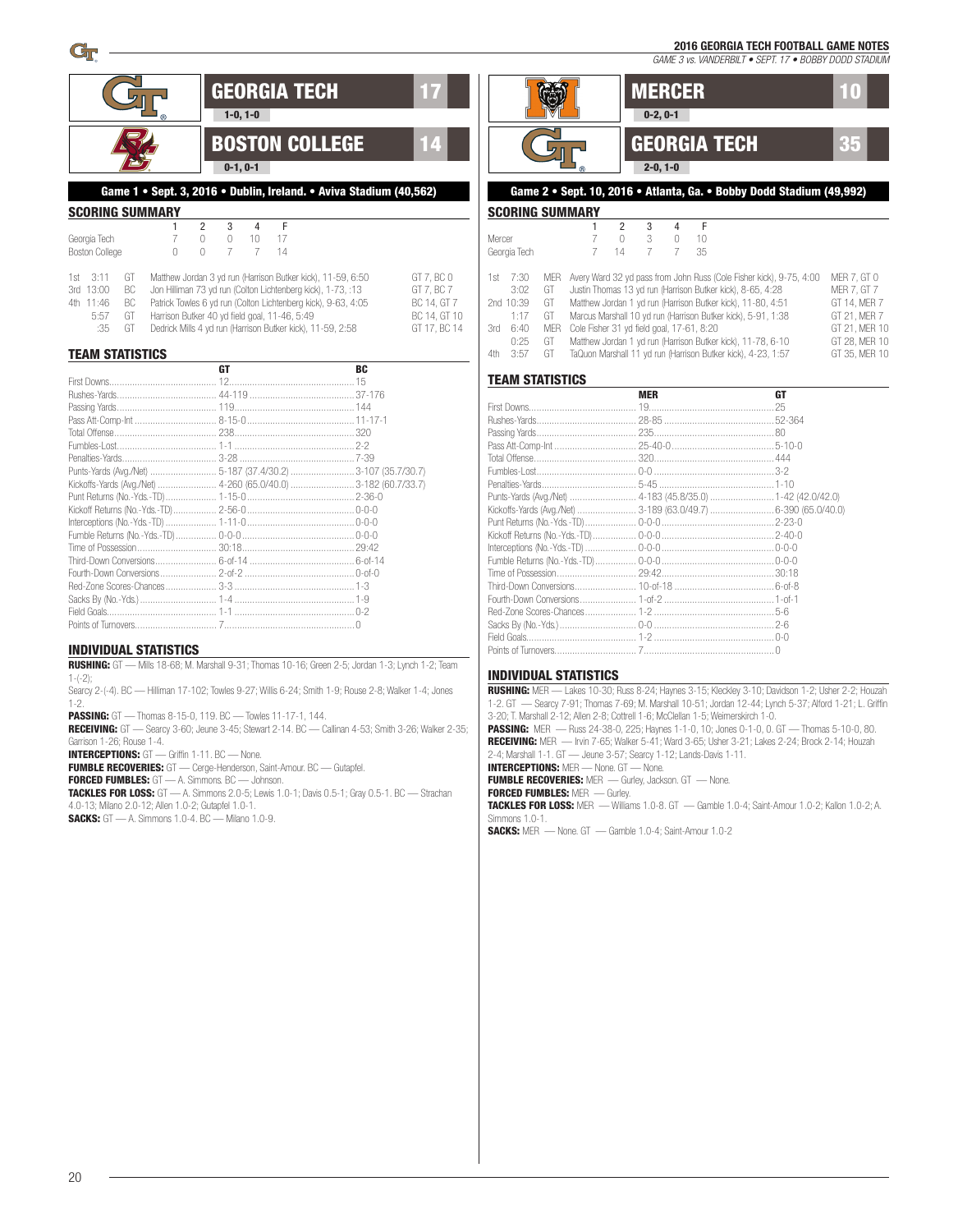*GAME 3 vs. VANDERBILT • SEPT. 17 • BOBBY DODD STADIUM*

|                                                                                                              |                                                                                                             |                                                        |              | GEORGIA TECH  |                                                                                                                                                                                             |                                                                         |
|--------------------------------------------------------------------------------------------------------------|-------------------------------------------------------------------------------------------------------------|--------------------------------------------------------|--------------|---------------|---------------------------------------------------------------------------------------------------------------------------------------------------------------------------------------------|-------------------------------------------------------------------------|
|                                                                                                              |                                                                                                             | $1-0, 1-0$                                             |              |               |                                                                                                                                                                                             |                                                                         |
|                                                                                                              |                                                                                                             | $0-1, 0-1$                                             |              |               | <b>BOSTON COLLEGE</b>                                                                                                                                                                       | 14                                                                      |
|                                                                                                              |                                                                                                             |                                                        |              |               | Game 1 · Sept. 3, 2016 · Dublin, Ireland. · Aviva Stadium (40,562)                                                                                                                          |                                                                         |
| <b>SCORING SUMMARY</b>                                                                                       |                                                                                                             |                                                        |              |               |                                                                                                                                                                                             |                                                                         |
| Georgia Tech<br><b>Boston College</b>                                                                        | 1<br>7<br>$\cup$                                                                                            | $\overline{2}$<br>3<br>$\cup$<br>$\cup$<br>7<br>$\cap$ | 4<br>10<br>7 | F<br>17<br>14 |                                                                                                                                                                                             |                                                                         |
| 3:11<br>1st<br>GT<br>3rd 13:00<br>BC<br>4th 11:46<br>BC<br>5:57<br>GT<br>GT<br>:35<br><b>TEAM STATISTICS</b> | Harrison Butker 40 yd field goal, 11-46, 5:49<br>Dedrick Mills 4 yd run (Harrison Butker kick), 11-59, 2:58 |                                                        |              |               | Matthew Jordan 3 yd run (Harrison Butker kick), 11-59, 6:50<br>Jon Hilliman 73 yd run (Colton Lichtenberg kick), 1-73, :13<br>Patrick Towles 6 yd run (Colton Lichtenberg kick), 9-63, 4:05 | GT 7, BC 0<br>GT 7, BC 7<br>BC 14, GT 7<br>BC 14, GT 10<br>GT 17. BC 14 |
|                                                                                                              |                                                                                                             | <b>GT</b>                                              |              |               | <b>BC</b>                                                                                                                                                                                   |                                                                         |
|                                                                                                              |                                                                                                             |                                                        |              |               |                                                                                                                                                                                             |                                                                         |
|                                                                                                              |                                                                                                             |                                                        |              |               |                                                                                                                                                                                             |                                                                         |
|                                                                                                              |                                                                                                             |                                                        |              |               |                                                                                                                                                                                             |                                                                         |
|                                                                                                              |                                                                                                             |                                                        |              |               |                                                                                                                                                                                             |                                                                         |
|                                                                                                              |                                                                                                             |                                                        |              |               |                                                                                                                                                                                             |                                                                         |
|                                                                                                              |                                                                                                             |                                                        |              |               |                                                                                                                                                                                             |                                                                         |
|                                                                                                              |                                                                                                             |                                                        |              |               |                                                                                                                                                                                             |                                                                         |
|                                                                                                              |                                                                                                             |                                                        |              |               | Kickoffs-Yards (Avg./Net)  4-260 (65.0/40.0) 3-182 (60.7/33.7)                                                                                                                              |                                                                         |
|                                                                                                              |                                                                                                             |                                                        |              |               |                                                                                                                                                                                             |                                                                         |
|                                                                                                              |                                                                                                             |                                                        |              |               |                                                                                                                                                                                             |                                                                         |
|                                                                                                              |                                                                                                             |                                                        |              |               |                                                                                                                                                                                             |                                                                         |
|                                                                                                              |                                                                                                             |                                                        |              |               |                                                                                                                                                                                             |                                                                         |
|                                                                                                              |                                                                                                             |                                                        |              |               |                                                                                                                                                                                             |                                                                         |
|                                                                                                              |                                                                                                             |                                                        |              |               |                                                                                                                                                                                             |                                                                         |
|                                                                                                              |                                                                                                             |                                                        |              |               |                                                                                                                                                                                             |                                                                         |
|                                                                                                              |                                                                                                             |                                                        |              |               |                                                                                                                                                                                             |                                                                         |
|                                                                                                              |                                                                                                             |                                                        |              |               |                                                                                                                                                                                             |                                                                         |
|                                                                                                              |                                                                                                             |                                                        |              |               |                                                                                                                                                                                             |                                                                         |

### INDIVIDUAL STATISTICS

RUSHING: GT — Mills 18-68; M. Marshall 9-31; Thomas 10-16; Green 2-5; Jordan 1-3; Lynch 1-2; Team 1-(-2);

Searcy 2-(-4). BC — Hilliman 17-102; Towles 9-27; Willis 6-24; Smith 1-9; Rouse 2-8; Walker 1-4; Jones 1-2.

PASSING: GT — Thomas 8-15-0, 119. BC — Towles 11-17-1, 144. RECEIVING: GT - Searcy 3-60; Jeune 3-45; Stewart 2-14. BC - Callinan 4-53; Smith 3-26; Walker 2-35;

Garrison 1-26; Rouse 1-4.

INTERCEPTIONS: GT — Griffin 1-11. BC — None. FUMBLE RECOVERIES: GT — Cerge-Henderson, Saint-Amour. BC — Gutapfel.

Points of Turnovers................................ 7................................................... 0

FORCED FUMBLES: GT — A. Simmons. BC — Johnson.

TACKLES FOR LOSS: GT — A. Simmons 2.0-5; Lewis 1.0-1; Davis 0.5-1; Gray 0.5-1. BC — Strachan 4.0-13; Milano 2.0-12; Allen 1.0-2; Gutapfel 1.0-1.

SACKS: GT — A. Simmons 1.0-4. BC — Milano 1.0-9.



### Game 2 • Sept. 10, 2016 • Atlanta, Ga. • Bobby Dodd Stadium (49,992)

### SCORING SUMMARY

|      |                                     | 2  | 3 |  |    |   |                                           |                                                                                                                                                                                                                                                                                                                                                                                                 |
|------|-------------------------------------|----|---|--|----|---|-------------------------------------------|-------------------------------------------------------------------------------------------------------------------------------------------------------------------------------------------------------------------------------------------------------------------------------------------------------------------------------------------------------------------------------------------------|
|      |                                     |    | 3 |  | 10 |   |                                           |                                                                                                                                                                                                                                                                                                                                                                                                 |
|      |                                     | 14 |   |  | 35 |   |                                           |                                                                                                                                                                                                                                                                                                                                                                                                 |
|      |                                     |    |   |  |    |   |                                           |                                                                                                                                                                                                                                                                                                                                                                                                 |
| 7:30 | MFR                                 |    |   |  |    |   |                                           | MER 7. GT 0                                                                                                                                                                                                                                                                                                                                                                                     |
| 3:02 | GT                                  |    |   |  |    |   |                                           | <b>MER 7. GT 7</b>                                                                                                                                                                                                                                                                                                                                                                              |
|      | GT                                  |    |   |  |    |   |                                           | GT 14. MER 7                                                                                                                                                                                                                                                                                                                                                                                    |
| 1:17 | GT                                  |    |   |  |    |   |                                           | GT 21. MER 7                                                                                                                                                                                                                                                                                                                                                                                    |
| 6:40 | <b>MER</b>                          |    |   |  |    |   |                                           | GT 21. MER 10                                                                                                                                                                                                                                                                                                                                                                                   |
| 0:25 | GT                                  |    |   |  |    |   |                                           |                                                                                                                                                                                                                                                                                                                                                                                                 |
| 3:57 | GT.                                 |    |   |  |    |   |                                           | GT 35. MER 10                                                                                                                                                                                                                                                                                                                                                                                   |
|      | Mercer<br>Georgia Tech<br>2nd 10:39 |    |   |  |    | F | Cole Fisher 31 yd field goal, 17-61, 8:20 | Avery Ward 32 yd pass from John Russ (Cole Fisher kick), 9-75, 4:00<br>Justin Thomas 13 yd run (Harrison Butker kick), 8-65, 4:28<br>Matthew Jordan 1 yd run (Harrison Butker kick), 11-80, 4:51<br>Marcus Marshall 10 yd run (Harrison Butker kick), 5-91, 1:38<br>Matthew Jordan 1 yd run (Harrison Butker kick), 11-78, 6-10<br>TaQuon Marshall 11 yd run (Harrison Butker kick), 4-23, 1:57 |

#### TEAM STATISTICS

|                                                                                                                | <b>MER</b> | <b>GT</b> |
|----------------------------------------------------------------------------------------------------------------|------------|-----------|
|                                                                                                                |            |           |
|                                                                                                                |            |           |
|                                                                                                                |            |           |
|                                                                                                                |            |           |
|                                                                                                                |            |           |
|                                                                                                                |            |           |
|                                                                                                                |            |           |
|                                                                                                                |            |           |
|                                                                                                                |            |           |
|                                                                                                                |            |           |
|                                                                                                                |            |           |
|                                                                                                                |            |           |
|                                                                                                                |            |           |
|                                                                                                                |            |           |
|                                                                                                                |            |           |
|                                                                                                                |            |           |
|                                                                                                                |            |           |
|                                                                                                                |            |           |
|                                                                                                                |            |           |
| Points of Turnovers and Taylor 7 and Taylor 7 and Taylor 1 and Taylor 1 and Taylor 1 and Taylor 1 and Taylor 1 |            |           |

#### INDIVIDUAL STATISTICS

RUSHING: MER — Lakes 10-30; Russ 8-24; Haynes 3-15; Kleckley 3-10; Davidson 1-2; Usher 2-2; Houzah 1-2. GT — Searcy 7-91; Thomas 7-69; M. Marshall 10-51; Jordan 12-44; Lynch 5-37; Alford 1-21; L. Griffin 3-20; T. Marshall 2-12; Allen 2-8; Cottrell 1-6; McClellan 1-5; Weimerskirch 1-0. PASSING: MER — Russ 24-38-0, 225; Haynes 1-1-0, 10; Jones 0-1-0, 0. GT — Thomas 5-10-0, 80. RECEIVING: MER — Irvin 7-65; Walker 5-41; Ward 3-65; Usher 3-21; Lakes 2-24; Brock 2-14; Houzah 2-4; Marshall 1-1. GT — Jeune 3-57; Searcy 1-12; Lands-Davis 1-11. INTERCEPTIONS: MER — None. GT — None. FUMBLE RECOVERIES: MER - Gurley, Jackson. GT - None. FORCED FUMBLES: MER - Gurley. TACKLES FOR LOSS: MER — Williams 1.0-8. GT — Gamble 1.0-4; Saint-Amour 1.0-2; Kallon 1.0-2; A. Simmons 1.0-1. SACKS: MER — None. GT — Gamble 1.0-4; Saint-Amour 1.0-2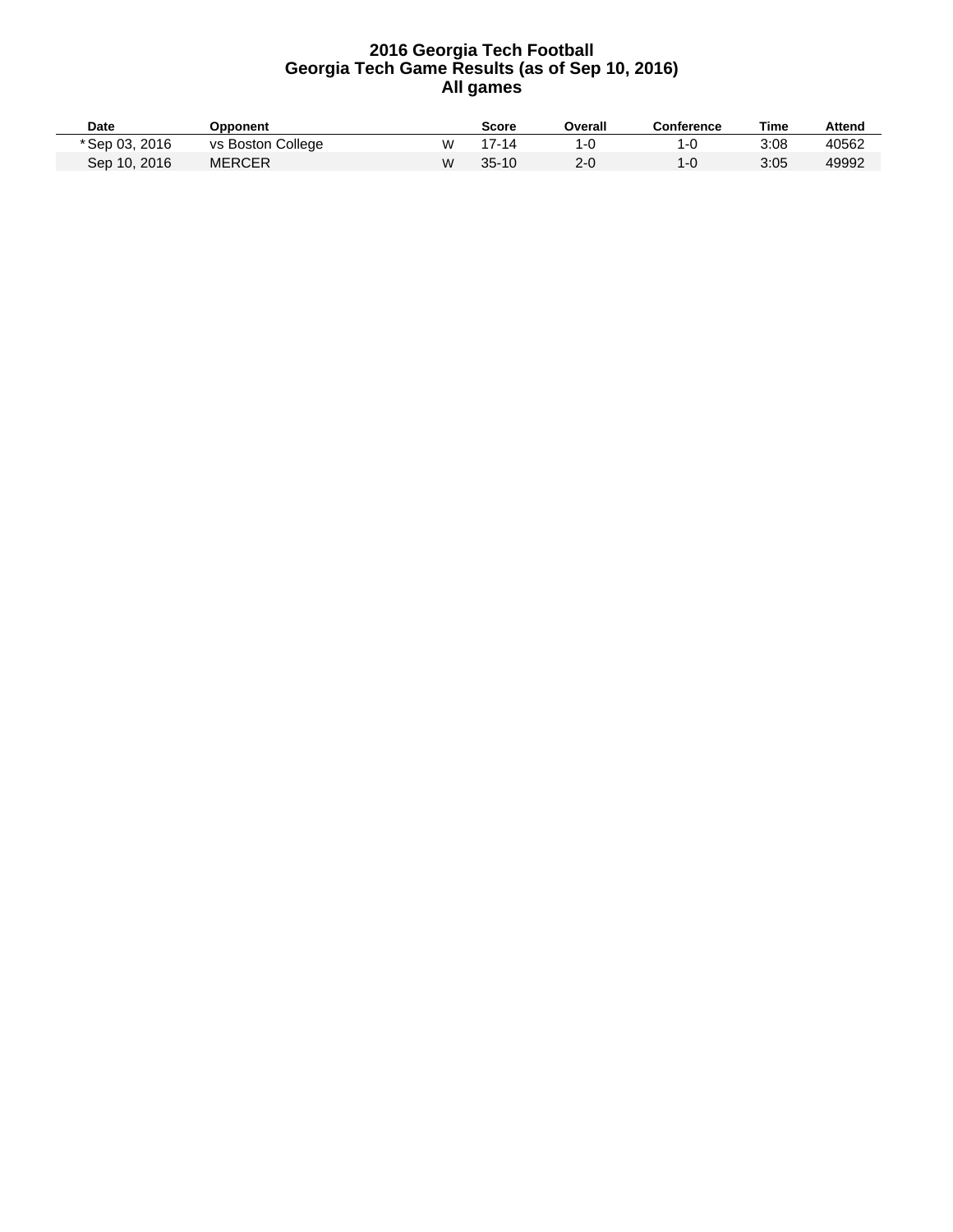| <b>Date</b>    | Opponent          |   | Score   | Overall | Conference | Time | Attend |
|----------------|-------------------|---|---------|---------|------------|------|--------|
| * Sep 03, 2016 | vs Boston College | w | 17-14   |         | 1-0        | 3:08 | 40562  |
| Sep 10, 2016   | <b>MERCER</b>     | W | $35-10$ | $2 - 0$ | 1-0        | 3:05 | 49992  |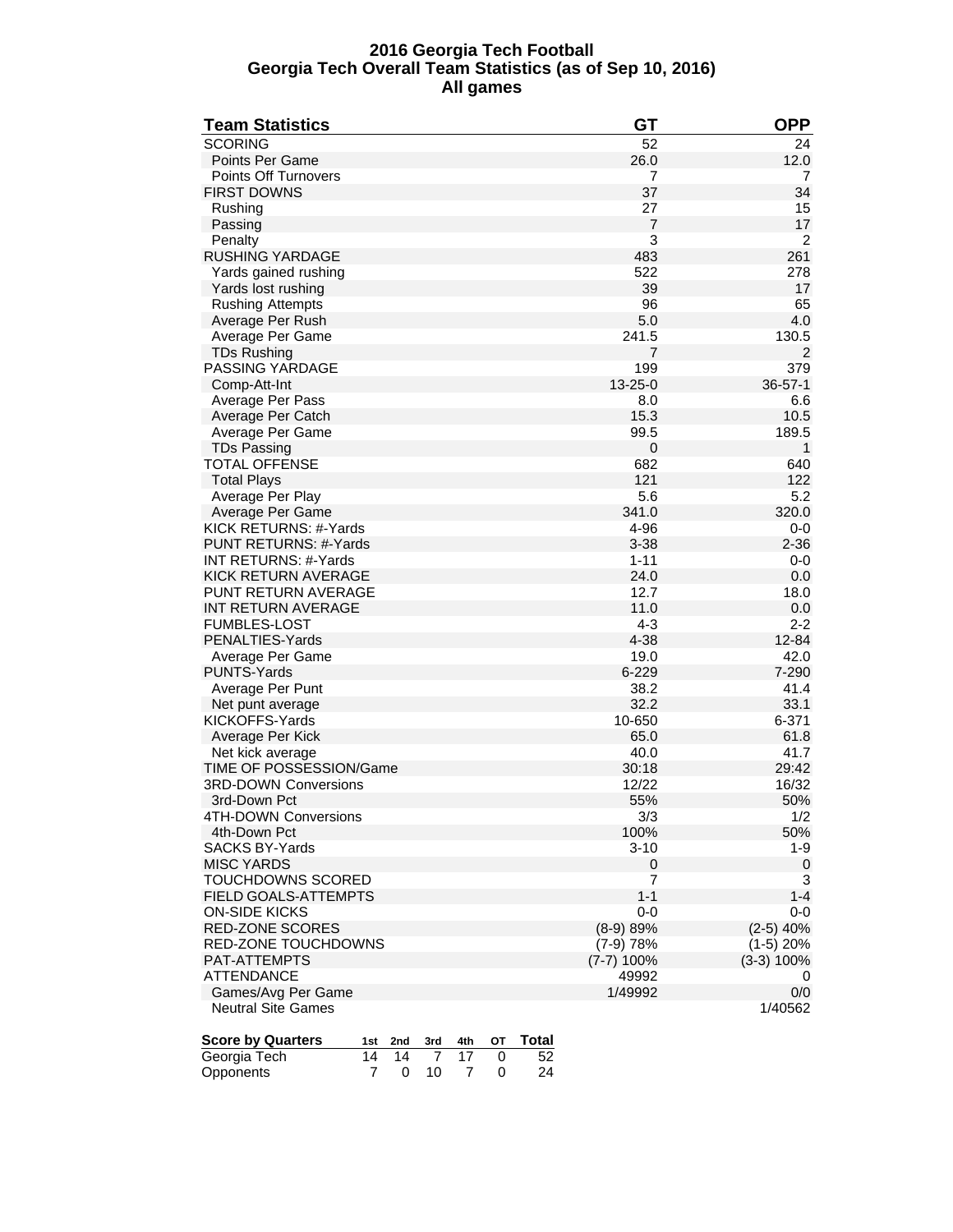### **2016 Georgia Tech Football Georgia Tech Overall Team Statistics (as of Sep 10, 2016) All games**

| <b>Team Statistics</b>                                                     | <b>GT</b>             | <b>OPP</b>     |
|----------------------------------------------------------------------------|-----------------------|----------------|
| <b>SCORING</b>                                                             | 52                    | 24             |
| Points Per Game                                                            | 26.0                  | 12.0           |
| <b>Points Off Turnovers</b>                                                | 7                     | 7              |
| <b>FIRST DOWNS</b>                                                         | 37                    | 34             |
| Rushing                                                                    | 27                    | 15             |
| Passing                                                                    | $\overline{7}$        | 17             |
| Penalty                                                                    | 3                     | $\overline{2}$ |
| RUSHING YARDAGE                                                            | 483                   | 261            |
| Yards gained rushing                                                       | 522                   | 278            |
| Yards lost rushing                                                         | 39                    | 17             |
| <b>Rushing Attempts</b>                                                    | 96                    | 65             |
| Average Per Rush                                                           | 5.0                   | 4.0            |
| Average Per Game                                                           | 241.5                 | 130.5          |
| <b>TDs Rushing</b>                                                         | 7                     | 2              |
| PASSING YARDAGE                                                            | 199                   | 379            |
| Comp-Att-Int                                                               | $13 - 25 - 0$         | $36 - 57 - 1$  |
| Average Per Pass                                                           | 8.0                   | 6.6            |
| Average Per Catch                                                          | 15.3                  | 10.5           |
| Average Per Game                                                           | 99.5                  | 189.5          |
| <b>TDs Passing</b>                                                         | $\mathbf 0$           | 1              |
| TOTAL OFFENSE                                                              | 682                   | 640            |
| <b>Total Plays</b>                                                         | 121                   | 122            |
| Average Per Play                                                           | 5.6                   | 5.2            |
| Average Per Game                                                           | 341.0                 | 320.0          |
| KICK RETURNS: #-Yards                                                      | 4-96                  | $0-0$          |
| PUNT RETURNS: #-Yards                                                      | $3 - 38$              | $2 - 36$       |
| <b>INT RETURNS: #-Yards</b>                                                | $1 - 11$              | 0-0            |
| KICK RETURN AVERAGE                                                        | 24.0                  | 0.0            |
| <b>PUNT RETURN AVERAGE</b>                                                 | 12.7                  | 18.0           |
| INT RETURN AVERAGE                                                         | 11.0                  | 0.0            |
| <b>FUMBLES-LOST</b>                                                        | $4 - 3$               | $2 - 2$        |
| PENALTIES-Yards                                                            | $4 - 38$              | 12-84          |
| Average Per Game                                                           | 19.0                  | 42.0           |
| <b>PUNTS-Yards</b>                                                         | 6-229                 | 7-290          |
| Average Per Punt                                                           | 38.2                  | 41.4           |
| Net punt average                                                           | 32.2                  | 33.1           |
| KICKOFFS-Yards                                                             | 10-650                | 6-371          |
| Average Per Kick                                                           | 65.0                  | 61.8           |
| Net kick average                                                           | 40.0                  | 41.7           |
| TIME OF POSSESSION/Game                                                    | 30:18                 | 29:42          |
| <b>3RD-DOWN Conversions</b>                                                | 12/22                 | 16/32          |
| 3rd-Down Pct                                                               | 55%                   | 50%            |
| 4TH-DOWN Conversions                                                       | 3/3                   | 1/2            |
| 4th-Down Pct                                                               | 100%                  | 50%            |
| <b>SACKS BY-Yards</b>                                                      | $3 - 10$              | $1 - 9$        |
| <b>MISC YARDS</b>                                                          | 0<br>$\overline{7}$   | $\mathbf 0$    |
| TOUCHDOWNS SCORED                                                          | $1 - 1$               | 3<br>$1 - 4$   |
| FIELD GOALS-ATTEMPTS<br><b>ON-SIDE KICKS</b>                               |                       |                |
| RED-ZONE SCORES                                                            | $0-0$                 | $0-0$          |
|                                                                            | $(8-9) 89%$           | $(2-5)$ 40%    |
| RED-ZONE TOUCHDOWNS<br>PAT-ATTEMPTS                                        | $(7-9)$ 78%           | $(1-5)$ 20%    |
| <b>ATTENDANCE</b>                                                          | $(7-7)$ 100%<br>49992 | $(3-3)$ 100%   |
| Games/Avg Per Game                                                         |                       | 0              |
| <b>Neutral Site Games</b>                                                  | 1/49992               | 0/0<br>1/40562 |
|                                                                            |                       |                |
| <b>Score by Quarters</b><br><b>Total</b><br>4th<br>ΟТ<br>1st<br>2nd<br>3rd |                       |                |
| Georgia Tech<br>52<br>14<br>14<br>7<br>17<br>0                             |                       |                |
|                                                                            |                       |                |

Opponents 7 0 10 7 0 24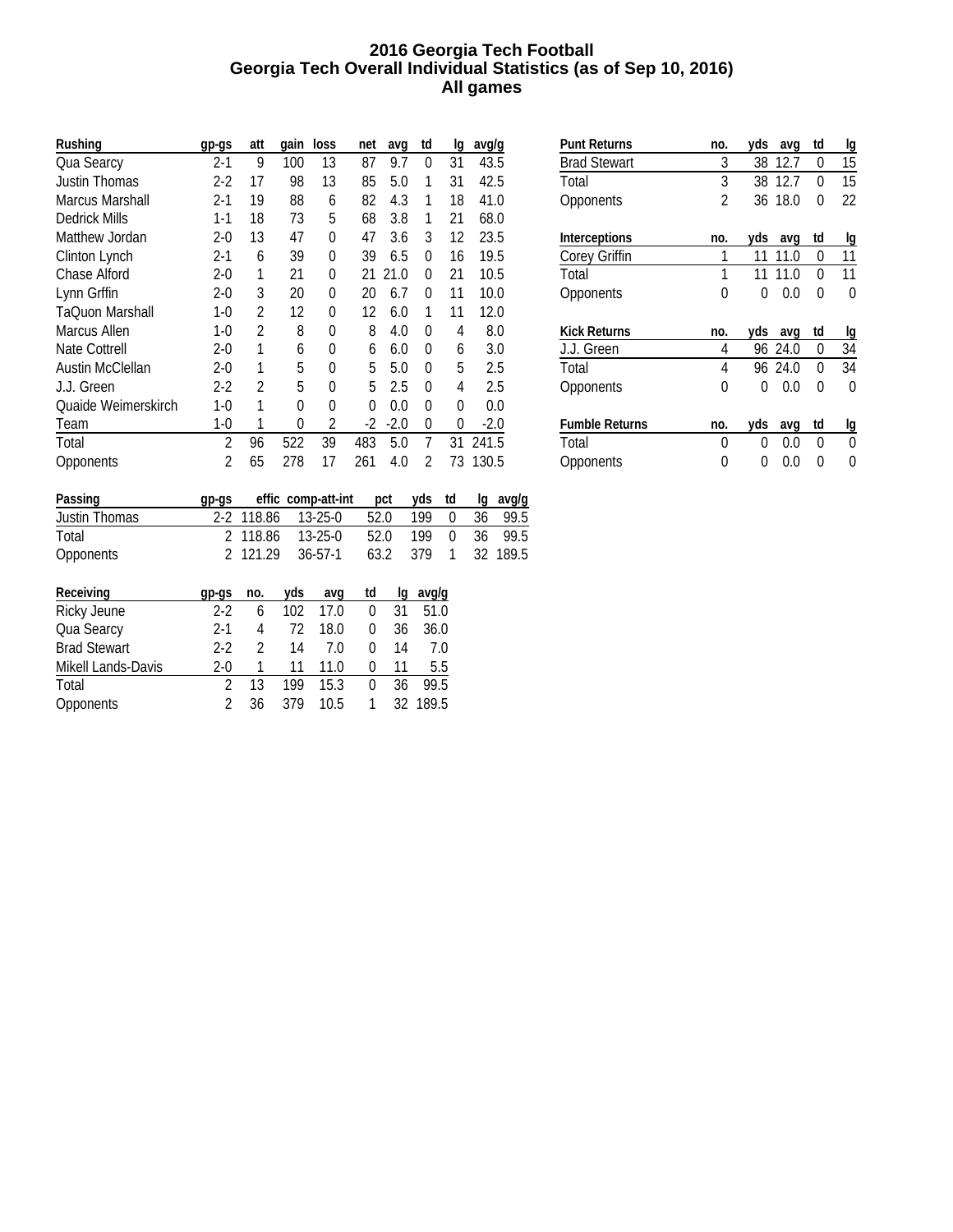### **2016 Georgia Tech Football Georgia Tech Overall Individual Statistics (as of Sep 10, 2016) All games**

| Rushing                 | gp-gs                    | att            | qain | loss                    | net  | avq            | td                          | lg             | avg/g        |                             |
|-------------------------|--------------------------|----------------|------|-------------------------|------|----------------|-----------------------------|----------------|--------------|-----------------------------|
| Qua Searcy              | $2 - 1$                  | 9              | 100  | 13                      | 87   | 9.7            | 0                           | 31             | 43.5         |                             |
| <b>Justin Thomas</b>    | $2 - 2$                  | 17             | 98   | 13                      | 85   | 5.0            | 1                           | 31             | 42.5         |                             |
| <b>Marcus Marshall</b>  | $2 - 1$                  | 19             | 88   | 6                       | 82   | 4.3            | 1                           | 18             | 41.0         |                             |
| <b>Dedrick Mills</b>    | $1 - 1$                  | 18             | 73   | 5                       | 68   | 3.8            | 1                           | 21             | 68.0         |                             |
| Matthew Jordan          | $2-0$                    | 13             | 47   | 0                       | 47   | 3.6            | 3                           | 12             | 23.5         |                             |
| Clinton Lynch           | 2-1                      | 6              | 39   | 0                       | 39   | 6.5            | 0                           | 16             | 19.5         |                             |
| <b>Chase Alford</b>     | $2 - 0$                  | 1              | 21   | 0                       | 21   | 21.0           | 0                           | 21             | 10.5         |                             |
| Lynn Grffin             | $2 - 0$                  | 3              | 20   | $\mathbf{0}$            | 20   | 6.7            | 0                           | 11             | 10.0         |                             |
| TaQuon Marshall         | $1-0$                    | 2              | 12   | 0                       | 12   | 6.0            | 1                           | 11             | 12.0         |                             |
| Marcus Allen            | $1-0$                    | 2              | 8    | 0                       | 8    | 4.0            | 0                           | 4              | 8.0          |                             |
| <b>Nate Cottrell</b>    | $2 - 0$                  | 1              | 6    | 0                       | 6    | 6.0            | 0                           | 6              | 3.0          |                             |
| <b>Austin McClellan</b> | $2 - 0$                  | 1              | 5    | 0                       | 5    | 5.0            | 0                           | 5              | 2.5          |                             |
| J.J. Green              | 2-2                      | $\overline{2}$ | 5    | 0                       | 5    | 2.5            | 0                           | 4              | 2.5          |                             |
| Quaide Weimerskirch     | 1-0                      | 1              | 0    | $\mathbf{0}$            | 0    | 0.0            | 0                           | 0              | 0.0          |                             |
| Team                    | 1-0                      | 1              | 0    | 2                       | $-2$ | $-2.0$         | 0                           | 0              | $-2.0$       |                             |
| Total                   | $\overline{2}$           | 96             | 522  | 39                      | 483  | 5.0            | 7                           | 31             | 241.5        |                             |
| Opponents               | $\mathfrak{p}$           | 65             | 278  | 17                      | 261  | 4.0            | $\mathfrak{p}$              | 73             | 130.5        |                             |
|                         |                          |                |      |                         |      |                |                             |                |              |                             |
| Passing                 | gp-gs                    | effic          |      | comp-att-int            |      | pct            | yds                         | td             | lg           | avg/g                       |
| Justin Thomas           | $2 - 2$                  | 118.86         |      | 13-25-0                 |      | 52.0           | 199                         | 0              | 36           | 99.5                        |
| Total                   | 2                        | 118.86         |      | 13-25-0<br>$\sim$ $  -$ |      | 52.0<br>$\sim$ | 199<br>$\sim$ $\sim$ $\sim$ | $\mathbf{0}$   | 36<br>$\sim$ | 99.5                        |
|                         | $\overline{\phantom{0}}$ | $\cdots$       |      |                         |      |                |                             | $\overline{a}$ |              | $\sim$ $\sim$ $\sim$ $\sim$ |

| <b>Punt Returns</b>   | no. | yds | avq     | td | lg |
|-----------------------|-----|-----|---------|----|----|
| <b>Brad Stewart</b>   | 3   |     | 38 12.7 | 0  | 15 |
| Total                 | 3   | 38  | 12.7    | 0  | 15 |
| Opponents             | 2   |     | 36 18.0 | 0  | 22 |
|                       |     |     |         |    |    |
| Interceptions         | no. | yds | avq     | td | lg |
| Corey Griffin         | 1   | 11  | 11.0    | 0  | 11 |
| Total                 | 1   | 11  | 11.0    | 0  | 11 |
| Opponents             | 0   | 0   | 0.0     | 0  | 0  |
|                       |     |     |         |    |    |
| <b>Kick Returns</b>   | no. | yds | avq     | td | lg |
| J.J. Green            | 4   |     | 96 24.0 | 0  | 34 |
| Total                 | 4   |     | 96 24.0 | 0  | 34 |
| Opponents             | 0   | 0   | 0.0     | 0  | 0  |
|                       |     |     |         |    |    |
| <b>Fumble Returns</b> | no. | yds | avq     | td | Ig |
| Total                 | 0   | 0   | 0.0     | 0  | 0  |
| Opponents             | 0   | 0   | 0.0     | 0  | 0  |

| <b>Justin Thomas</b>      |               | 2-2 118.86     |     | 13-25-0       | 52.0 |    | 199   | 0 | 36 | 99.5     |
|---------------------------|---------------|----------------|-----|---------------|------|----|-------|---|----|----------|
| Total                     | $\mathcal{P}$ | 118.86         |     | $13 - 25 - 0$ | 52.0 |    | 199   | 0 | 36 | 99.5     |
| <b>Opponents</b>          |               | 2 121.29       |     | $36 - 57 - 1$ | 63.2 |    | 379   | 1 |    | 32 189.5 |
| Receiving                 | $qp-gs$       | no.            | yds | avq           | td   | lq | avg/g |   |    |          |
| Ricky Jeune               | $2 - 2$       | 6              | 102 | 17.0          | 0    | 31 | 51.0  |   |    |          |
| Qua Searcy                | $2-1$         | 4              | 72  | 18.0          | 0    | 36 | 36.0  |   |    |          |
| <b>Brad Stewart</b>       | $2 - 2$       | $\mathfrak{p}$ | 14  | 7.0           | 0    | 14 | 7.0   |   |    |          |
| <b>Mikell Lands-Davis</b> | $2 - 0$       |                | 11  | 11.0          | 0    | 11 | 5.5   |   |    |          |
| Total                     | 2             | 13             | 199 | 15.3          | 0    | 36 | 99.5  |   |    |          |
| <b>Opponents</b>          | 2             | 36             | 379 | 10.5          |      | 32 | 189.5 |   |    |          |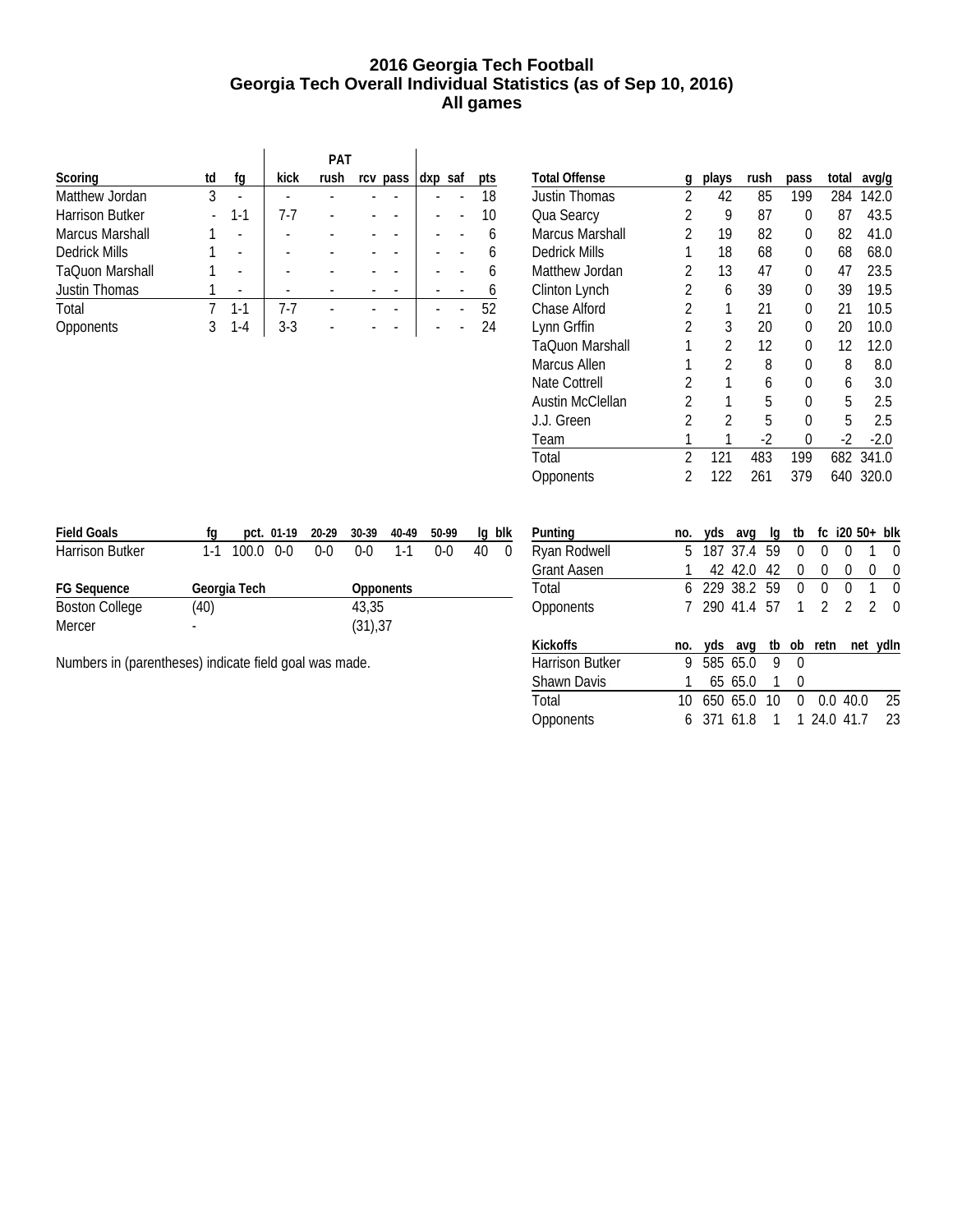### **2016 Georgia Tech Football Georgia Tech Overall Individual Statistics (as of Sep 10, 2016) All games**

|                        |    |         |       | PAT  |          |         |     |
|------------------------|----|---------|-------|------|----------|---------|-----|
| Scoring                | td | fq      | kick  | rush | rcv pass | dxp saf | pts |
| Matthew Jordan         | 3  |         |       |      |          |         | 18  |
| <b>Harrison Butker</b> |    | $1 - 1$ | 7-7   |      |          |         | 10  |
| Marcus Marshall        |    |         |       |      |          |         |     |
| <b>Dedrick Mills</b>   |    |         |       |      |          |         |     |
| TaQuon Marshall        |    |         |       |      |          |         |     |
| <b>Justin Thomas</b>   |    |         |       |      |          |         |     |
| Total                  |    | 1-1     | 7-7   |      |          |         | 52  |
| Opponents              |    | Ι-Δ     | $3-3$ |      |          |         |     |

| <b>Total Offense</b>    | g              | plays | rush | pass | total | avg/g  |
|-------------------------|----------------|-------|------|------|-------|--------|
| <b>Justin Thomas</b>    | 2              | 42    | 85   | 199  | 284   | 142.0  |
| Qua Searcy              | 2              | 9     | 87   | 0    | 87    | 43.5   |
| <b>Marcus Marshall</b>  | $\mathfrak{p}$ | 19    | 82   | 0    | 82    | 41.0   |
| Dedrick Mills           | 1              | 18    | 68   | 0    | 68    | 68.0   |
| Matthew Jordan          | 2              | 13    | 47   | 0    | 47    | 23.5   |
| Clinton Lynch           | 2              | 6     | 39   | 0    | 39    | 19.5   |
| <b>Chase Alford</b>     | 2              | 1     | 21   | 0    | 21    | 10.5   |
| Lynn Grffin             | 2              | 3     | 20   | 0    | 20    | 10.0   |
| <b>TaOuon Marshall</b>  |                | 2     | 12   | 0    | 12    | 12.0   |
| Marcus Allen            |                | 2     | 8    | 0    | 8     | 8.0    |
| Nate Cottrell           | 2              | 1     | 6    | 0    | 6     | 3.0    |
| <b>Austin McClellan</b> | 2              | 1     | 5    | N    | 5     | 2.5    |
| J.J. Green              | 2              | 2     | 5    | 0    | 5     | 2.5    |
| Team                    |                |       | $-2$ | 0    | $-2$  | $-2.0$ |
| Total                   | $\mathfrak{p}$ | 121   | 483  | 199  | 682   | 341.0  |
| Opponents               | 2              | 122   | 261  | 379  | 640   | 320.0  |
|                         |                |       |      |      |       |        |

| <b>Field Goals</b>     | rα   |                   | pct. 01-19 20-29 30-39 |                  | 40-49   | 50-99 | la | blk      |
|------------------------|------|-------------------|------------------------|------------------|---------|-------|----|----------|
| <b>Harrison Butker</b> | 1-1  | $100.0 \quad 0-0$ | $0 - 0$                | $0 - 0$          | $1 - 1$ | 0-0   | 40 | $\Omega$ |
| <b>FG Sequence</b>     |      | Georgia Tech      |                        | <b>Opponents</b> |         |       |    |          |
| <b>Boston College</b>  | (40) |                   |                        | 43.35            |         |       |    |          |
| Mercer                 | -    |                   |                        | (31), 37         |         |       |    |          |

Numbers in (parentheses) indicate field goal was made.

| Punting            | no. |     | yds avg            | lq | tb           | fc i20 50+ blk |               |               |              |
|--------------------|-----|-----|--------------------|----|--------------|----------------|---------------|---------------|--------------|
| Ryan Rodwell       | 5   |     | 187 37.4 59        |    | 0            | 0              | 0             | 1             | 0            |
| <b>Grant Aasen</b> |     |     | 42 42.0            | 42 | 0            | 0              | 0             | 0             | 0            |
| Total              |     |     | 6 229 38.2 59      |    | 0            | 0              | 0             | 1             | U            |
| <b>Opponents</b>   |     |     | 7 290 41.4 57      |    | $\mathbf{1}$ | $\mathcal{P}$  | $\mathcal{P}$ | $\mathcal{P}$ | <sup>0</sup> |
|                    |     |     |                    |    |              |                |               |               |              |
| <b>Kickoffs</b>    | no. |     | yds avg tb ob retn |    |              |                |               |               | net ydln     |
| Harrison Butker    | 9   |     | 585 65.0           | 9  | 0            |                |               |               |              |
| <b>Shawn Davis</b> |     |     | 65 65.0            | 1  | 0            |                |               |               |              |
| Total              | 10  | 650 | 65.0               | 10 | 0            | 0.0            |               | 40.0          | 25           |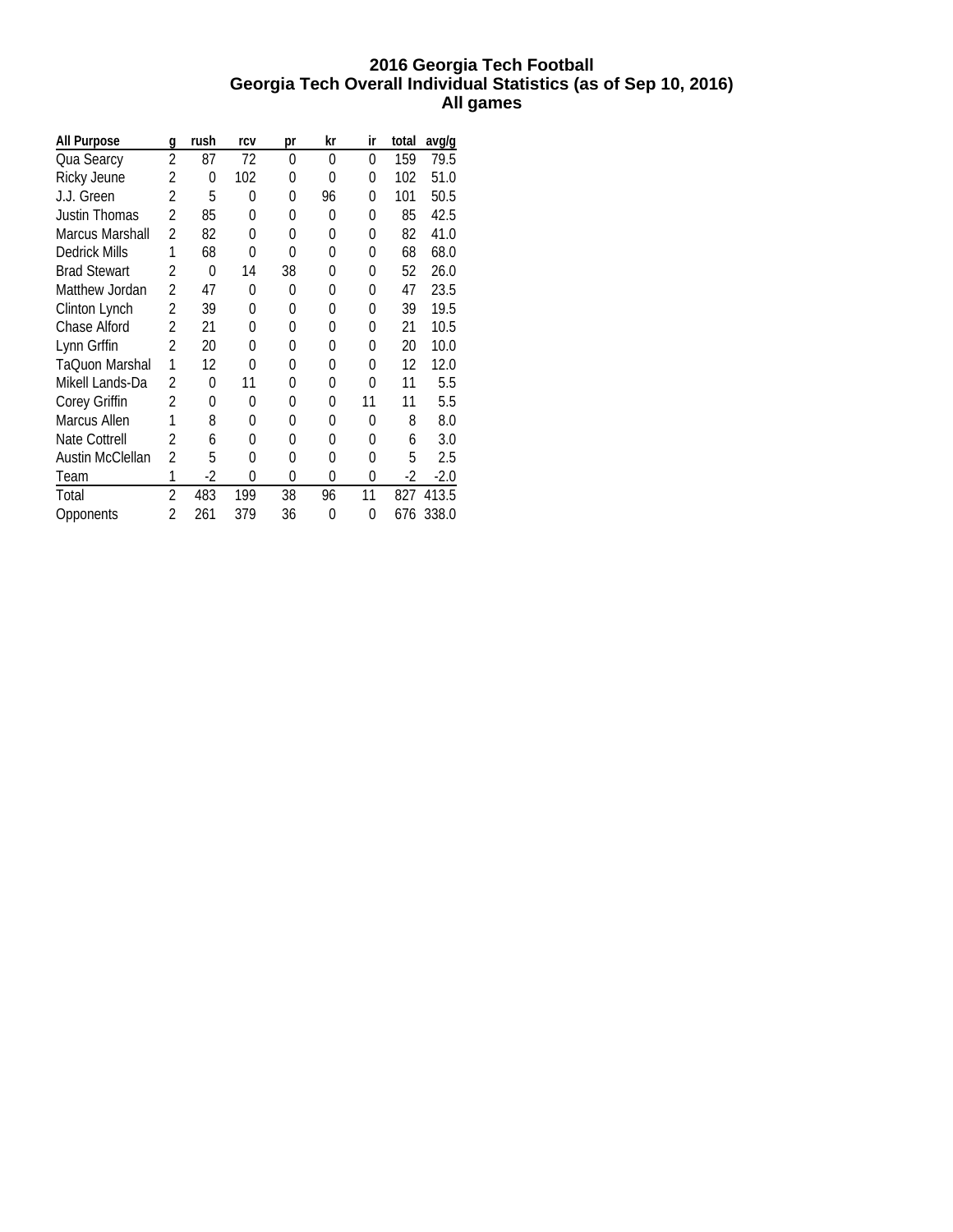### **2016 Georgia Tech Football Georgia Tech Overall Individual Statistics (as of Sep 10, 2016) All games**

| All Purpose          | g              | rush | rcv | рr | kr | ir | total | avg/g  |
|----------------------|----------------|------|-----|----|----|----|-------|--------|
| Qua Searcy           | $\overline{2}$ | 87   | 72  | 0  | 0  | 0  | 159   | 79.5   |
| Ricky Jeune          | 2              | 0    | 102 | 0  | 0  | 0  | 102   | 51.0   |
| J.J. Green           | 2              | 5    | 0   | 0  | 96 | 0  | 101   | 50.5   |
| Justin Thomas        | 2              | 85   | 0   | 0  | 0  | 0  | 85    | 42.5   |
| Marcus Marshall      | 2              | 82   | 0   | 0  | 0  | 0  | 82    | 41.0   |
| <b>Dedrick Mills</b> | 1              | 68   | 0   | O  | 0  | 0  | 68    | 68.0   |
| <b>Brad Stewart</b>  | $\mathfrak{p}$ | 0    | 14  | 38 | 0  | 0  | 52    | 26.0   |
| Matthew Jordan       | $\overline{2}$ | 47   | 0   | 0  | 0  | 0  | 47    | 23.5   |
| Clinton Lynch        | 2              | 39   | 0   | 0  | 0  | 0  | 39    | 19.5   |
| Chase Alford         | 2              | 21   | 0   | 0  | 0  | 0  | 21    | 10.5   |
| Lynn Grffin          | 2              | 20   | 0   | 0  | 0  | 0  | 20    | 10.0   |
| TaOuon Marshal       | 1              | 12   | 0   | 0  | 0  | 0  | 12    | 12.0   |
| Mikell Lands-Da      | 2              | 0    | 11  | 0  | 0  | 0  | 11    | 5.5    |
| Corey Griffin        | 2              | 0    | 0   | 0  | 0  | 11 | 11    | 5.5    |
| Marcus Allen         | 1              | 8    | N   | 0  | 0  | 0  | 8     | 8.0    |
| <b>Nate Cottrell</b> | 2              | 6    | 0   | 0  | 0  | 0  | 6     | 3.0    |
| Austin McClellan     | 2              | 5    | 0   | 0  | 0  | 0  | 5     | 2.5    |
| Team                 | 1              | -2   | 0   | 0  | 0  | 0  | $-2$  | $-2.0$ |
| Total                | 2              | 483  | 199 | 38 | 96 | 11 | 827   | 413.5  |
| Opponents            | 2              | 261  | 379 | 36 | 0  | 0  | 676   | 338.0  |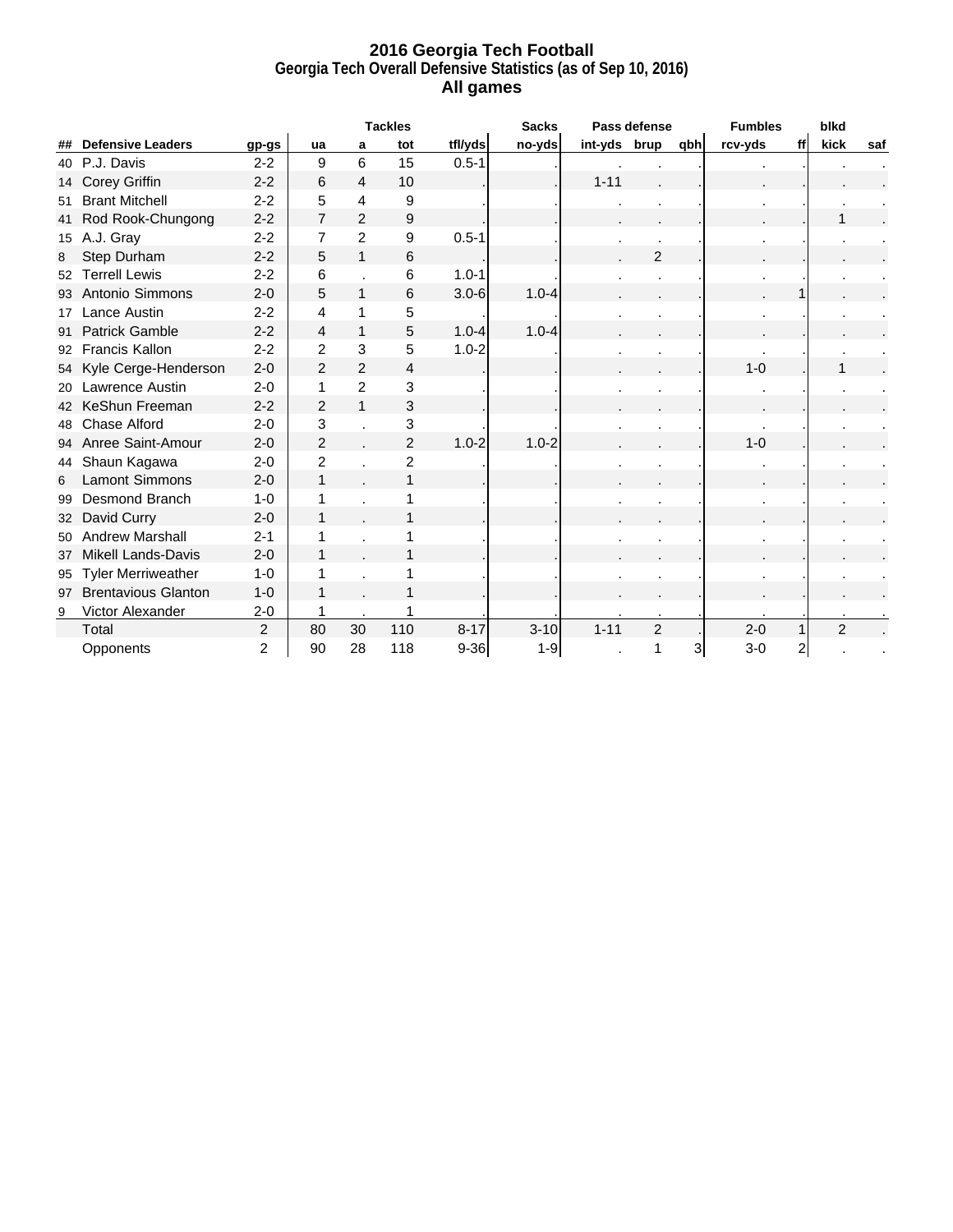### **2016 Georgia Tech Football Georgia Tech Overall Defensive Statistics (as of Sep 10, 2016) All games**

|    |                            |                |                |                | <b>Tackles</b> |           | <b>Sacks</b> |              | Pass defense   |     | <b>Fumbles</b> |    | blkd           |     |
|----|----------------------------|----------------|----------------|----------------|----------------|-----------|--------------|--------------|----------------|-----|----------------|----|----------------|-----|
| ## | <b>Defensive Leaders</b>   | gp-gs          | ua             | a              | tot            | tfl/yds   | no-yds       | int-yds brup |                | qbh | rcv-yds        | ff | kick           | saf |
| 40 | P.J. Davis                 | $2 - 2$        | 9              | 6              | 15             | $0.5 - 1$ |              |              |                |     |                |    |                |     |
| 14 | <b>Corey Griffin</b>       | $2 - 2$        | 6              | 4              | 10             |           |              | $1 - 11$     |                |     |                |    |                |     |
| 51 | <b>Brant Mitchell</b>      | $2 - 2$        | 5              | 4              | 9              |           |              |              |                |     |                |    |                |     |
| 41 | Rod Rook-Chungong          | $2 - 2$        | $\overline{7}$ | $\overline{2}$ | 9              |           |              |              |                |     |                |    | 1              |     |
| 15 | A.J. Gray                  | $2 - 2$        | 7              | $\overline{2}$ | 9              | $0.5 - 1$ |              |              |                |     |                |    |                |     |
| 8  | Step Durham                | $2 - 2$        | 5              | 1              | 6              |           |              |              | $\overline{2}$ |     |                |    |                |     |
| 52 | <b>Terrell Lewis</b>       | $2 - 2$        | 6              |                | 6              | $1.0 - 1$ |              |              |                |     | ä,             |    |                |     |
| 93 | Antonio Simmons            | $2 - 0$        | 5              | $\mathbf{1}$   | 6              | $3.0 - 6$ | $1.0 - 4$    |              |                |     |                |    |                |     |
| 17 | Lance Austin               | $2 - 2$        | 4              | 1              | 5              |           |              |              |                |     |                |    |                |     |
| 91 | <b>Patrick Gamble</b>      | $2 - 2$        | 4              | $\mathbf 1$    | 5              | $1.0 - 4$ | $1.0 - 4$    |              |                |     |                |    |                |     |
| 92 | <b>Francis Kallon</b>      | $2 - 2$        | $\overline{2}$ | 3              | 5              | $1.0 - 2$ |              |              |                |     |                |    |                |     |
| 54 | Kyle Cerge-Henderson       | $2 - 0$        | $\overline{2}$ | $\overline{2}$ | $\overline{4}$ |           |              |              |                |     | $1 - 0$        |    |                |     |
| 20 | <b>Lawrence Austin</b>     | $2 - 0$        | 1              | $\overline{2}$ | 3              |           |              |              |                |     |                |    |                |     |
| 42 | KeShun Freeman             | $2 - 2$        | $\overline{2}$ | $\mathbf{1}$   | 3              |           |              |              |                |     |                |    |                |     |
| 48 | Chase Alford               | $2 - 0$        | 3              |                | 3              |           |              |              |                |     |                |    |                |     |
| 94 | Anree Saint-Amour          | $2 - 0$        | $\overline{2}$ |                | $\overline{2}$ | $1.0 - 2$ | $1.0 - 2$    |              |                |     | $1 - 0$        |    |                |     |
| 44 | Shaun Kagawa               | $2 - 0$        | 2              |                | $\overline{c}$ |           |              |              |                |     |                |    |                |     |
| 6  | <b>Lamont Simmons</b>      | $2 - 0$        | 1              |                | 1              |           |              |              |                |     |                |    |                |     |
| 99 | Desmond Branch             | $1 - 0$        |                |                |                |           |              |              |                |     |                |    |                |     |
| 32 | David Curry                | $2 - 0$        | 1              |                |                |           |              |              |                |     |                |    |                |     |
| 50 | <b>Andrew Marshall</b>     | $2 - 1$        |                |                |                |           |              |              |                |     |                |    |                |     |
| 37 | <b>Mikell Lands-Davis</b>  | $2 - 0$        |                |                |                |           |              |              |                |     |                |    |                |     |
| 95 | <b>Tyler Merriweather</b>  | $1 - 0$        |                |                |                |           |              |              |                |     |                |    |                |     |
| 97 | <b>Brentavious Glanton</b> | $1 - 0$        |                |                |                |           |              |              |                |     |                |    |                |     |
| 9  | Victor Alexander           | $2 - 0$        |                |                |                |           |              |              |                |     |                |    |                |     |
|    | Total                      | $\overline{2}$ | 80             | 30             | 110            | $8 - 17$  | $3 - 10$     | $1 - 11$     | $\overline{2}$ |     | $2 - 0$        |    | $\overline{2}$ |     |
|    | Opponents                  | 2              | 90             | 28             | 118            | $9 - 36$  | $1 - 9$      |              | 1              | 3   | $3-0$          | 2  |                |     |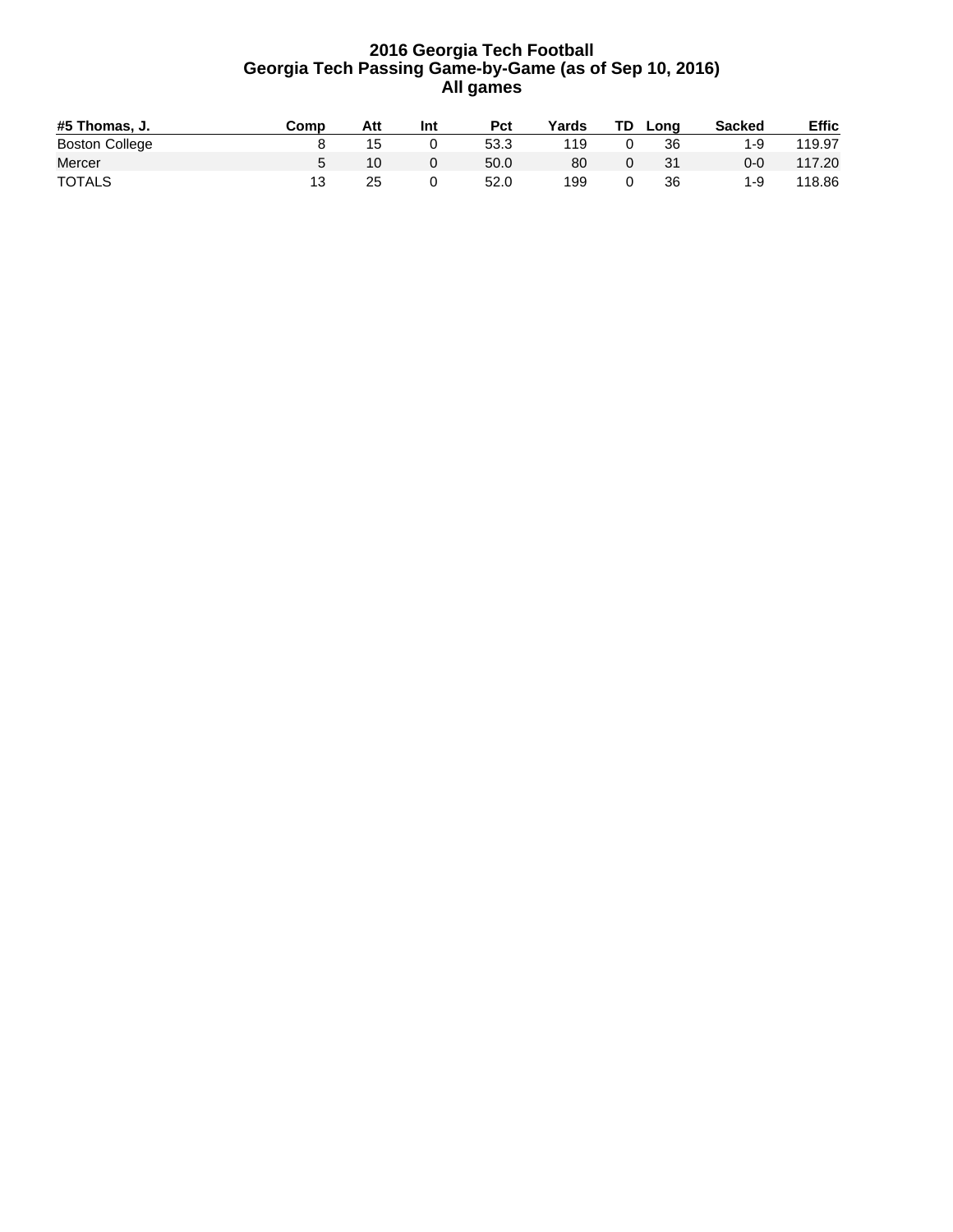### **2016 Georgia Tech Football Georgia Tech Passing Game-by-Game (as of Sep 10, 2016) All games**

| #5 Thomas. J.         | Comp | Att | Int | <b>Pct</b> | Yards | TD. | Long | <b>Sacked</b> | <b>Effic</b> |
|-----------------------|------|-----|-----|------------|-------|-----|------|---------------|--------------|
| <b>Boston College</b> |      | 15  |     | 53.3       | 119   |     | 36   | 1-9           | 119.97       |
| Mercer                |      |     |     | 50.0       | 80    |     | 31   | 0-0           | 117.20       |
| <b>TOTALS</b>         |      | 25  |     | 52.0       | 199   |     | 36   | 1-9           | 118.86       |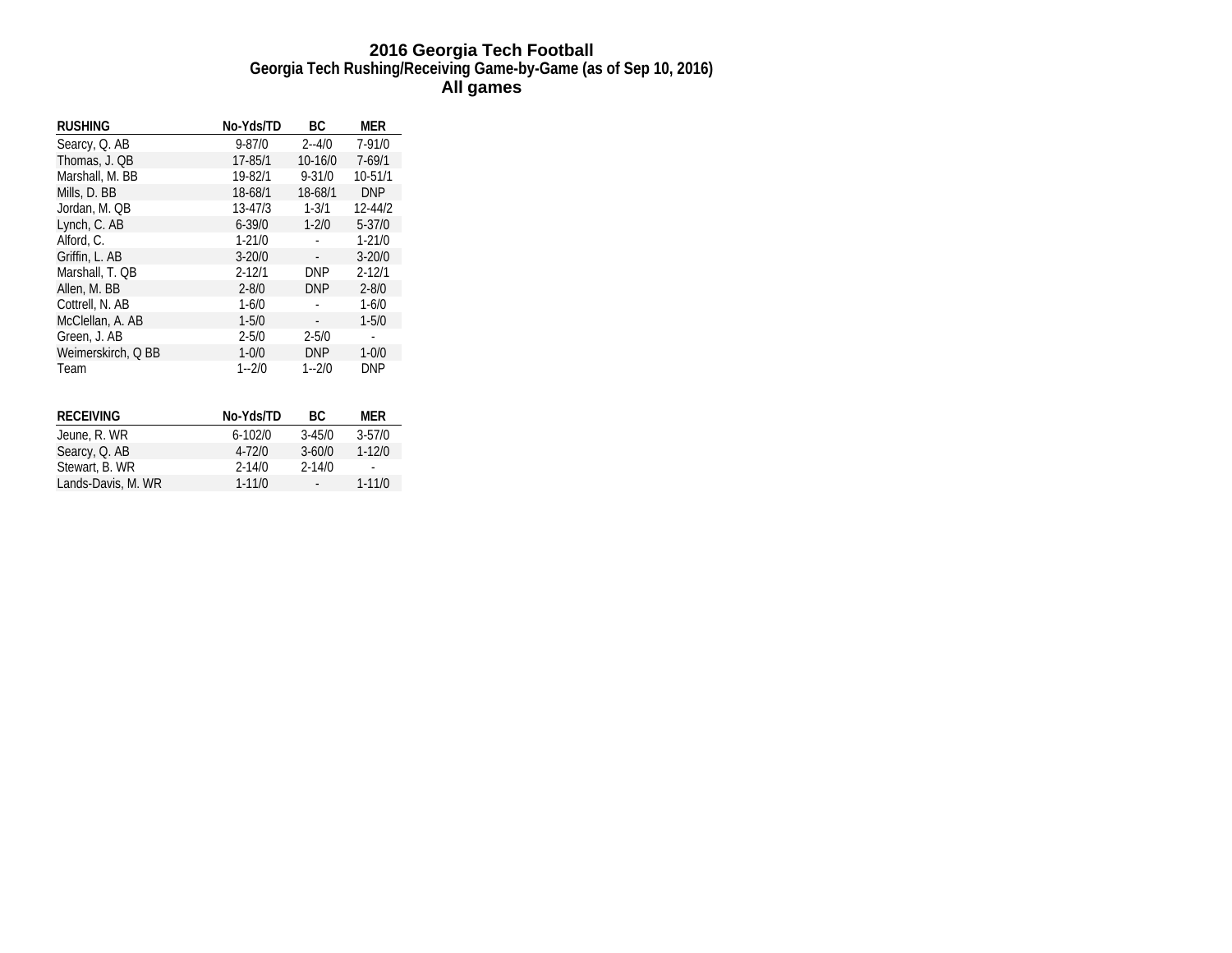### **2016 Georgia Tech Football Georgia Tech Rushing/Receiving Game-by-Game (as of Sep 10, 2016) All games**

| <b>RUSHING</b>     | No-Yds/TD   | ВC         | MER         |
|--------------------|-------------|------------|-------------|
| Searcy, Q. AB      | $9 - 87/0$  | $2 - 4/0$  | $7 - 91/0$  |
| Thomas, J. QB      | 17-85/1     | 10-16/0    | $7 - 69/1$  |
| Marshall, M. BB    | 19-82/1     | $9 - 31/0$ | 10-51/1     |
| Mills, D. BB       | 18-68/1     | 18-68/1    | <b>DNP</b>  |
| Jordan, M. QB      | $13 - 47/3$ | $1 - 3/1$  | $12 - 44/2$ |
| Lynch, C. AB       | $6 - 39/0$  | $1 - 2/0$  | $5 - 37/0$  |
| Alford, C.         | $1 - 21/0$  |            | $1 - 21/0$  |
| Griffin, L. AB     | $3 - 20/0$  |            | $3 - 20/0$  |
| Marshall, T. QB    | $2 - 12/1$  | <b>DNP</b> | $2 - 12/1$  |
| Allen, M. BB       | $2 - 8/0$   | <b>DNP</b> | $2 - 8/0$   |
| Cottrell, N. AB    | $1 - 6/0$   |            | $1 - 6/0$   |
| McClellan, A. AB   | $1 - 5/0$   |            | $1 - 5/0$   |
| Green, J. AB       | $2 - 5/0$   | $2 - 5/0$  |             |
| Weimerskirch, Q BB | $1 - 0/0$   | <b>DNP</b> | $1 - 0/0$   |
| Team               | $1 - 2/0$   | $1 - 2/0$  | <b>DNP</b>  |
|                    |             |            |             |
| <b>RECEIVING</b>   | No-Yds/TD   | ВC         | MER         |
| Jeune, R. WR       | $6 - 102/0$ | $3 - 45/0$ | $3 - 57/0$  |
| Searcy, Q. AB      | $4 - 72/0$  | $3 - 60/0$ | $1 - 12/0$  |
| Stewart, B. WR     | $2 - 14/0$  | $2 - 14/0$ |             |
| Lands-Davis, M. WR | $1 - 11/0$  |            | $1 - 11/0$  |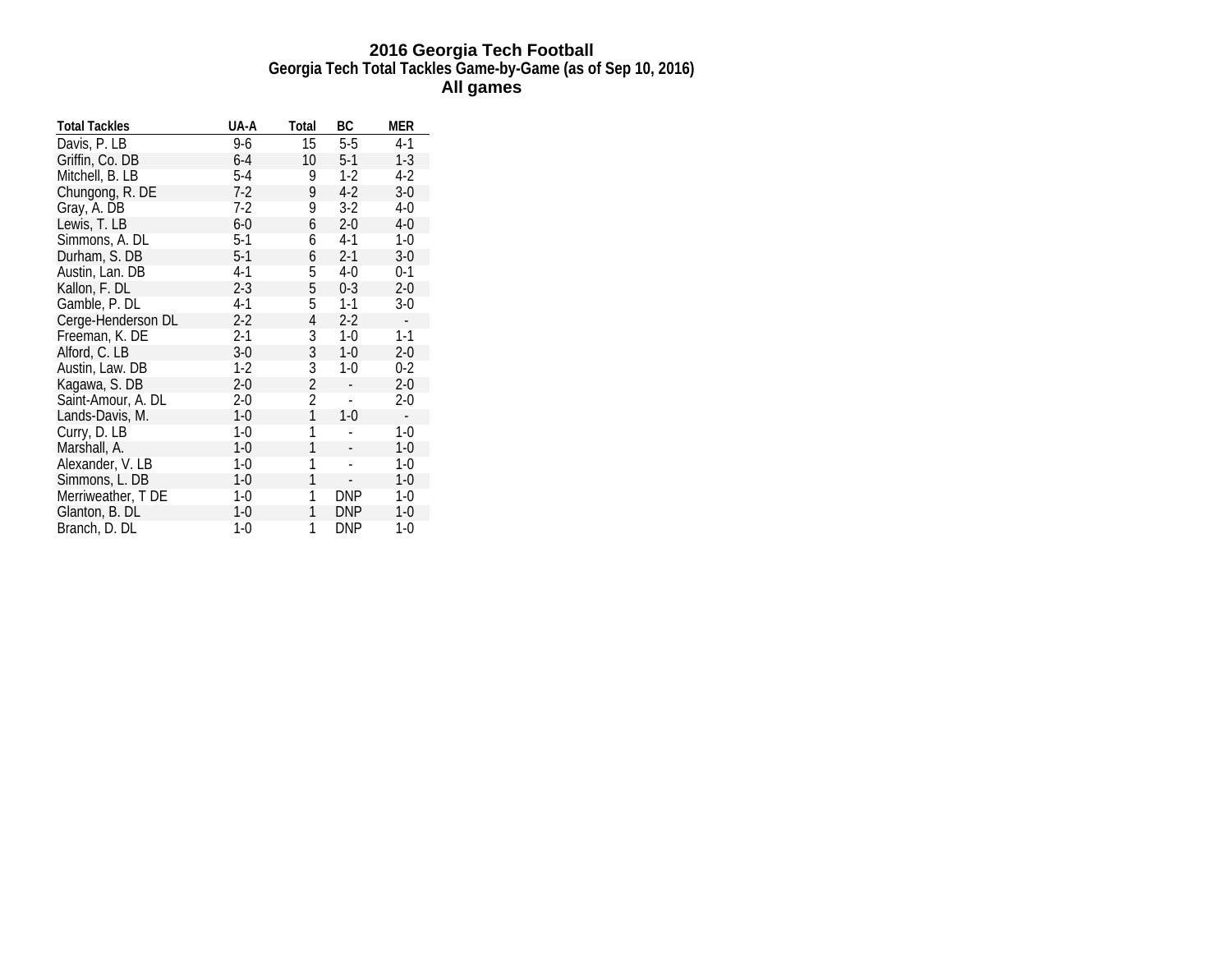### **2016 Georgia Tech Football Georgia Tech Total Tackles Game-by-Game (as of Sep 10, 2016) All games**

| <b>Total Tackles</b> | UA-A    | Total | ВC            | MER                      |
|----------------------|---------|-------|---------------|--------------------------|
| Davis, P. LB         | 9-6     | 15    | $5-5$         | $4-1$                    |
| Griffin, Co. DB      | $6-4$   | 10    | $5-1$         | $1-3$                    |
| Mitchell, B. LB      | $5-4$   | 9     | $1-2$         | $4-2$                    |
| Chungong, R. DE      | 7-2     | 9     | $4-2$         | $3-0$                    |
| Gray, A. DB          | 7-2     | 9     | $3-2$         | 4-0                      |
| Lewis, T. LB         | $6-0$   | 6     | $2 - 0$       | $4 - 0$                  |
| Simmons, A. DL       | $5-1$   | 6     | $4-1$         | $1-0$                    |
| Durham, S. DB        | $5-1$   | 6     | $2 - 1$       | $3-0$                    |
| Austin, Lan. DB      | $4-1$   | 5     | $4 - 0$       | $0 - 1$                  |
| Kallon, F. DL        | $2 - 3$ | 5     | $0 - 3$       | $2 - 0$                  |
| Gamble, P. DL        | 4-1     | 5     | $1 - 1$       | $3-0$                    |
| Cerge-Henderson DL   | $2 - 2$ | 4     | $2 - 2$       | $\overline{\phantom{a}}$ |
| Freeman, K. DE       | $2-1$   | 3     | $1-0$         | $1 - 1$                  |
| Alford, C. LB        | $3-0$   | 3     | $1-0$         | $2 - 0$                  |
| Austin, Law. DB      | 1-2     | 3     | $1 - 0$       | $0 - 2$                  |
| Kagawa, S. DB        | $2 - 0$ | 2     |               | $2 - 0$                  |
| Saint-Amour, A. DL   | $2 - 0$ | 2     | $\frac{1}{2}$ | $2 - 0$                  |
| Lands-Davis, M.      | 1-0     | 1     | $1 - 0$       | $\sim$                   |
| Curry, D. LB         | $1-0$   | 1     |               | $1-0$                    |
| Marshall, A.         | $1-0$   | 1     |               | $1-0$                    |
| Alexander, V. LB     | 1-0     | 1     |               | $1-0$                    |
| Simmons, L. DB       | 1-0     | 1     |               | $1-0$                    |
| Merriweather, T DE   | 1-0     | 1     | <b>DNP</b>    | 1-0                      |
| Glanton, B. DL       | $1-0$   | 1     | <b>DNP</b>    | $1-0$                    |
| Branch, D. DL        | 1-0     | 1     | DNP           | 1-0                      |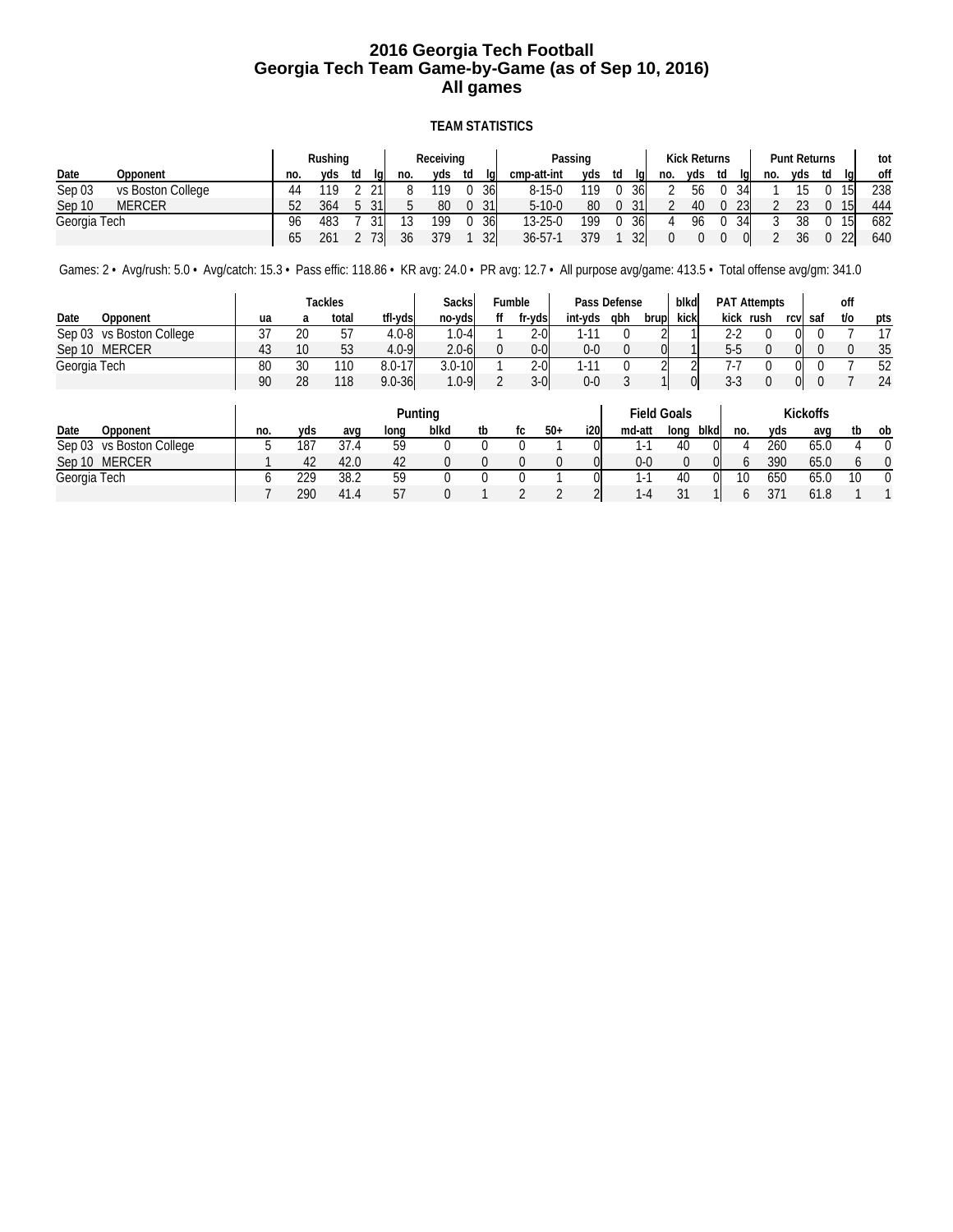### **2016 Georgia Tech Football Georgia Tech Team Game-by-Game (as of Sep 10, 2016) All games**

### **TEAM STATISTICS**

|              |                   |     | Rushing |    |     | Receiving |                 |               | Passing |                 |     | <b>Kick Returns</b> |    |     |     | <b>Punt Returns</b> |    |           | tot |
|--------------|-------------------|-----|---------|----|-----|-----------|-----------------|---------------|---------|-----------------|-----|---------------------|----|-----|-----|---------------------|----|-----------|-----|
| Date         | Opponent          | no. | vds     | td | no. | yds       | td              | cmp-att-int   | vds     | td<br>lal       | no. | vds                 | td | lal | no. | yds                 | td | lal       | off |
| Sep 03       | vs Boston College |     | 110     | 21 |     | 119       | 36              | $8 - 15 - 0$  | 119     | 36              |     | 56                  |    | 34  |     |                     |    | 15 I      | 238 |
| Sep 10       | <b>MERCER</b>     | 52  | 364     | 31 |     | 80        | 31              | $5 - 10 - 0$  | 80      | 31              |     | 40                  |    | 231 |     | 23                  |    | 151       | 444 |
| Georgia Tech |                   | 96  | 483     | 21 | 12  | 199       | <b>36</b>       | $13 - 25 - 0$ | 199     | 36              |     | 96                  |    | 34  | റ   | 38                  |    |           | 682 |
|              |                   | 65  | 261     |    | 36  | 379       | 32 <sup>l</sup> | $36 - 57 - 1$ | 379     | 32 <sub>l</sub> |     |                     |    |     |     | 36                  |    | <b>22</b> | 640 |

Games: 2 • Avg/rush: 5.0 • Avg/catch: 15.3 • Pass effic: 118.86 • KR avg: 24.0 • PR avg: 12.7 • All purpose avg/game: 413.5 • Total offense avg/gm: 341.0

|                          |              |    | Tackles |            | Sacksl     | Fumble  |         | Pass Defense |       | blkd |         | <b>PAT Attempts</b> |     |         | off |     |
|--------------------------|--------------|----|---------|------------|------------|---------|---------|--------------|-------|------|---------|---------------------|-----|---------|-----|-----|
| Date<br>Opponent         | ua           |    | total   | tfl-vdsl   | no-vds     | fr-ydsi | int-yds | abh          | brupl | kick | kick    | rush                |     | rcy saf | t/o | pts |
| Sep 03 vs Boston College | $\sim$<br>J. | 20 | 57      | $4.0 - 81$ | $.0-41$    | $2-0$   |         |              |       |      | າາ      |                     | OI  |         |     |     |
| Sep 10 MERCER            | 43           | 10 | 53      | $4.0 - 9$  | $2.0 - 6$  | 0-01    | $0 - 0$ |              |       |      | $5 - 5$ |                     |     |         |     | 35  |
| Georgia Tech             | 80           | 30 | 110     | $8.0 - 17$ | $3.0 - 10$ | $2-0$   |         |              |       |      |         |                     | OI. |         |     | 52  |
|                          | 90           | 28 | 118     | $9.0 - 36$ | $1.0 - 9$  | $3-0$   | $0 - 0$ |              |       |      | $3 - 3$ |                     | 01  |         |     | 24  |

|                          |     |     |      |      | Punting |    |       |     |         | <b>Field Goals</b> |      |     |     | <b>Kickoffs</b> |    |          |
|--------------------------|-----|-----|------|------|---------|----|-------|-----|---------|--------------------|------|-----|-----|-----------------|----|----------|
| Date<br>Opponent         | no. | vds | avq  | Iona | blkd    | tb | $50+$ | i20 | md-att  | lona               | blkd | no. | vds | avg             | tb | ob       |
| Sep 03 vs Boston College |     | 187 | 37.4 | 59   |         |    |       |     | $1 - 1$ | 40                 | Ol   |     | 260 | 65.0            |    | $\Omega$ |
| Sep 10 MERCER            |     | 42  | 42.0 | 42   |         |    |       |     | $0 - 0$ |                    | OI   |     | 390 | 65.0            |    | U        |
| Georgia Tech             |     | 229 | 38.2 | 59   |         |    |       |     | 1-1     | 40                 | 0l   | 10  | 650 | 65.0            |    | 0        |
|                          |     | 290 | 41.4 | 57   |         |    |       |     | $1 - 4$ | 21<br>ا ب          |      |     | 371 | 61.8            |    |          |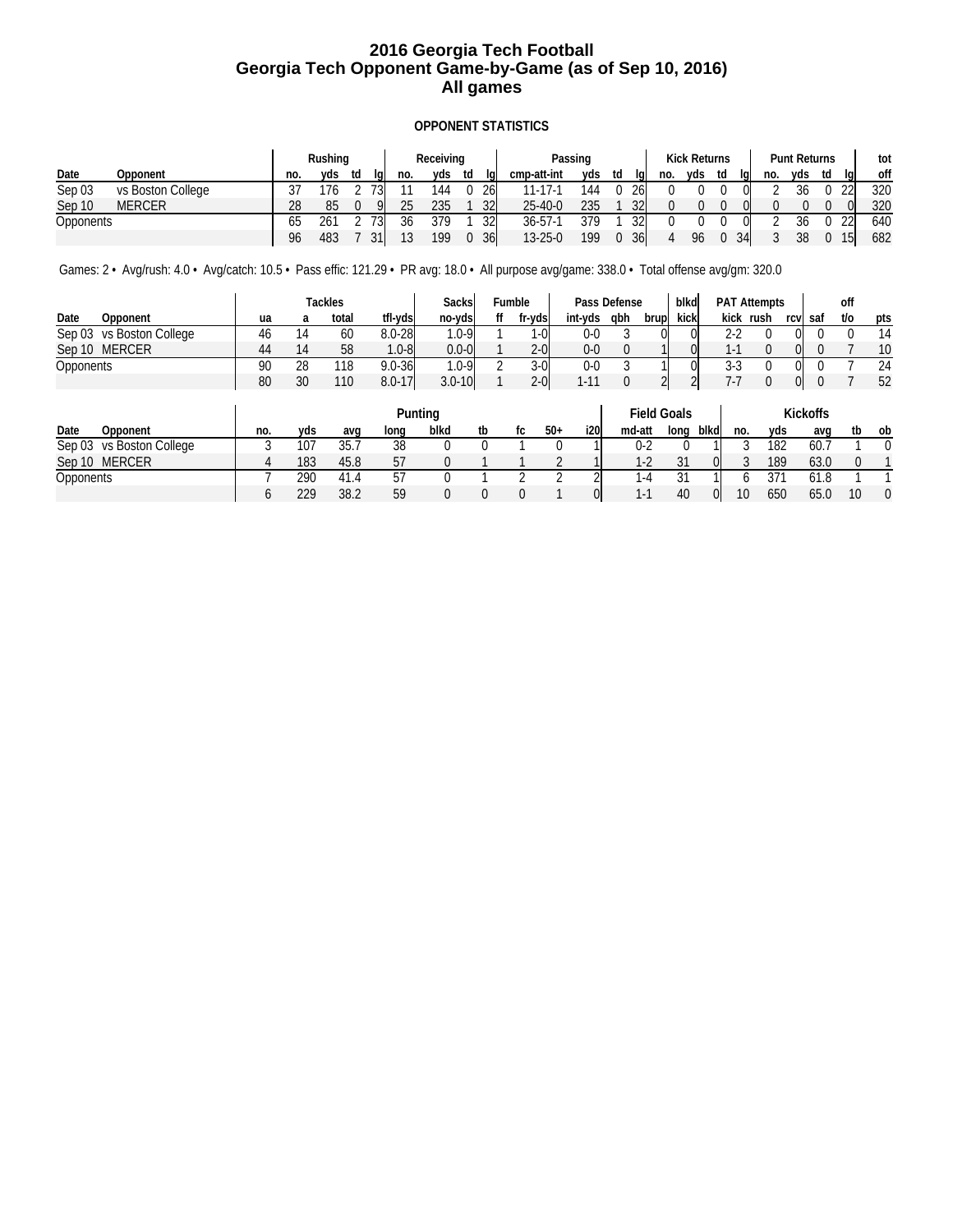### **2016 Georgia Tech Football Georgia Tech Opponent Game-by-Game (as of Sep 10, 2016) All games**

### **OPPONENT STATISTICS**

|                  |                   |     | Rushing |    |     |     | Receiving |    |    | Passing       |     |    |     | <b>Kick Returns</b> |     |    |     | <b>Punt Returns</b> |     |    |     | tot |
|------------------|-------------------|-----|---------|----|-----|-----|-----------|----|----|---------------|-----|----|-----|---------------------|-----|----|-----|---------------------|-----|----|-----|-----|
| Date             | Opponent          | no. | vds     | td | la  | no. | vds       | td | la | cmp-att-int   | yds | td | lal | no.                 | vds | td | lal | no.                 | vds | td | lal | off |
| Sep 03           | vs Boston College |     | 176     |    | ר ד |     | 144       |    | 26 | 11-17-1       | 144 | 0  | 26  |                     |     |    |     |                     | 36  |    | ววเ | 320 |
| Sep 10           | <b>MERCER</b>     | 28  | 85      |    |     | 25  | 235       |    | 32 | $25 - 40 - 0$ | 235 |    | 32  |                     |     |    |     |                     |     |    |     | 320 |
| <b>Opponents</b> |                   | 65  | 261     |    | 72  | 36  | 379       |    | 32 | $36 - 57 - 1$ | 379 |    | 32  |                     |     |    |     |                     |     |    | ววเ | 640 |
|                  |                   | 96  | 483     |    | 31  | 12  | 199       |    | 36 | $13 - 25 - 0$ | 199 |    | 36  | $\Delta$            | 96  |    | 34  |                     | 38  |    |     | 682 |

Games: 2 • Avg/rush: 4.0 • Avg/catch: 10.5 • Pass effic: 121.29 • PR avg: 18.0 • All purpose avg/game: 338.0 • Total offense avg/gm: 320.0

|                          |    |    | Tackles |            | Sacksl     | Fumble  |         | Pass Defense |       | blkd |                | <b>PAT Attempts</b> |     |         | off |     |
|--------------------------|----|----|---------|------------|------------|---------|---------|--------------|-------|------|----------------|---------------------|-----|---------|-----|-----|
| Date<br>Opponent         | ua |    | total   | tfl-vds    | no-vds     | fr-ydsi | int-yds | abh          | brupl | kick | kick           | rush                |     | rcy saf | t/o | pts |
| Sep 03 vs Boston College | 46 |    | 60      | $8.0 - 28$ | $.0 - 9$   | $-0$    | 0-0     |              |       |      | $\Omega$       |                     |     |         |     | 14  |
| Sep 10 MERCER            | 44 |    | 58      | $1.0 - 81$ | $0.0 - 0$  | $2-0$   | $0 - 0$ |              |       |      | $\overline{ }$ |                     |     |         |     | 10  |
| Opponents                | 90 | 28 | 118     | $9.0 - 36$ | $.0 - 9$   | $3-0$   | 0-0     |              |       |      | 3-3            |                     | OI. |         |     | 24  |
|                          | 80 | 30 | 110     | $8.0 - 17$ | $3.0 - 10$ | $2-0$   |         |              |       |      |                |                     | 01  |         |     | 52  |

|                          |     |     |      |      | Punting |    |  |       |      | <b>Field Goals</b> |         |      |     | <b>Kickoffs</b> |      |    |    |
|--------------------------|-----|-----|------|------|---------|----|--|-------|------|--------------------|---------|------|-----|-----------------|------|----|----|
| Date<br>Opponent         | no. | yds | ava  | Iona | blkd    | tb |  | $50+$ | i20l | md-att             | lona    | blkd | no. | yds             | ava  | tb | ob |
| Sep 03 vs Boston College |     | 107 | 35.7 | 38   |         |    |  |       |      | $0 - 2$            |         |      |     | 182             | 60.7 |    |    |
| MERCER<br>Sep 10         |     | 183 | 45.8 | 57   |         |    |  |       |      | $1-2$              |         |      |     | 189             | 63.0 |    |    |
| Opponents                |     | 290 | 41.4 | 57   |         |    |  |       |      | 1-4                | 21<br>ັ |      |     | 371             | 61.8 |    |    |
|                          |     | 229 | 38.2 | 59   |         |    |  |       | OI   | $\mathsf{L}^1$     | 40      |      | 10  | 650             | 65.0 | 10 |    |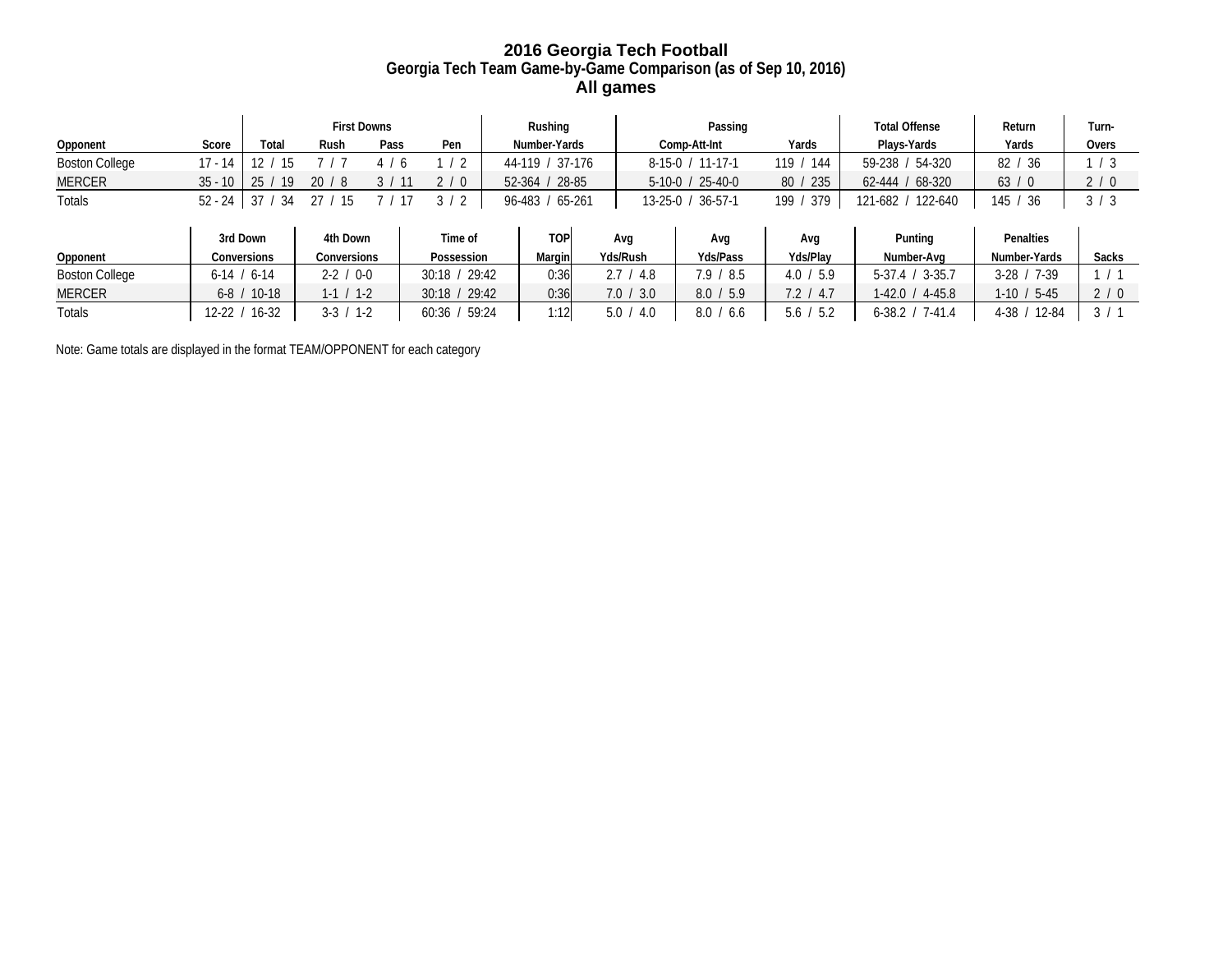### **2016 Georgia Tech Football Georgia Tech Team Game-by-Game Comparison (as of Sep 10, 2016) All games**

|                       |             | <b>First Downs</b> |               |                   | Rushing           |  |                           |  | Passing                |                       | <b>Total Offense</b> | Return              | Turn-               |             |
|-----------------------|-------------|--------------------|---------------|-------------------|-------------------|--|---------------------------|--|------------------------|-----------------------|----------------------|---------------------|---------------------|-------------|
| Opponent              | Score       | Total              | Rush          | Pass              | Pen               |  | Number-Yards              |  |                        | Comp-Att-Int          | Yards                | Plays-Yards         | Yards               | Overs       |
| <b>Boston College</b> | $17 - 14$   | $12 \overline{ }$  |               | 4<br><sub>0</sub> | $\frac{1}{2}$     |  | 44-119 / 37-176           |  |                        | $8-15-0$ / 11-17-1    | 144<br>119 /         | 59-238 / 54-320     | 82 / 36             | 1/3         |
| MERCER                | $35 - 10$   | 25<br>19           | 20/8          | 3/11              | 2/0               |  | $'$ 28-85<br>$52 - 364$ / |  |                        | $5-10-0$ / 25-40-0    | 80 / 235             | $62-444$ / $68-320$ | 63/0                | 2/0         |
| Totals                | $52 - 24$ 1 | 37<br>-34          | 27/15         |                   | 3/2               |  | $165-261$<br>$96 - 483 /$ |  |                        | $13-25-0$ / $36-57-1$ | 379<br>199 /         | 121-682 / 122-640   | 145/36              | 3/3         |
|                       |             |                    |               |                   |                   |  |                           |  |                        |                       |                      |                     |                     |             |
|                       |             | 3rd Down           | 4th Down      |                   | Time of           |  | <b>TOP</b>                |  | Avg                    | Avg                   | Avg                  | Punting             | Penalties           |             |
| Opponent              |             | Conversions        | Conversions   |                   | Possession        |  | Margin                    |  | Yds/Rush               | Yds/Pass              | Yds/Play             | Number-Avg          | Number-Yards        | Sacks       |
| <b>Boston College</b> |             | $6-14$ / $6-14$    | $2-2/0-0$     |                   | $30:18$ / $29:42$ |  | 0:36                      |  | 2.7 / 4.8<br>7.9 / 8.5 |                       | 4.0 / 5.9            | $5-37.4$ / $3-35.7$ | $3-28$ / 7-39       | $\cdot$ / 1 |
| MERCER                |             | $6-8$ / 10-18      | $1-1/1-2$     |                   | $30:18$ / $29:42$ |  | 0:36                      |  | 7.0 / 3.0              | 8.0 / 5.9             | $7.2$ / 4.7          | 1-42.0 / 4-45.8     | $1-10/5-45$         | 2/0         |
| <b>Totals</b>         | $2 - 22$ /  | $16-32$            | $3-3$ / $1-2$ |                   | $60:36$ / 59:24   |  | 1:12                      |  | 5.0 / 4.0              | 8.0 / 6.6             | 5.6 / 5.2            | $6-38.2$ / 7-41.4   | $4 - 38$ /<br>12-84 | 3/1         |

Note: Game totals are displayed in the format TEAM/OPPONENT for each category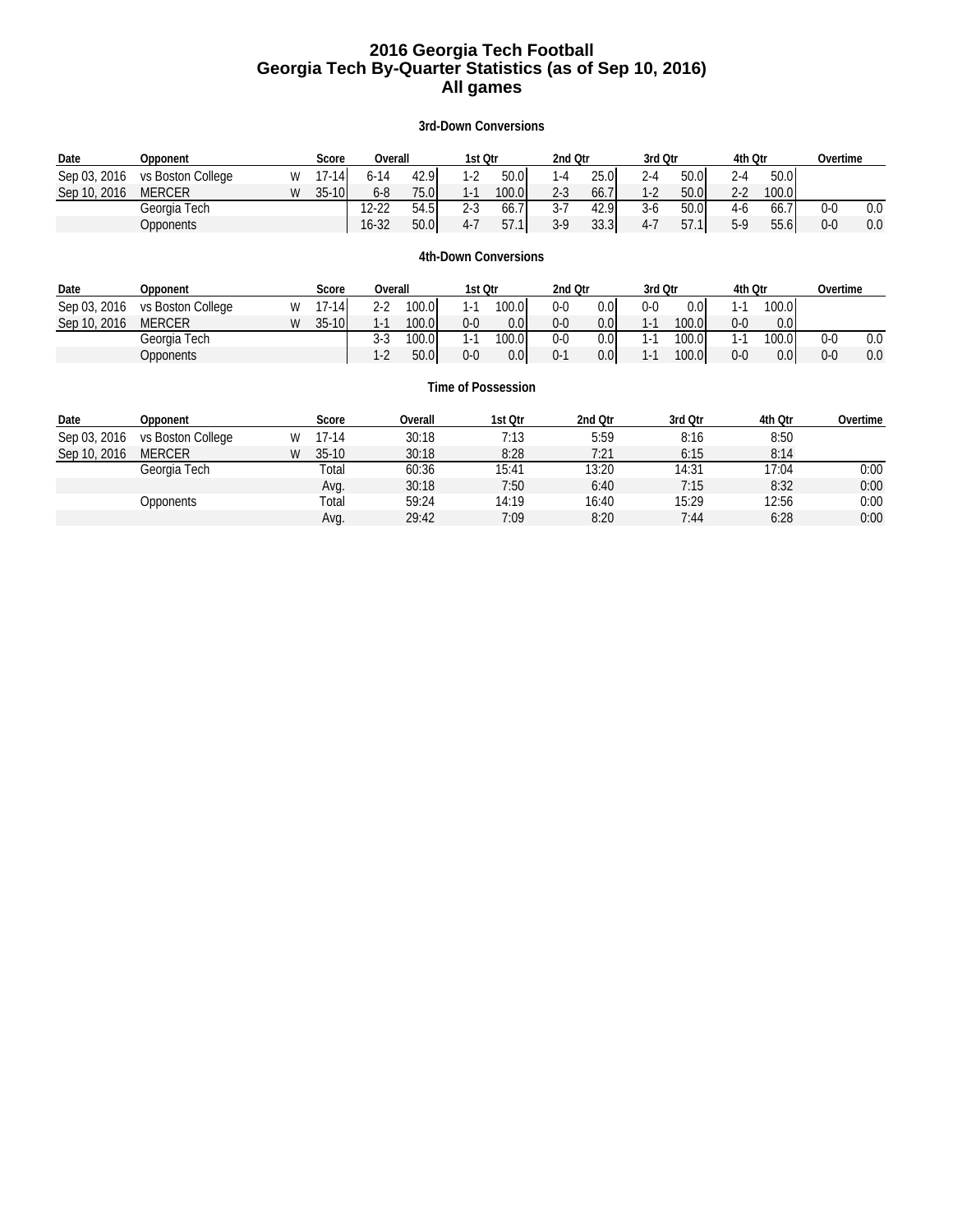### **2016 Georgia Tech Football Georgia Tech By-Quarter Statistics (as of Sep 10, 2016) All games**

### **3rd-Down Conversions**

| Date         | Opponent          |   | Score     | Overall          |         | 1st Qtr |                      | 2nd Qtr |         | 3rd Qtr |                  | 4th Qtr |         | Overtime |          |
|--------------|-------------------|---|-----------|------------------|---------|---------|----------------------|---------|---------|---------|------------------|---------|---------|----------|----------|
| Sep 03, 2016 | vs Boston College | W | $17 - 14$ | $6 - 14$         | 42.9    | $1-2$   | 50.0                 | $1 - 4$ | 25.0    | $2 - 4$ | 50.0             | $2 - 4$ | 50.0    |          |          |
| Sep 10, 2016 | <b>MERCER</b>     | W | $35-10$   | $6 - 8$          | 75.0    | $1 - 1$ | 100.0                | $2 - 3$ | 66.7    | $1-2$   | 50.0             | $2 - 2$ | 100.0   |          |          |
|              | Georgia Tech      |   |           | $12 - 22$        | 54.5    | $2 - 3$ | 66.7                 | $3 - 7$ | 42.9    | $3-6$   | 50.0             | $4-6$   | 66.7    | $0-0$    | 0.0      |
|              | <b>Opponents</b>  |   |           | $16 - 32$        | 50.0    | $4 - 7$ | 57.1                 | $3-9$   | 33.3    | $4 - 7$ | 57.1             | $5-9$   | 55.6    | $0-0$    | 0.0      |
|              |                   |   |           |                  |         |         |                      |         |         |         |                  |         |         |          |          |
|              |                   |   |           |                  |         |         | 4th-Down Conversions |         |         |         |                  |         |         |          |          |
| Date         | Opponent          |   | Score     | Overall          |         | 1st Qtr |                      | 2nd Otr |         | 3rd Qtr |                  | 4th Qtr |         | Overtime |          |
| Sep 03, 2016 | vs Boston College | W | $17 - 14$ | 100.0<br>$2 - 2$ |         | $1 - 1$ | 100.0I               | $0-0$   | 0.0     | $0-0$   | 0.0 <sub>l</sub> | $1 - 1$ | 100.0   |          |          |
| Sep 10, 2016 | <b>MERCER</b>     | W | $35-10$   | $1 - 1$          | 100.01  | $0-0$   | 0.0                  | $0-0$   | 0.0     | $1 - 1$ | 100.01           | $0-0$   | 0.0     |          |          |
|              | Georgia Tech      |   |           | 3-3              | 100.0I  | $1 - 1$ | 100.0I               | $0-0$   | 0.0     | $1 - 1$ | 100.0            | $1 - 1$ | 100.0   | $0 - 0$  | 0.0      |
|              | <b>Opponents</b>  |   |           | $1-2$            | 50.0    | $0-0$   | 0.0                  | $0 - 1$ | 0.0     | $1 - 1$ | 100.0            | $0-0$   | 0.0     | $0-0$    | 0.0      |
|              |                   |   |           |                  |         |         |                      |         |         |         |                  |         |         |          |          |
|              |                   |   |           |                  |         |         | Time of Possession   |         |         |         |                  |         |         |          |          |
| Date         | Opponent          |   | Score     |                  | Overall |         | 1st Qtr              |         | 2nd Qtr |         | 3rd Qtr          |         | 4th Qtr |          | Overtime |
| Sep 03, 2016 | vs Boston College | W | $17-14$   |                  | 30:18   |         | 7:13                 |         | 5:59    |         | 8:16             |         | 8:50    |          |          |
| Sep 10, 2016 | <b>MERCER</b>     | W | $35-10$   |                  | 30:18   |         | 8:28                 |         | 7:21    |         | 6:15             |         | 8:14    |          |          |
|              | Georgia Tech      |   | Total     |                  | 60:36   |         | 15:41                |         | 13:20   |         | 14:31            |         | 17:04   |          | 0:00     |
|              |                   |   | Avg.      |                  | 30:18   |         | 7:50                 |         | 6:40    |         | 7:15             |         | 8:32    |          | 0:00     |

Opponents Total 59:24 14:19 16:40 15:29 12:56 0:00

Avg. 29:42 7:09 8:20 7:44 6:28 0:00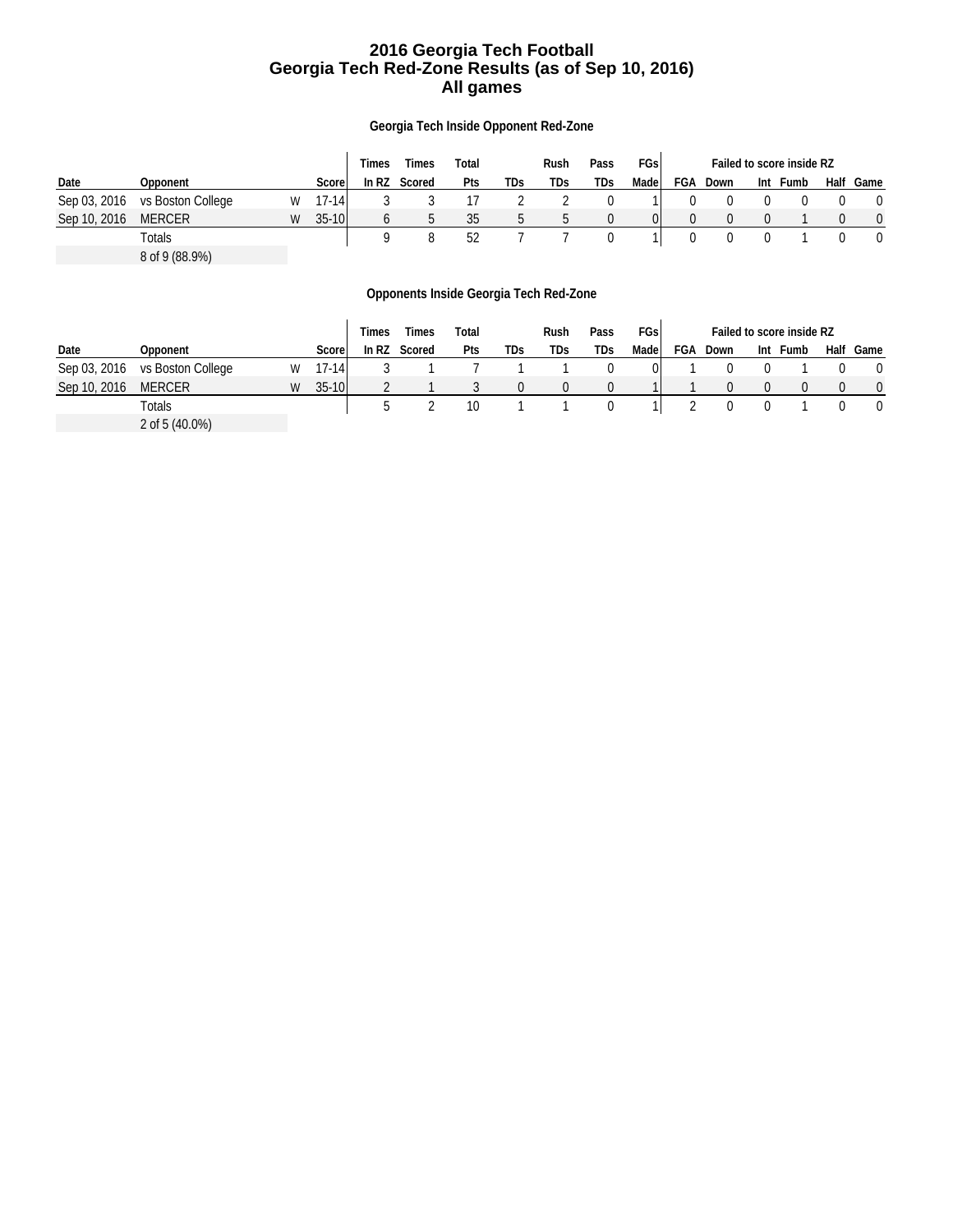### **2016 Georgia Tech Football Georgia Tech Red-Zone Results (as of Sep 10, 2016) All games**

**Georgia Tech Inside Opponent Red-Zone**

|              |                   |   |           | Times   | Times  | Total |     | Rush | Pass | FGsl  | Failed to score inside RZ |      |  |          |      |      |
|--------------|-------------------|---|-----------|---------|--------|-------|-----|------|------|-------|---------------------------|------|--|----------|------|------|
| Date         | Opponent          |   | Score     | In $RZ$ | Scored | Pts   | TDs | TDs  | TDs  | Madel | FGA                       | Down |  | Int Fumb | Half | Game |
| Sep 03, 2016 | vs Boston College | W | $17 - 14$ |         |        |       |     |      |      |       |                           |      |  |          |      |      |
| Sep 10, 2016 | <b>MERCER</b>     | W | $35-10$   |         |        | 35    |     |      |      | 01    |                           |      |  |          |      |      |
|              | Totals            |   |           |         |        | 52    |     |      |      |       |                           |      |  |          |      |      |
|              | 8 of 9 (88.9%)    |   |           |         |        |       |     |      |      |       |                           |      |  |          |      |      |

**Opponents Inside Georgia Tech Red-Zone**

|              |                   |   |           | Times   | Times  | Total |     | Rush | Pass | FGsl | Failed to score inside RZ |      |     |      |  |           |
|--------------|-------------------|---|-----------|---------|--------|-------|-----|------|------|------|---------------------------|------|-----|------|--|-----------|
| Date         | Opponent          |   | Score     | In $RZ$ | Scored | Pts   | TDs | TDs  | TDs. | Made | FGA                       | Down | Int | Fumb |  | Half Game |
| Sep 03, 2016 | vs Boston College | W | $17 - 14$ |         |        |       |     |      |      |      |                           |      |     |      |  |           |
| Sep 10, 2016 | <b>MERCER</b>     | W | $35 - 10$ |         |        |       |     |      |      |      |                           |      |     |      |  |           |
|              | Totals            |   |           |         |        | 10    |     |      |      |      |                           |      |     |      |  |           |
|              | 2 of 5 (40.0%)    |   |           |         |        |       |     |      |      |      |                           |      |     |      |  |           |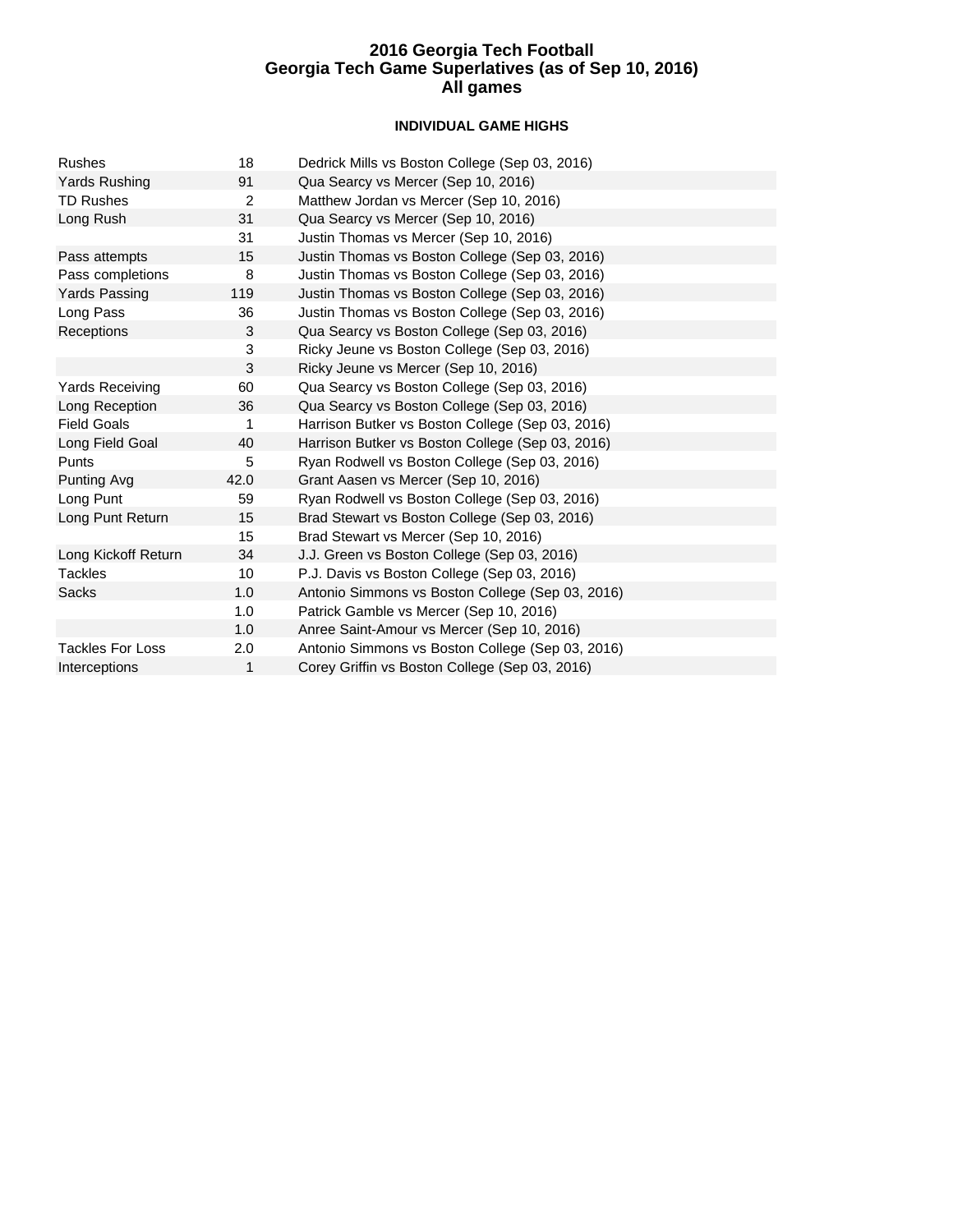### **INDIVIDUAL GAME HIGHS**

| <b>Rushes</b>           | 18   | Dedrick Mills vs Boston College (Sep 03, 2016)   |
|-------------------------|------|--------------------------------------------------|
| Yards Rushing           | 91   | Qua Searcy vs Mercer (Sep 10, 2016)              |
| <b>TD Rushes</b>        | 2    | Matthew Jordan vs Mercer (Sep 10, 2016)          |
| Long Rush               | 31   | Qua Searcy vs Mercer (Sep 10, 2016)              |
|                         | 31   | Justin Thomas vs Mercer (Sep 10, 2016)           |
| Pass attempts           | 15   | Justin Thomas vs Boston College (Sep 03, 2016)   |
| Pass completions        | 8    | Justin Thomas vs Boston College (Sep 03, 2016)   |
| Yards Passing           | 119  | Justin Thomas vs Boston College (Sep 03, 2016)   |
| Long Pass               | 36   | Justin Thomas vs Boston College (Sep 03, 2016)   |
| Receptions              | 3    | Qua Searcy vs Boston College (Sep 03, 2016)      |
|                         | 3    | Ricky Jeune vs Boston College (Sep 03, 2016)     |
|                         | 3    | Ricky Jeune vs Mercer (Sep 10, 2016)             |
| <b>Yards Receiving</b>  | 60   | Qua Searcy vs Boston College (Sep 03, 2016)      |
| Long Reception          | 36   | Qua Searcy vs Boston College (Sep 03, 2016)      |
| <b>Field Goals</b>      | 1    | Harrison Butker vs Boston College (Sep 03, 2016) |
| Long Field Goal         | 40   | Harrison Butker vs Boston College (Sep 03, 2016) |
| Punts                   | 5    | Ryan Rodwell vs Boston College (Sep 03, 2016)    |
| Punting Avg             | 42.0 | Grant Aasen vs Mercer (Sep 10, 2016)             |
| Long Punt               | 59   | Ryan Rodwell vs Boston College (Sep 03, 2016)    |
| Long Punt Return        | 15   | Brad Stewart vs Boston College (Sep 03, 2016)    |
|                         | 15   | Brad Stewart vs Mercer (Sep 10, 2016)            |
| Long Kickoff Return     | 34   | J.J. Green vs Boston College (Sep 03, 2016)      |
| <b>Tackles</b>          | 10   | P.J. Davis vs Boston College (Sep 03, 2016)      |
| <b>Sacks</b>            | 1.0  | Antonio Simmons vs Boston College (Sep 03, 2016) |
|                         | 1.0  | Patrick Gamble vs Mercer (Sep 10, 2016)          |
|                         | 1.0  | Anree Saint-Amour vs Mercer (Sep 10, 2016)       |
| <b>Tackles For Loss</b> | 2.0  | Antonio Simmons vs Boston College (Sep 03, 2016) |
| Interceptions           | 1    | Corey Griffin vs Boston College (Sep 03, 2016)   |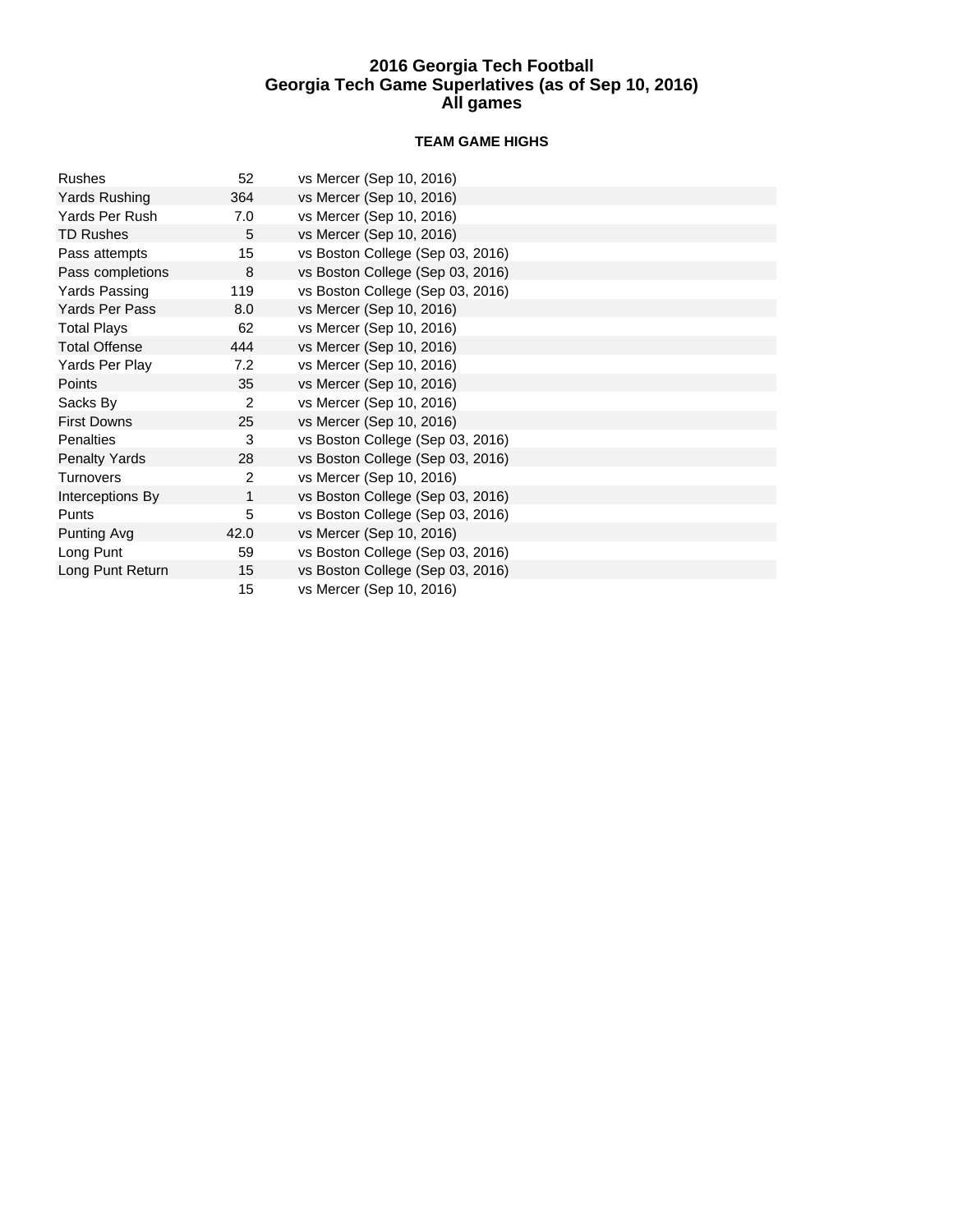### **TEAM GAME HIGHS**

| <b>Rushes</b>         | 52             | vs Mercer (Sep 10, 2016)         |
|-----------------------|----------------|----------------------------------|
| Yards Rushing         | 364            | vs Mercer (Sep 10, 2016)         |
| Yards Per Rush        | 7.0            | vs Mercer (Sep 10, 2016)         |
| <b>TD Rushes</b>      | 5              | vs Mercer (Sep 10, 2016)         |
| Pass attempts         | 15             | vs Boston College (Sep 03, 2016) |
| Pass completions      | 8              | vs Boston College (Sep 03, 2016) |
| Yards Passing         | 119            | vs Boston College (Sep 03, 2016) |
| <b>Yards Per Pass</b> | 8.0            | vs Mercer (Sep 10, 2016)         |
| <b>Total Plays</b>    | 62             | vs Mercer (Sep 10, 2016)         |
| <b>Total Offense</b>  | 444            | vs Mercer (Sep 10, 2016)         |
| Yards Per Play        | 7.2            | vs Mercer (Sep 10, 2016)         |
| Points                | 35             | vs Mercer (Sep 10, 2016)         |
| Sacks By              | $\overline{2}$ | vs Mercer (Sep 10, 2016)         |
| <b>First Downs</b>    | 25             | vs Mercer (Sep 10, 2016)         |
| <b>Penalties</b>      | 3              | vs Boston College (Sep 03, 2016) |
| <b>Penalty Yards</b>  | 28             | vs Boston College (Sep 03, 2016) |
| <b>Turnovers</b>      | 2              | vs Mercer (Sep 10, 2016)         |
| Interceptions By      | 1              | vs Boston College (Sep 03, 2016) |
| Punts                 | 5              | vs Boston College (Sep 03, 2016) |
| Punting Avg           | 42.0           | vs Mercer (Sep 10, 2016)         |
| Long Punt             | 59             | vs Boston College (Sep 03, 2016) |
| Long Punt Return      | 15             | vs Boston College (Sep 03, 2016) |
|                       | 15             | vs Mercer (Sep 10, 2016)         |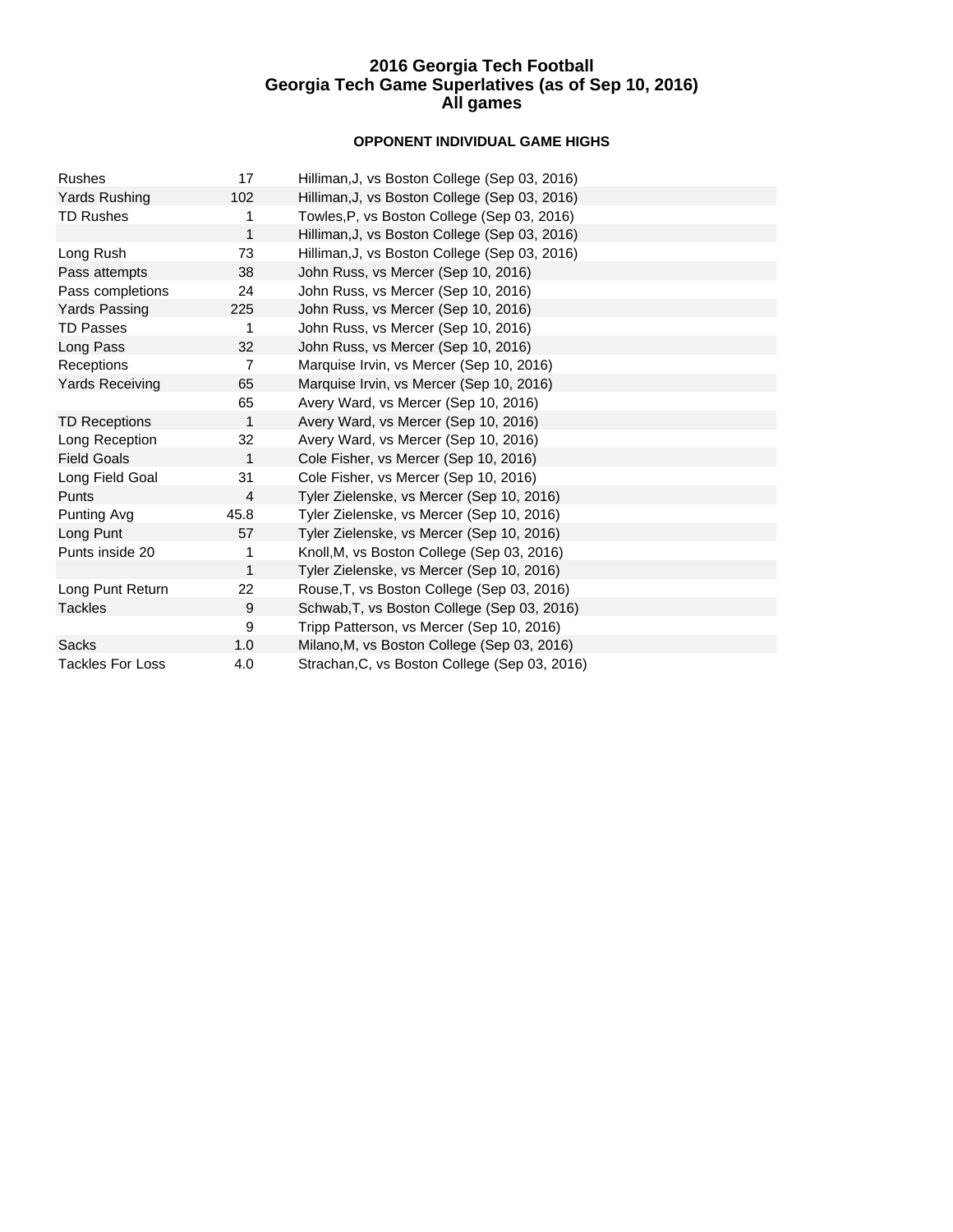### **OPPONENT INDIVIDUAL GAME HIGHS**

| <b>Rushes</b>           | 17             | Hilliman, J, vs Boston College (Sep 03, 2016) |
|-------------------------|----------------|-----------------------------------------------|
| <b>Yards Rushing</b>    | 102            | Hilliman, J, vs Boston College (Sep 03, 2016) |
| <b>TD Rushes</b>        | 1              | Towles, P, vs Boston College (Sep 03, 2016)   |
|                         | $\mathbf{1}$   | Hilliman, J, vs Boston College (Sep 03, 2016) |
| Long Rush               | 73             | Hilliman, J, vs Boston College (Sep 03, 2016) |
| Pass attempts           | 38             | John Russ, vs Mercer (Sep 10, 2016)           |
| Pass completions        | 24             | John Russ, vs Mercer (Sep 10, 2016)           |
| <b>Yards Passing</b>    | 225            | John Russ, vs Mercer (Sep 10, 2016)           |
| <b>TD Passes</b>        | 1              | John Russ, vs Mercer (Sep 10, 2016)           |
| Long Pass               | 32             | John Russ, vs Mercer (Sep 10, 2016)           |
| Receptions              | $\overline{7}$ | Marquise Irvin, vs Mercer (Sep 10, 2016)      |
| <b>Yards Receiving</b>  | 65             | Marquise Irvin, vs Mercer (Sep 10, 2016)      |
|                         | 65             | Avery Ward, vs Mercer (Sep 10, 2016)          |
| <b>TD Receptions</b>    | 1              | Avery Ward, vs Mercer (Sep 10, 2016)          |
| Long Reception          | 32             | Avery Ward, vs Mercer (Sep 10, 2016)          |
| <b>Field Goals</b>      | 1              | Cole Fisher, vs Mercer (Sep 10, 2016)         |
| Long Field Goal         | 31             | Cole Fisher, vs Mercer (Sep 10, 2016)         |
| <b>Punts</b>            | 4              | Tyler Zielenske, vs Mercer (Sep 10, 2016)     |
| Punting Avg             | 45.8           | Tyler Zielenske, vs Mercer (Sep 10, 2016)     |
| Long Punt               | 57             | Tyler Zielenske, vs Mercer (Sep 10, 2016)     |
| Punts inside 20         | 1              | Knoll, M, vs Boston College (Sep 03, 2016)    |
|                         | 1              | Tyler Zielenske, vs Mercer (Sep 10, 2016)     |
| Long Punt Return        | 22             | Rouse, T, vs Boston College (Sep 03, 2016)    |
| <b>Tackles</b>          | 9              | Schwab, T, vs Boston College (Sep 03, 2016)   |
|                         | 9              | Tripp Patterson, vs Mercer (Sep 10, 2016)     |
| Sacks                   | 1.0            | Milano, M, vs Boston College (Sep 03, 2016)   |
| <b>Tackles For Loss</b> | 4.0            | Strachan, C, vs Boston College (Sep 03, 2016) |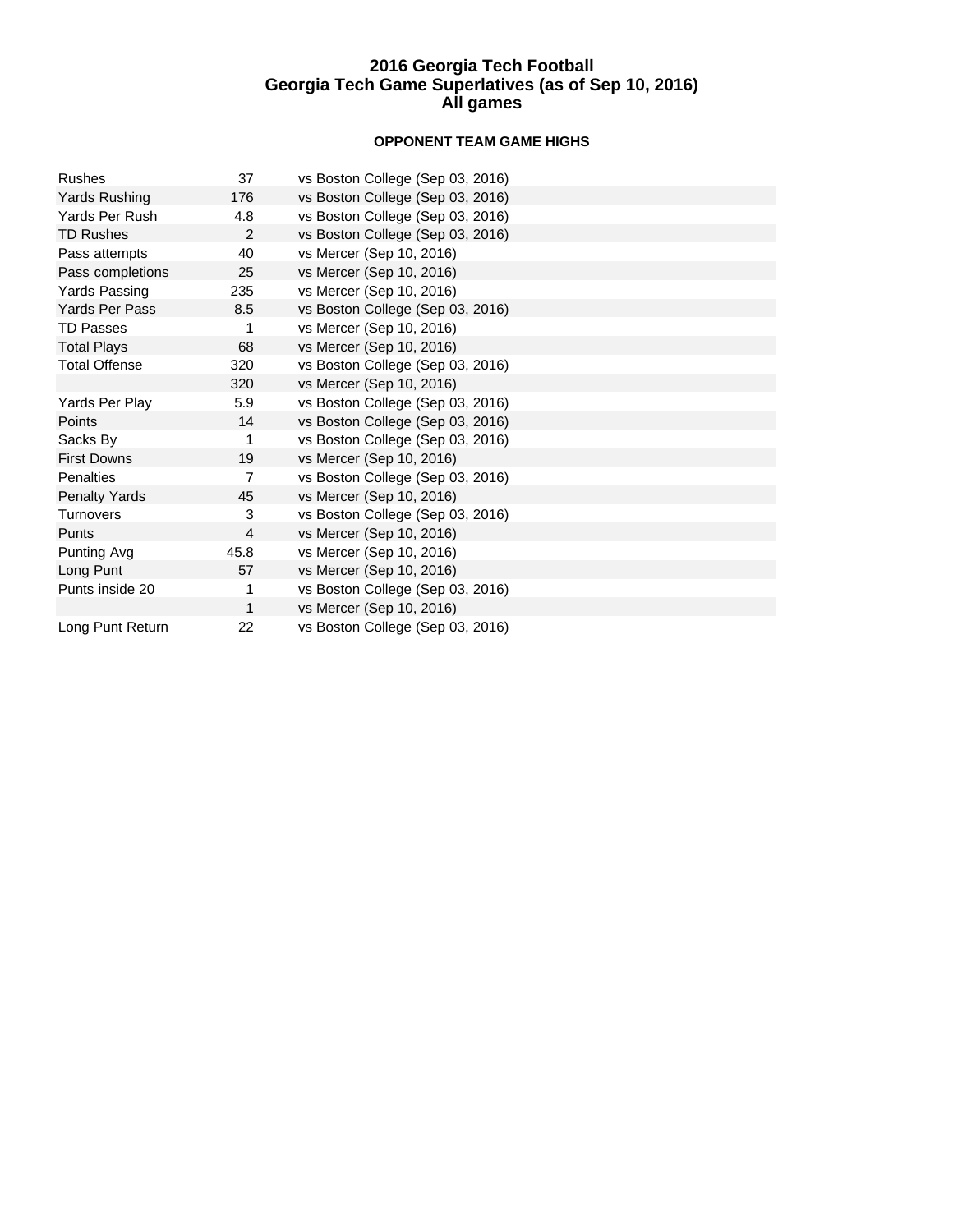### **OPPONENT TEAM GAME HIGHS**

| <b>Rushes</b>         | 37   | vs Boston College (Sep 03, 2016) |
|-----------------------|------|----------------------------------|
| Yards Rushing         | 176  | vs Boston College (Sep 03, 2016) |
| Yards Per Rush        | 4.8  | vs Boston College (Sep 03, 2016) |
| <b>TD Rushes</b>      | 2    | vs Boston College (Sep 03, 2016) |
| Pass attempts         | 40   | vs Mercer (Sep 10, 2016)         |
| Pass completions      | 25   | vs Mercer (Sep 10, 2016)         |
| Yards Passing         | 235  | vs Mercer (Sep 10, 2016)         |
| <b>Yards Per Pass</b> | 8.5  | vs Boston College (Sep 03, 2016) |
| <b>TD Passes</b>      | 1    | vs Mercer (Sep 10, 2016)         |
| <b>Total Plays</b>    | 68   | vs Mercer (Sep 10, 2016)         |
| <b>Total Offense</b>  | 320  | vs Boston College (Sep 03, 2016) |
|                       | 320  | vs Mercer (Sep 10, 2016)         |
| Yards Per Play        | 5.9  | vs Boston College (Sep 03, 2016) |
| Points                | 14   | vs Boston College (Sep 03, 2016) |
| Sacks By              | 1    | vs Boston College (Sep 03, 2016) |
| <b>First Downs</b>    | 19   | vs Mercer (Sep 10, 2016)         |
| Penalties             | 7    | vs Boston College (Sep 03, 2016) |
| <b>Penalty Yards</b>  | 45   | vs Mercer (Sep 10, 2016)         |
| <b>Turnovers</b>      | 3    | vs Boston College (Sep 03, 2016) |
| Punts                 | 4    | vs Mercer (Sep 10, 2016)         |
| Punting Avg           | 45.8 | vs Mercer (Sep 10, 2016)         |
| Long Punt             | 57   | vs Mercer (Sep 10, 2016)         |
| Punts inside 20       | 1    | vs Boston College (Sep 03, 2016) |
|                       | 1    | vs Mercer (Sep 10, 2016)         |
| Long Punt Return      | 22   | vs Boston College (Sep 03, 2016) |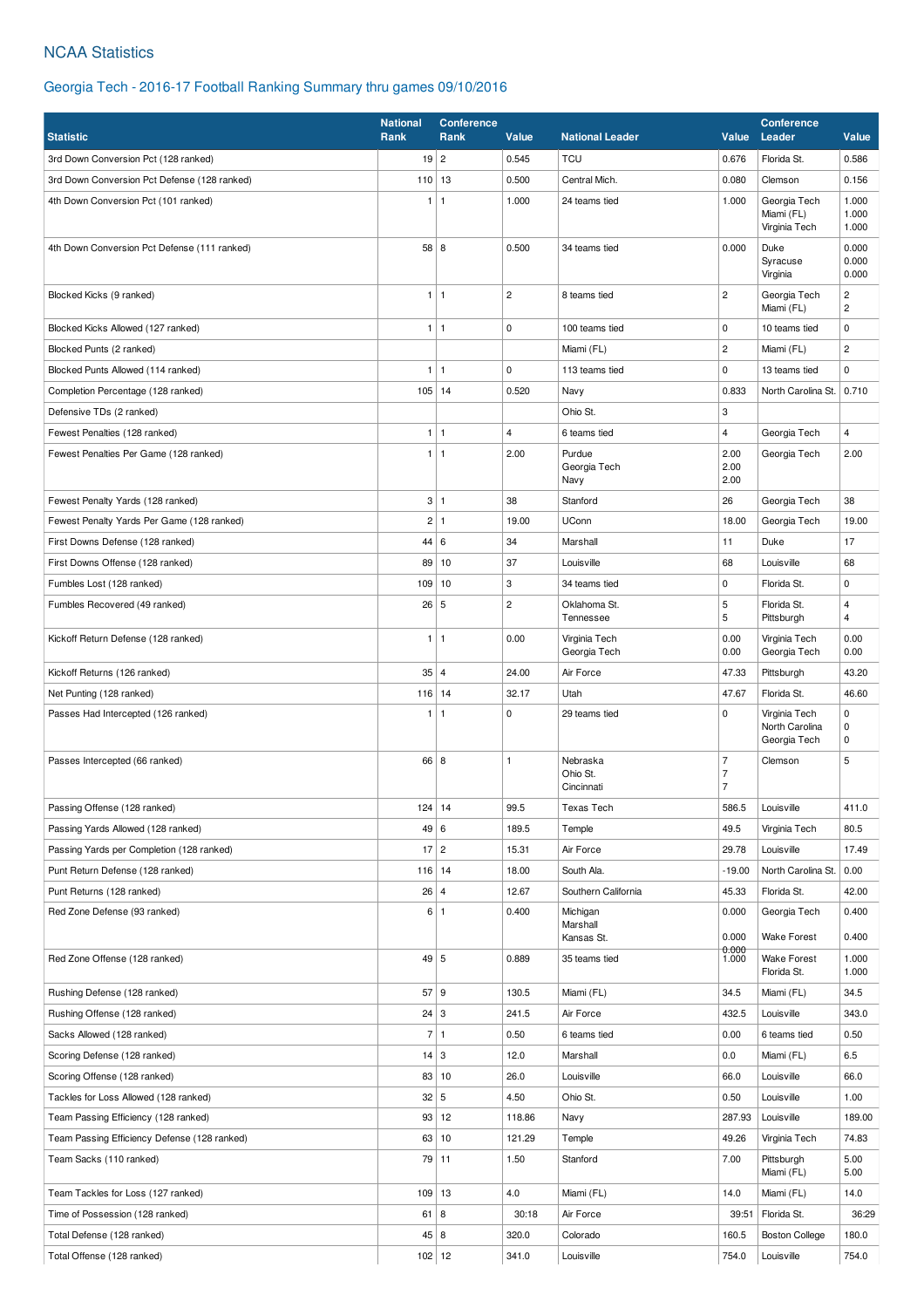### NCAA Statistics

### Georgia Tech - 2016-17 Football Ranking Summary thru games 09/10/2016

|                                              | <b>National</b><br><b>Conference</b><br>Rank<br>Value<br><b>National Leader</b> |              |                |                                    |                                                    | <b>Conference</b>                               |                                                  |
|----------------------------------------------|---------------------------------------------------------------------------------|--------------|----------------|------------------------------------|----------------------------------------------------|-------------------------------------------------|--------------------------------------------------|
| <b>Statistic</b>                             | Rank                                                                            |              |                |                                    | Value                                              | Leader                                          | Value                                            |
| 3rd Down Conversion Pct (128 ranked)         | $19$   2                                                                        |              | 0.545          | <b>TCU</b>                         | 0.676                                              | Florida St.                                     | 0.586                                            |
| 3rd Down Conversion Pct Defense (128 ranked) | 110                                                                             | 13           | 0.500          | Central Mich.                      | 0.080                                              | Clemson                                         | 0.156                                            |
| 4th Down Conversion Pct (101 ranked)         | 1                                                                               | $\vert$ 1    | 1.000          | 24 teams tied                      | 1.000                                              | Georgia Tech<br>Miami (FL)<br>Virginia Tech     | 1.000<br>1.000<br>1.000                          |
| 4th Down Conversion Pct Defense (111 ranked) | 58 8                                                                            |              | 0.500          | 34 teams tied                      | 0.000                                              | Duke<br>Syracuse<br>Virginia                    | 0.000<br>0.000<br>0.000                          |
| Blocked Kicks (9 ranked)                     | $\mathbf{1}$                                                                    | $\vert$ 1    | $\overline{c}$ | 8 teams tied                       | $\overline{c}$                                     | Georgia Tech<br>Miami (FL)                      | $\overline{\mathbf{c}}$<br>$\mathbf{2}^{\prime}$ |
| Blocked Kicks Allowed (127 ranked)           | 1                                                                               | 1            | $\pmb{0}$      | 100 teams tied                     | 0                                                  | 10 teams tied                                   | 0                                                |
| Blocked Punts (2 ranked)                     |                                                                                 |              |                | Miami (FL)                         | 2                                                  | Miami (FL)                                      | $\mathbf{2}^{\prime}$                            |
| Blocked Punts Allowed (114 ranked)           | 1                                                                               | $\mathbf{1}$ | $\mathbf 0$    | 113 teams tied                     | 0                                                  | 13 teams tied                                   | 0                                                |
| Completion Percentage (128 ranked)           | $105$ 14                                                                        |              | 0.520          | Navy                               | 0.833                                              | North Carolina St.                              | 0.710                                            |
| Defensive TDs (2 ranked)                     |                                                                                 |              |                | Ohio St.                           | 3                                                  |                                                 |                                                  |
| Fewest Penalties (128 ranked)                | $\mathbf{1}$                                                                    | $\mathbf{1}$ | $\overline{4}$ | 6 teams tied                       | 4                                                  | Georgia Tech                                    | $\overline{4}$                                   |
| Fewest Penalties Per Game (128 ranked)       | 1                                                                               | $\mathbf{1}$ | 2.00           | Purdue<br>Georgia Tech<br>Navy     | 2.00<br>2.00<br>2.00                               | Georgia Tech                                    | 2.00                                             |
| Fewest Penalty Yards (128 ranked)            |                                                                                 | 3 1          | 38             | Stanford                           | 26                                                 | Georgia Tech                                    | 38                                               |
| Fewest Penalty Yards Per Game (128 ranked)   | $\overline{c}$                                                                  | $\mathbf{1}$ | 19.00          | <b>UConn</b>                       | 18.00                                              | Georgia Tech                                    | 19.00                                            |
| First Downs Defense (128 ranked)             | 44 6                                                                            |              | 34             | Marshall                           | 11                                                 | Duke                                            | 17                                               |
| First Downs Offense (128 ranked)             | 89                                                                              | 10           | 37             | Louisville                         | 68                                                 | Louisville                                      | 68                                               |
| Fumbles Lost (128 ranked)                    | 109                                                                             | 10           | 3              | 34 teams tied                      | 0                                                  | Florida St.                                     | 0                                                |
| Fumbles Recovered (49 ranked)                | 26 5                                                                            |              | $\overline{c}$ | Oklahoma St.<br>Tennessee          | 5<br>5                                             | Florida St.<br>Pittsburgh                       | $\overline{4}$<br>$\overline{4}$                 |
| Kickoff Return Defense (128 ranked)          | $\mathbf{1}$                                                                    | l 1          | 0.00           | Virginia Tech<br>Georgia Tech      | 0.00<br>0.00                                       | Virginia Tech<br>Georgia Tech                   | 0.00<br>0.00                                     |
| Kickoff Returns (126 ranked)                 | 35 4                                                                            |              | 24.00          | Air Force                          | 47.33                                              | Pittsburgh                                      | 43.20                                            |
| Net Punting (128 ranked)                     | 116                                                                             | 14           | 32.17          | Utah                               | 47.67                                              | Florida St.                                     | 46.60                                            |
| Passes Had Intercepted (126 ranked)          | 1                                                                               | $\mathbf{1}$ | $\mathbf 0$    | 29 teams tied                      | 0                                                  | Virginia Tech<br>North Carolina<br>Georgia Tech | 0<br>$\pmb{0}$<br>0                              |
| Passes Intercepted (66 ranked)               | 66 8                                                                            |              | $\mathbf{1}$   | Nebraska<br>Ohio St.<br>Cincinnati | $\overline{7}$<br>$\overline{7}$<br>$\overline{7}$ | Clemson                                         | 5                                                |
| Passing Offense (128 ranked)                 | 124                                                                             | 14           | 99.5           | Texas Tech                         | 586.5                                              | Louisville                                      | 411.0                                            |
| Passing Yards Allowed (128 ranked)           | 49 6                                                                            |              | 189.5          | Temple                             | 49.5                                               | Virginia Tech                                   | 80.5                                             |
| Passing Yards per Completion (128 ranked)    | $17 \mid 2$                                                                     |              | 15.31          | Air Force                          | 29.78                                              | Louisville                                      | 17.49                                            |
| Punt Return Defense (128 ranked)             | $116$   14                                                                      |              | 18.00          | South Ala.                         | $-19.00$                                           | North Carolina St.                              | 0.00                                             |
| Punt Returns (128 ranked)                    | $26 \mid 4$                                                                     |              | 12.67          | Southern California                | 45.33                                              | Florida St.                                     | 42.00                                            |
| Red Zone Defense (93 ranked)                 |                                                                                 | 6 1          | 0.400          | Michigan<br>Marshall               | 0.000<br>0.000                                     | Georgia Tech<br><b>Wake Forest</b>              | 0.400<br>0.400                                   |
|                                              |                                                                                 |              |                | Kansas St.                         | 0.000                                              |                                                 |                                                  |
| Red Zone Offense (128 ranked)                | 49 5                                                                            |              | 0.889          | 35 teams tied                      | 1.000                                              | Wake Forest<br>Florida St.                      | 1.000<br>1.000                                   |
| Rushing Defense (128 ranked)                 | 57 9                                                                            |              | 130.5          | Miami (FL)                         | 34.5                                               | Miami (FL)                                      | 34.5                                             |
| Rushing Offense (128 ranked)                 | $24 \mid 3$                                                                     |              | 241.5          | Air Force                          | 432.5                                              | Louisville                                      | 343.0                                            |
| Sacks Allowed (128 ranked)                   |                                                                                 | 7 1          | 0.50           | 6 teams tied                       | 0.00                                               | 6 teams tied                                    | 0.50                                             |
| Scoring Defense (128 ranked)                 | $14 \mid 3$                                                                     |              | 12.0           | Marshall                           | 0.0                                                | Miami (FL)                                      | 6.5                                              |
| Scoring Offense (128 ranked)                 |                                                                                 | 83 10        | 26.0           | Louisville                         | 66.0                                               | Louisville                                      | 66.0                                             |
| Tackles for Loss Allowed (128 ranked)        | 32 5                                                                            |              | 4.50           | Ohio St.                           | 0.50                                               | Louisville                                      | 1.00                                             |
| Team Passing Efficiency (128 ranked)         |                                                                                 | 93 12        | 118.86         | Navy                               | 287.93                                             | Louisville                                      | 189.00                                           |
| Team Passing Efficiency Defense (128 ranked) | 63                                                                              | 10           | 121.29         | Temple                             | 49.26                                              | Virginia Tech                                   | 74.83                                            |
| Team Sacks (110 ranked)                      |                                                                                 | 79 11        | 1.50           | Stanford                           | 7.00                                               | Pittsburgh<br>Miami (FL)                        | 5.00<br>5.00                                     |
| Team Tackles for Loss (127 ranked)           | 109                                                                             | 13           | 4.0            | Miami (FL)                         | 14.0                                               | Miami (FL)                                      | 14.0                                             |
| Time of Possession (128 ranked)              | $61 \mid 8$                                                                     |              | 30:18          | Air Force                          | 39:51                                              | Florida St.                                     | 36:29                                            |
| Total Defense (128 ranked)                   | 45 8                                                                            |              | 320.0          | Colorado                           | 160.5                                              | <b>Boston College</b>                           | 180.0                                            |
| Total Offense (128 ranked)                   | $102$ 12                                                                        |              | 341.0          | Louisville                         | 754.0                                              | Louisville                                      | 754.0                                            |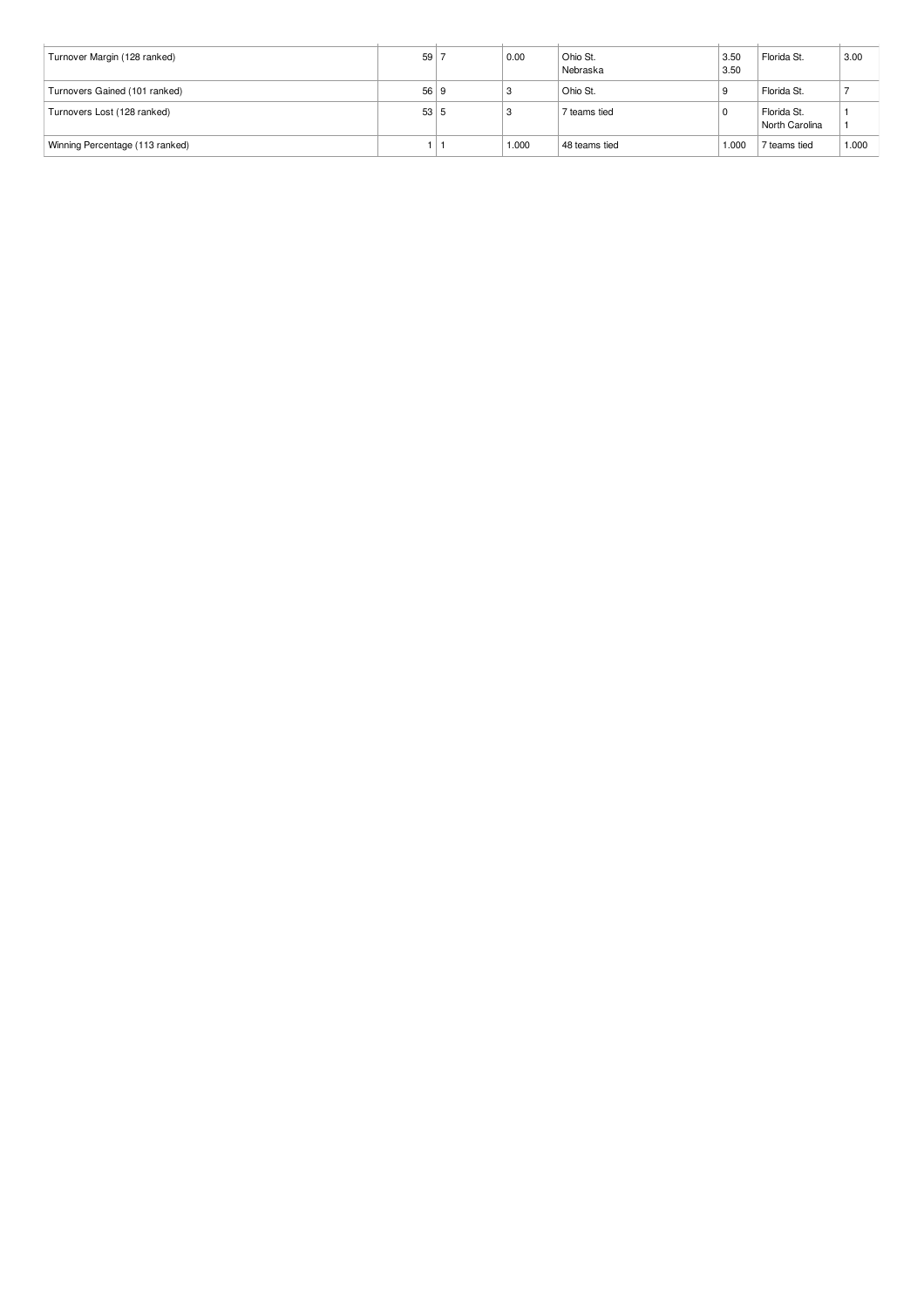| Turnover Margin (128 ranked)    | 59 <sup>1</sup> | 0.00  | Ohio St.<br>Nebraska | 3.50<br>3.50 | Florida St.                   | 3.00  |
|---------------------------------|-----------------|-------|----------------------|--------------|-------------------------------|-------|
| Turnovers Gained (101 ranked)   | 56 9            |       | Ohio St.             |              | Florida St.                   |       |
| Turnovers Lost (128 ranked)     | 53 5            |       | 7 teams tied         |              | Florida St.<br>North Carolina |       |
| Winning Percentage (113 ranked) |                 | 1.000 | 48 teams tied        | 1.000        | 7 teams tied                  | 1.000 |